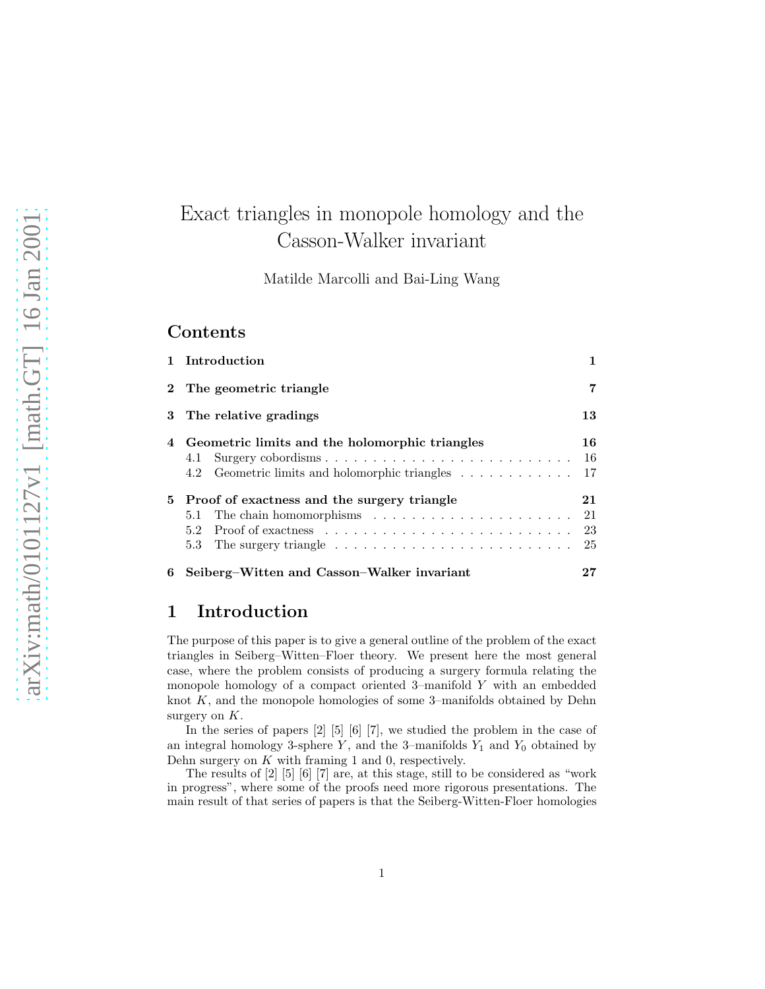# Exact triangles in monopole homology and the Casson-Walker invariant

Matilde Marcolli and Bai-Ling Wang

# **Contents**

|   | 1 Introduction                                                                                                                                                                                                                                            |          |
|---|-----------------------------------------------------------------------------------------------------------------------------------------------------------------------------------------------------------------------------------------------------------|----------|
|   | 2 The geometric triangle                                                                                                                                                                                                                                  | 7        |
| 3 | The relative gradings                                                                                                                                                                                                                                     | 13       |
|   | Geometric limits and the holomorphic triangles<br>4.1<br>4.2 Geometric limits and holomorphic triangles 17                                                                                                                                                | 16<br>16 |
|   | 5 Proof of exactness and the surgery triangle<br>The chain homomorphisms $\ldots \ldots \ldots \ldots \ldots \ldots \ldots 21$<br>5.1<br>$5.2^{\circ}$<br>The surgery triangle $\ldots \ldots \ldots \ldots \ldots \ldots \ldots \ldots \ldots 25$<br>5.3 | 21<br>23 |
| 6 | Seiberg–Witten and Casson–Walker invariant                                                                                                                                                                                                                |          |

# 1 Introduction

The purpose of this paper is to give a general outline of the problem of the exact triangles in Seiberg–Witten–Floer theory. We present here the most general case, where the problem consists of producing a surgery formula relating the monopole homology of a compact oriented 3–manifold Y with an embedded knot  $K$ , and the monopole homologies of some 3–manifolds obtained by Dehn surgery on  $K$ .

In the series of papers [2] [5] [6] [7], we studied the problem in the case of an integral homology 3-sphere Y, and the 3-manifolds  $Y_1$  and  $Y_0$  obtained by Dehn surgery on  $K$  with framing 1 and 0, respectively.

The results of [2] [5] [6] [7] are, at this stage, still to be considered as "work in progress", where some of the proofs need more rigorous presentations. The main result of that series of papers is that the Seiberg-Witten-Floer homologies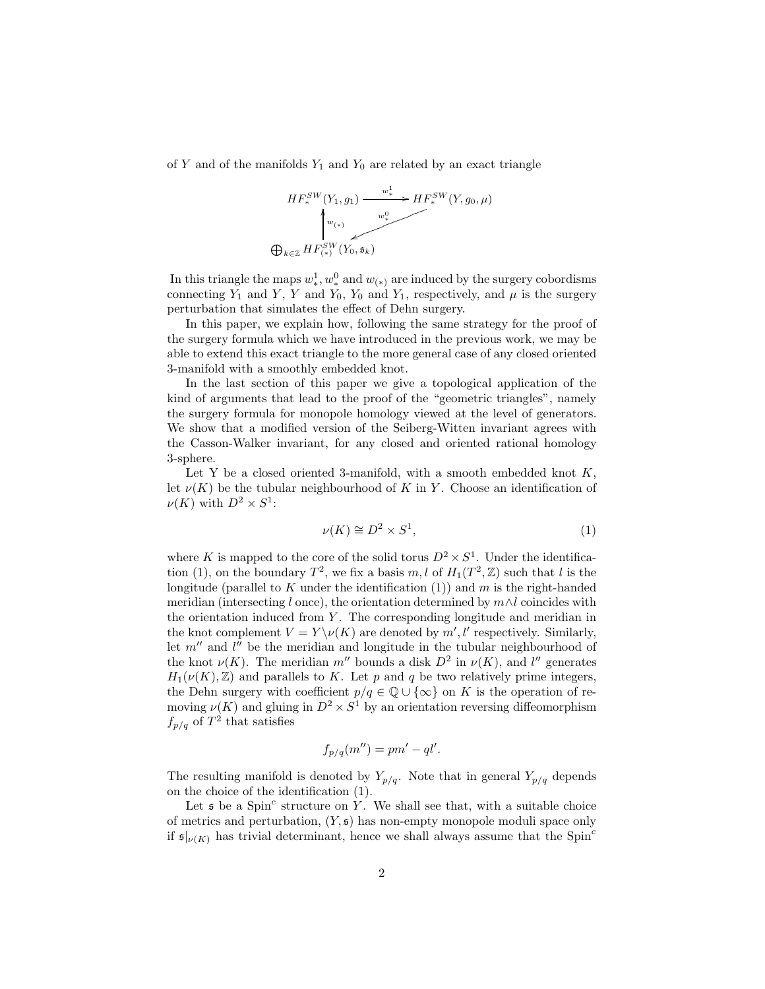of Y and of the manifolds  $Y_1$  and  $Y_0$  are related by an exact triangle



In this triangle the maps  $w^1_*, w^0_*$  and  $w_{(*)}$  are induced by the surgery cobordisms connecting  $Y_1$  and  $Y$ ,  $Y$  and  $Y_0$ ,  $Y_0$  and  $Y_1$ , respectively, and  $\mu$  is the surgery perturbation that simulates the effect of Dehn surgery.

In this paper, we explain how, following the same strategy for the proof of the surgery formula which we have introduced in the previous work, we may be able to extend this exact triangle to the more general case of any closed oriented 3-manifold with a smoothly embedded knot.

In the last section of this paper we give a topological application of the kind of arguments that lead to the proof of the "geometric triangles", namely the surgery formula for monopole homology viewed at the level of generators. We show that a modified version of the Seiberg-Witten invariant agrees with the Casson-Walker invariant, for any closed and oriented rational homology 3-sphere.

Let Y be a closed oriented 3-manifold, with a smooth embedded knot  $K$ , let  $\nu(K)$  be the tubular neighbourhood of K in Y. Choose an identification of  $\nu(K)$  with  $D^2 \times S^1$ :

$$
\nu(K) \cong D^2 \times S^1,\tag{1}
$$

where K is mapped to the core of the solid torus  $D^2 \times S^1$ . Under the identification (1), on the boundary  $T^2$ , we fix a basis  $m, l$  of  $H_1(T^2, \mathbb{Z})$  such that l is the longitude (parallel to K under the identification  $(1)$ ) and m is the right-handed meridian (intersecting l once), the orientation determined by  $m \wedge l$  coincides with the orientation induced from  $Y$ . The corresponding longitude and meridian in the knot complement  $V = Y \setminus \nu(K)$  are denoted by  $m', l'$  respectively. Similarly, let  $m''$  and  $l''$  be the meridian and longitude in the tubular neighbourhood of the knot  $\nu(K)$ . The meridian m'' bounds a disk  $D^2$  in  $\nu(K)$ , and l'' generates  $H_1(\nu(K), \mathbb{Z})$  and parallels to K. Let p and q be two relatively prime integers, the Dehn surgery with coefficient  $p/q \in \mathbb{Q} \cup \{\infty\}$  on K is the operation of removing  $\nu(K)$  and gluing in  $D^2 \times S^1$  by an orientation reversing diffeomorphism  $f_{p/q}$  of  $T^2$  that satisfies

$$
f_{p/q}(m'') = pm' - ql'.
$$

The resulting manifold is denoted by  $Y_{p/q}$ . Note that in general  $Y_{p/q}$  depends on the choice of the identification (1).

Let  $\mathfrak s$  be a Spin<sup>c</sup> structure on Y. We shall see that, with a suitable choice of metrics and perturbation,  $(Y, \mathfrak{s})$  has non-empty monopole moduli space only if  $\mathfrak{s}|_{\nu(K)}$  has trivial determinant, hence we shall always assume that the Spin<sup>c</sup>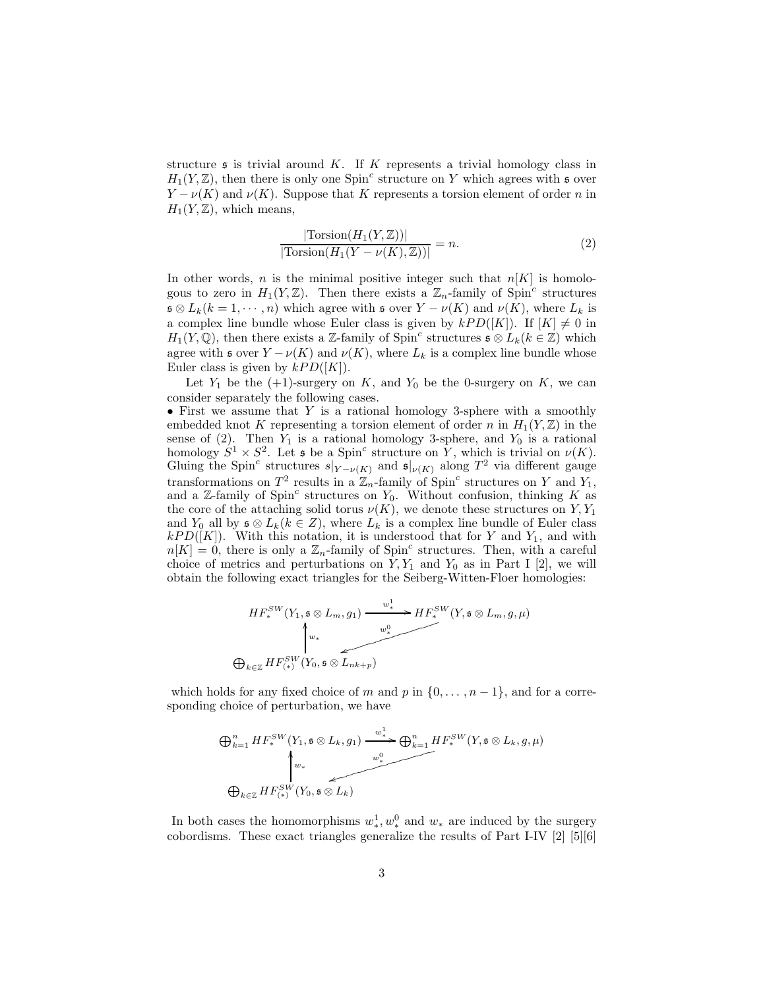structure  $\mathfrak s$  is trivial around K. If K represents a trivial homology class in  $H_1(Y, \mathbb{Z})$ , then there is only one Spin<sup>c</sup> structure on Y which agrees with s over  $Y - \nu(K)$  and  $\nu(K)$ . Suppose that K represents a torsion element of order n in  $H_1(Y, \mathbb{Z})$ , which means,

$$
\frac{|\text{Torsion}(H_1(Y,\mathbb{Z}))|}{|\text{Torsion}(H_1(Y-\nu(K),\mathbb{Z}))|} = n.
$$
\n(2)

In other words, n is the minimal positive integer such that  $n[K]$  is homologous to zero in  $H_1(Y,\mathbb{Z})$ . Then there exists a  $\mathbb{Z}_n$ -family of Spin<sup>c</sup> structures  $\mathfrak{s} \otimes L_k(k = 1, \dots, n)$  which agree with  $\mathfrak{s}$  over  $Y - \nu(K)$  and  $\nu(K)$ , where  $L_k$  is a complex line bundle whose Euler class is given by  $kPD([K])$ . If  $[K] \neq 0$  in  $H_1(Y, \mathbb{Q})$ , then there exists a Z-family of Spin<sup>c</sup> structures  $\mathfrak{s} \otimes L_k(k \in \mathbb{Z})$  which agree with s over  $Y - \nu(K)$  and  $\nu(K)$ , where  $L_k$  is a complex line bundle whose Euler class is given by  $kPD([K])$ .

Let  $Y_1$  be the  $(+1)$ -surgery on K, and  $Y_0$  be the 0-surgery on K, we can consider separately the following cases.

• First we assume that  $Y$  is a rational homology 3-sphere with a smoothly embedded knot K representing a torsion element of order n in  $H_1(Y, \mathbb{Z})$  in the sense of  $(2)$ . Then  $Y_1$  is a rational homology 3-sphere, and  $Y_0$  is a rational homology  $S^1 \times S^2$ . Let  $\mathfrak s$  be a Spin<sup>c</sup> structure on  $\tilde Y$ , which is trivial on  $\nu(K)$ . Gluing the Spin<sup>c</sup> structures  $s|_{Y-\nu(K)}$  and  $\mathfrak{s}|_{\nu(K)}$  along  $T^2$  via different gauge transformations on  $T^2$  results in a  $\mathbb{Z}_n$ -family of Spin<sup>c</sup> structures on Y and Y<sub>1</sub>, and a Z-family of Spin<sup>c</sup> structures on  $Y_0$ . Without confusion, thinking K as the core of the attaching solid torus  $\nu(K)$ , we denote these structures on Y, Y<sub>1</sub> and  $Y_0$  all by  $\mathfrak{s} \otimes L_k (k \in \mathbb{Z})$ , where  $L_k$  is a complex line bundle of Euler class  $kPD([K])$ . With this notation, it is understood that for Y and Y<sub>1</sub>, and with  $n[K] = 0$ , there is only a  $\mathbb{Z}_n$ -family of Spin<sup>c</sup> structures. Then, with a careful choice of metrics and perturbations on  $Y, Y_1$  and  $Y_0$  as in Part I [2], we will obtain the following exact triangles for the Seiberg-Witten-Floer homologies:

$$
HF_*^{SW}(Y_1, \mathfrak{s} \otimes L_m, g_1) \xrightarrow{w_*^1} HF_*^{SW}(Y, \mathfrak{s} \otimes L_m, g, \mu)
$$
\n
$$
\downarrow_{w_*}
$$
\n
$$
\bigoplus_{k \in \mathbb{Z}} HF_{(*)}^{SW}(Y_0, \mathfrak{s} \otimes \overbrace{L_{nk+p}}^{w^0})
$$

which holds for any fixed choice of m and p in  $\{0, \ldots, n-1\}$ , and for a corresponding choice of perturbation, we have

$$
\bigoplus_{k=1}^{n} HF_{*}^{SW}(Y_{1}, \mathfrak{s} \otimes L_{k}, g_{1}) \xrightarrow{w_{*}^{1}} \bigoplus_{k=1}^{n} HF_{*}^{SW}(Y, \mathfrak{s} \otimes L_{k}, g, \mu)
$$
\n
$$
\bigoplus_{k \in \mathbb{Z}} HF_{(*)}^{SW}(Y_{0}, \mathfrak{s} \otimes L_{k})
$$

In both cases the homomorphisms  $w^1_*, w^0_*$  and  $w_*$  are induced by the surgery cobordisms. These exact triangles generalize the results of Part I-IV [2] [5][6]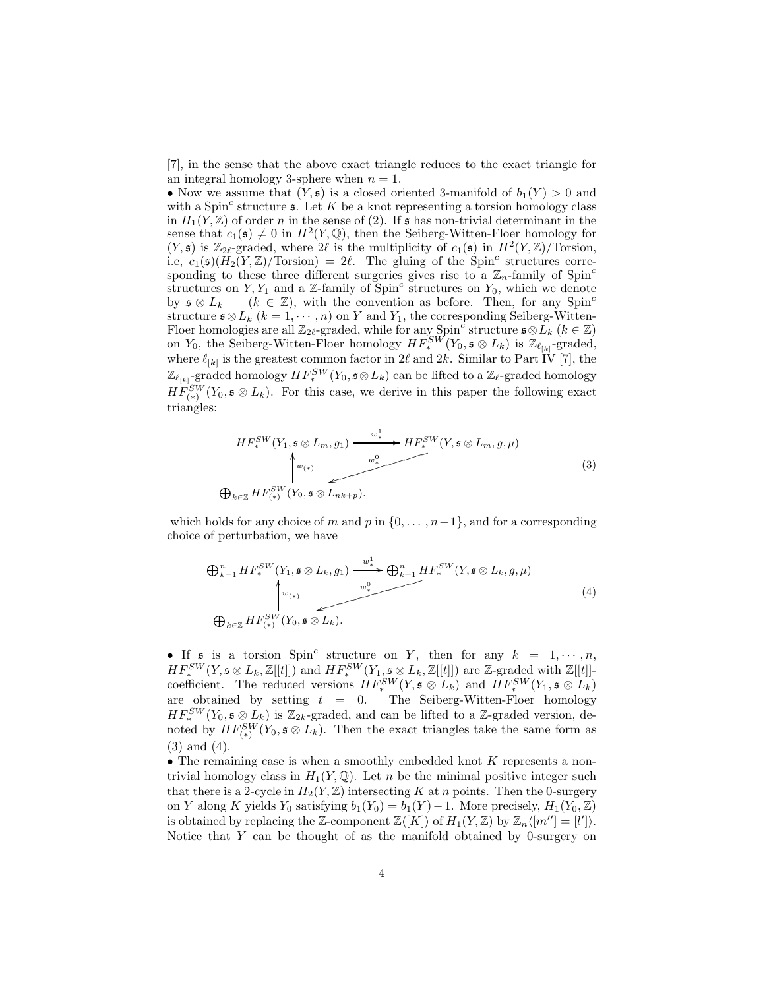[7], in the sense that the above exact triangle reduces to the exact triangle for an integral homology 3-sphere when  $n = 1$ .

• Now we assume that  $(Y, \mathfrak{s})$  is a closed oriented 3-manifold of  $b_1(Y) > 0$  and with a Spin<sup>c</sup> structure  $\mathfrak{s}$ . Let K be a knot representing a torsion homology class in  $H_1(Y,\mathbb{Z})$  of order n in the sense of (2). If s has non-trivial determinant in the sense that  $c_1(s) \neq 0$  in  $H^2(Y, \mathbb{Q})$ , then the Seiberg-Witten-Floer homology for  $(Y, \mathfrak{s})$  is  $\mathbb{Z}_{2\ell}$ -graded, where  $2\ell$  is the multiplicity of  $c_1(\mathfrak{s})$  in  $H^2(Y, \mathbb{Z})$ /Torsion, i.e,  $c_1(\mathfrak{s})(H_2(Y,\mathbb{Z})/\text{Torsion}) = 2\ell$ . The gluing of the Spin<sup>c</sup> structures corresponding to these three different surgeries gives rise to a  $\mathbb{Z}_n$ -family of Spin<sup>c</sup> structures on Y, Y<sub>1</sub> and a Z-family of  $\text{Spin}^c$  structures on Y<sub>0</sub>, which we denote by  $\mathfrak{s} \otimes L_k$  ( $k \in \mathbb{Z}$ ), with the convention as before. Then, for any Spin<sup>c</sup> structure  $\mathfrak{s} \otimes L_k$   $(k = 1, \dots, n)$  on Y and Y<sub>1</sub>, the corresponding Seiberg-Witten-Floer homologies are all  $\mathbb{Z}_{2\ell}$ -graded, while for any Spin<sup>c</sup> structure  $\mathfrak{s} \otimes L_k$  ( $k \in \mathbb{Z}$ ) on Y<sub>0</sub>, the Seiberg-Witten-Floer homology  $HF_*^{SW}(Y_0, \mathfrak{s} \otimes L_k)$  is  $\mathbb{Z}_{\ell_{[k]}}$ -graded, where  $\ell_{[k]}$  is the greatest common factor in 2 $\ell$  and 2 $k$ . Similar to Part IV [7], the  $\mathbb{Z}_{\ell_{[k]}}$ -graded homology  $HF_*^{SW}(Y_0, \mathfrak{s} \otimes L_k)$  can be lifted to a  $\mathbb{Z}_{\ell}$ -graded homology  $HF_{(*)}^{SW}(Y_0, \mathfrak{s} \otimes L_k)$ . For this case, we derive in this paper the following exact triangles:

$$
HF_*^{SW}(Y_1, \mathfrak{s} \otimes L_m, g_1) \xrightarrow{w_*^1} HF_*^{SW}(Y, \mathfrak{s} \otimes L_m, g, \mu)
$$
\n
$$
\downarrow^{w_{(*)}} \qquad \qquad \downarrow^{w_*^0} \qquad (3)
$$
\n
$$
\bigoplus_{k \in \mathbb{Z}} HF_{(*)}^{SW}(Y_0, \mathfrak{s} \otimes L_{nk+p}).
$$

which holds for any choice of m and p in  $\{0, \ldots, n-1\}$ , and for a corresponding choice of perturbation, we have

$$
\bigoplus_{k=1}^{n} HF_{*}^{SW}(Y_{1}, \mathfrak{s} \otimes L_{k}, g_{1}) \xrightarrow{w_{*}^{1}} \bigoplus_{k=1}^{n} HF_{*}^{SW}(Y, \mathfrak{s} \otimes L_{k}, g, \mu)
$$
\n
$$
\bigoplus_{k \in \mathbb{Z}} HF_{*}^{SW}(Y_{0}, \mathfrak{s} \otimes L_{k}).
$$
\n
$$
(4)
$$

• If  $\mathfrak s$  is a torsion  $Spin^c$  structure on Y, then for any  $k = 1, \dots, n$ ,  $HF_*^{SW}(Y, \mathfrak{s} \otimes L_k, \mathbb{Z}[[t]])$  and  $HF_*^{SW}(Y_1, \mathfrak{s} \otimes L_k, \mathbb{Z}[[t]])$  are Z-graded with  $\mathbb{Z}[[t]]$ coefficient. The reduced versions  $HF_*^{SW}(Y, \mathfrak{s} \otimes L_k)$  and  $HF_*^{SW}(Y_1, \mathfrak{s} \otimes L_k)$ are obtained by setting  $t = 0$ . The Seiberg-Witten-Floer homology  $HF_*^{SW}(Y_0, \mathfrak{s} \otimes L_k)$  is  $\mathbb{Z}_{2k}$ -graded, and can be lifted to a  $\mathbb{Z}$ -graded version, denoted by  $HF_{(*)}^{SW}(Y_0, \mathfrak{s} \otimes L_k)$ . Then the exact triangles take the same form as (3) and (4).

 $\bullet$  The remaining case is when a smoothly embedded knot K represents a nontrivial homology class in  $H_1(Y, \mathbb{Q})$ . Let n be the minimal positive integer such that there is a 2-cycle in  $H_2(Y, \mathbb{Z})$  intersecting K at n points. Then the 0-surgery on Y along K yields Y<sub>0</sub> satisfying  $b_1(Y_0) = b_1(Y) - 1$ . More precisely,  $H_1(Y_0, \mathbb{Z})$ is obtained by replacing the Z-component  $\mathbb{Z}\langle [K] \rangle$  of  $H_1(Y, \mathbb{Z})$  by  $\mathbb{Z}_n\langle [m''] = [l'] \rangle$ . Notice that Y can be thought of as the manifold obtained by 0-surgery on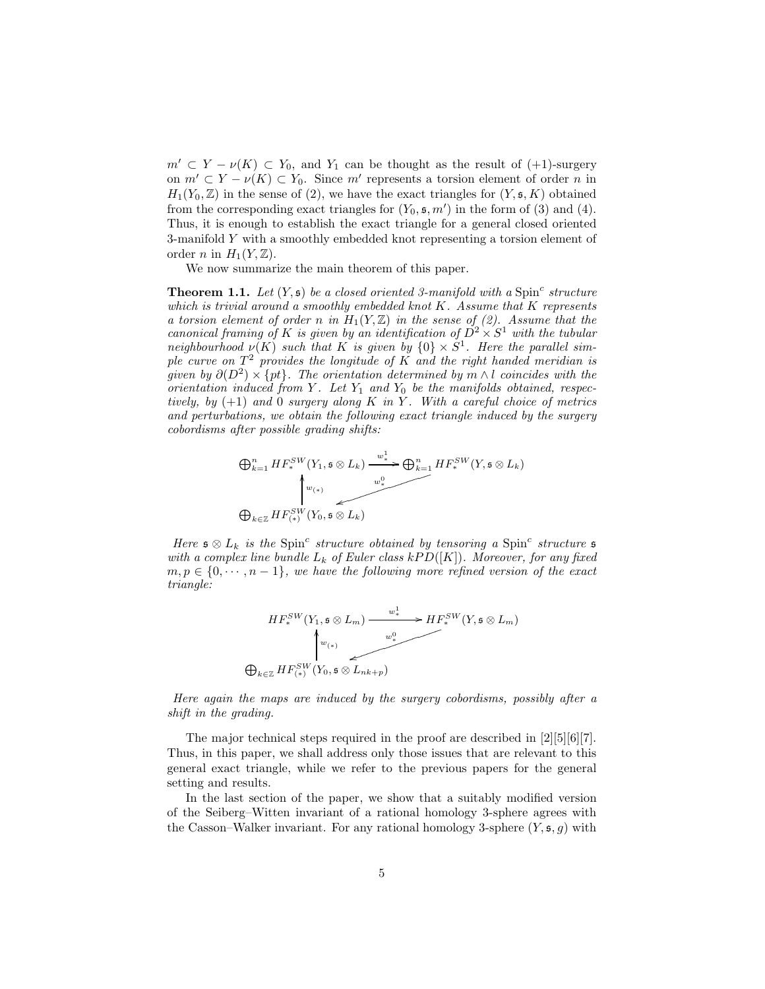$m' \subset Y - \nu(K) \subset Y_0$ , and  $Y_1$  can be thought as the result of  $(1)$ -surgery on  $m' \subset Y - \nu(K) \subset Y_0$ . Since m' represents a torsion element of order n in  $H_1(Y_0, \mathbb{Z})$  in the sense of (2), we have the exact triangles for  $(Y, \mathfrak{s}, K)$  obtained from the corresponding exact triangles for  $(Y_0, \mathfrak{s}, m')$  in the form of (3) and (4). Thus, it is enough to establish the exact triangle for a general closed oriented 3-manifold Y with a smoothly embedded knot representing a torsion element of order *n* in  $H_1(Y, \mathbb{Z})$ .

We now summarize the main theorem of this paper.

**Theorem 1.1.** Let  $(Y, \mathfrak{s})$  be a closed oriented 3-manifold with a Spin<sup>c</sup> structure *which is trivial around a smoothly embedded knot* K*. Assume that* K *represents a torsion element of order n in*  $H_1(Y, \mathbb{Z})$  *in the sense of (2). Assume that the canonical framing of* K *is given by an identification of*  $D^2 \times S^1$  *with the tubular neighbourhood*  $\nu(K)$  *such that* K *is given by*  $\{0\} \times S^1$ *. Here the parallel simple curve on* T <sup>2</sup> *provides the longitude of* K *and the right handed meridian is given by*  $\partial(D^2) \times \{pt\}$ . The orientation determined by  $m \wedge l$  *coincides with the orientation induced from*  $Y$ *. Let*  $Y_1$  *and*  $Y_0$  *be the manifolds obtained, respectively, by* (+1) *and* 0 *surgery along* K *in* Y *. With a careful choice of metrics and perturbations, we obtain the following exact triangle induced by the surgery cobordisms after possible grading shifts:*

$$
\bigoplus_{k=1}^{n} HF_{*}^{SW}(Y_{1}, \mathfrak{s} \otimes L_{k}) \xrightarrow{w_{*}^{1}} \bigoplus_{k=1}^{n} HF_{*}^{SW}(Y, \mathfrak{s} \otimes L_{k})
$$
\n
$$
\bigoplus_{k \in \mathbb{Z}} HF_{*}^{SW}(Y_{0}, \mathfrak{s} \otimes L_{k})
$$

*Here*  $\mathfrak{s} \otimes L_k$  *is the* Spin<sup>c</sup> structure obtained by tensoring a Spin<sup>c</sup> structure  $\mathfrak{s}$ *with a complex line bundle*  $L_k$  *of Euler class kPD*( $[K]$ )*. Moreover, for any fixed*  $m, p \in \{0, \dots, n-1\}$ , we have the following more refined version of the exact *triangle:*

$$
HF_*^{SW}(Y_1, \mathfrak{s} \otimes L_m) \xrightarrow{w_*^1} HF_*^{SW}(Y, \mathfrak{s} \otimes L_m)
$$
\n
$$
\updownarrow_{w_{(*)}}^{\downarrow_{w_{(*)}}}
$$
\n
$$
\bigoplus_{k \in \mathbb{Z}} HF_{(*)}^{SW}(Y_0, \mathfrak{s} \otimes L_{nk+p})
$$

*Here again the maps are induced by the surgery cobordisms, possibly after a shift in the grading.*

The major technical steps required in the proof are described in [2][5][6][7]. Thus, in this paper, we shall address only those issues that are relevant to this general exact triangle, while we refer to the previous papers for the general setting and results.

In the last section of the paper, we show that a suitably modified version of the Seiberg–Witten invariant of a rational homology 3-sphere agrees with the Casson–Walker invariant. For any rational homology 3-sphere  $(Y, \mathfrak{s}, q)$  with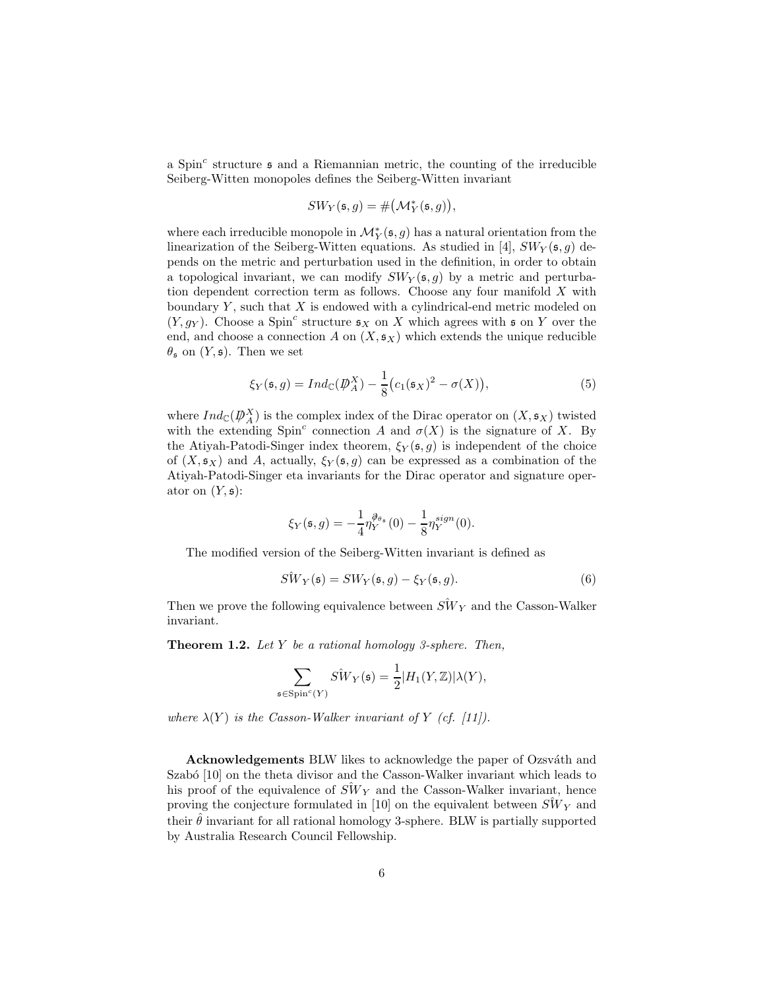a Spin<sup>c</sup> structure  $\mathfrak s$  and a Riemannian metric, the counting of the irreducible Seiberg-Witten monopoles defines the Seiberg-Witten invariant

$$
SW_Y(\mathfrak{s},g) = \# \big(\mathcal{M}_Y^*(\mathfrak{s},g)\big),
$$

where each irreducible monopole in  $\mathcal{M}^{\ast}_{Y}(\mathfrak{s},g)$  has a natural orientation from the linearization of the Seiberg-Witten equations. As studied in [4],  $SW_Y(\mathfrak{s}, g)$  depends on the metric and perturbation used in the definition, in order to obtain a topological invariant, we can modify  $SW<sub>Y</sub>(s, g)$  by a metric and perturbation dependent correction term as follows. Choose any four manifold X with boundary  $Y$ , such that  $X$  is endowed with a cylindrical-end metric modeled on  $(Y, g_Y)$ . Choose a Spin<sup>c</sup> structure  $\mathfrak{s}_X$  on X which agrees with  $\mathfrak{s}$  on Y over the end, and choose a connection A on  $(X, \mathfrak{s}_X)$  which extends the unique reducible  $\theta_{\mathfrak{s}}$  on  $(Y,\mathfrak{s})$ . Then we set

$$
\xi_Y(\mathfrak{s}, g) = Ind_{\mathbb{C}}(\mathcal{D}_A^X) - \frac{1}{8} \big( c_1(\mathfrak{s}_X)^2 - \sigma(X) \big),\tag{5}
$$

where  $Ind_{\mathbb{C}}(\mathcal{D}_{A}^{X})$  is the complex index of the Dirac operator on  $(X, \mathfrak{s}_{X})$  twisted with the extending Spin<sup>c</sup> connection A and  $\sigma(X)$  is the signature of X. By the Atiyah-Patodi-Singer index theorem,  $\xi_Y(\mathfrak{s},g)$  is independent of the choice of  $(X, \mathfrak{s}_X)$  and A, actually,  $\xi_Y(\mathfrak{s}, g)$  can be expressed as a combination of the Atiyah-Patodi-Singer eta invariants for the Dirac operator and signature operator on  $(Y, \mathfrak{s})$ :

$$
\xi_Y(\mathfrak{s},g) = -\frac{1}{4} \eta_Y^{\partial_{\theta_{\mathfrak{s}}}}(0) - \frac{1}{8} \eta_Y^{sign}(0).
$$

The modified version of the Seiberg-Witten invariant is defined as

$$
\hat{SW}_Y(\mathfrak{s}) = SW_Y(\mathfrak{s}, g) - \xi_Y(\mathfrak{s}, g). \tag{6}
$$

Then we prove the following equivalence between  $\hat{SW}_Y$  and the Casson-Walker invariant.

Theorem 1.2. *Let* Y *be a rational homology 3-sphere. Then,*

$$
\sum_{\mathfrak{s} \in \mathrm{Spin}^c(Y)} S \hat{W}_Y(\mathfrak{s}) = \frac{1}{2} |H_1(Y, \mathbb{Z})| \lambda(Y),
$$

*where*  $\lambda(Y)$  *is the Casson-Walker invariant of* Y *(cf. [11]).* 

Acknowledgements BLW likes to acknowledge the paper of Ozsváth and Szabó [10] on the theta divisor and the Casson-Walker invariant which leads to his proof of the equivalence of  $S\hat{W}_Y$  and the Casson-Walker invariant, hence proving the conjecture formulated in [10] on the equivalent between  $S\hat{W}_Y$  and their  $\hat{\theta}$  invariant for all rational homology 3-sphere. BLW is partially supported by Australia Research Council Fellowship.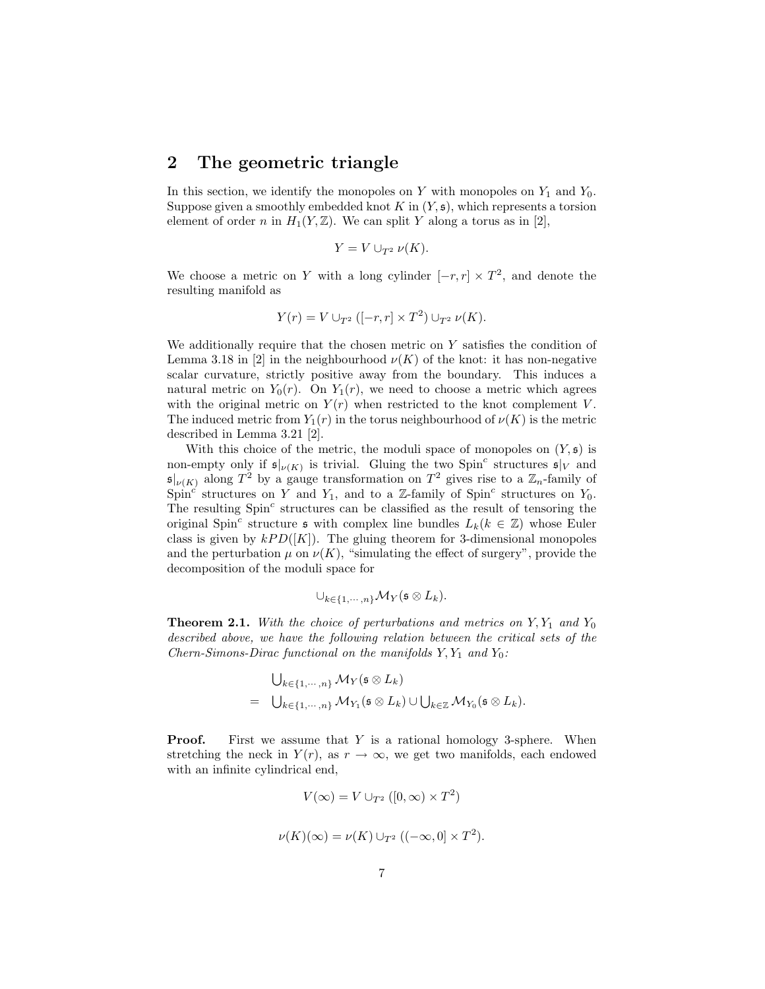## 2 The geometric triangle

In this section, we identify the monopoles on  $Y$  with monopoles on  $Y_1$  and  $Y_0$ . Suppose given a smoothly embedded knot  $K$  in  $(Y, \mathfrak{s})$ , which represents a torsion element of order n in  $H_1(Y,\mathbb{Z})$ . We can split Y along a torus as in [2],

$$
Y = V \cup_{T^2} \nu(K).
$$

We choose a metric on Y with a long cylinder  $[-r, r] \times T^2$ , and denote the resulting manifold as

$$
Y(r) = V \cup_{T^2} ([-r, r] \times T^2) \cup_{T^2} \nu(K).
$$

We additionally require that the chosen metric on Y satisfies the condition of Lemma 3.18 in [2] in the neighbourhood  $\nu(K)$  of the knot: it has non-negative scalar curvature, strictly positive away from the boundary. This induces a natural metric on  $Y_0(r)$ . On  $Y_1(r)$ , we need to choose a metric which agrees with the original metric on  $Y(r)$  when restricted to the knot complement V. The induced metric from  $Y_1(r)$  in the torus neighbourhood of  $\nu(K)$  is the metric described in Lemma 3.21 [2].

With this choice of the metric, the moduli space of monopoles on  $(Y, \mathfrak{s})$  is non-empty only if  $\mathfrak{s}|_{\nu(K)}$  is trivial. Gluing the two Spin<sup>c</sup> structures  $\mathfrak{s}|_V$  and  $\mathfrak{s}|_{\nu(K)}$  along  $T^2$  by a gauge transformation on  $T^2$  gives rise to a  $\mathbb{Z}_n$ -family of Spin<sup>c</sup> structures on Y and Y<sub>1</sub>, and to a Z-family of Spin<sup>c</sup> structures on Y<sub>0</sub>. The resulting  $Spin<sup>c</sup>$  structures can be classified as the result of tensoring the original Spin<sup>c</sup> structure  $\mathfrak s$  with complex line bundles  $L_k(k \in \mathbb{Z})$  whose Euler class is given by  $kPD([K])$ . The gluing theorem for 3-dimensional monopoles and the perturbation  $\mu$  on  $\nu(K)$ , "simulating the effect of surgery", provide the decomposition of the moduli space for

$$
\cup_{k\in\{1,\cdots,n\}}\mathcal{M}_Y(\mathfrak{s}\otimes L_k).
$$

**Theorem 2.1.** With the choice of perturbations and metrics on  $Y, Y_1$  and  $Y_0$ *described above, we have the following relation between the critical sets of the Chern-Simons-Dirac functional on the manifolds*  $Y, Y_1$  *and*  $Y_0$ *:* 

$$
\bigcup_{k \in \{1, \cdots, n\}} \mathcal{M}_Y(\mathfrak{s} \otimes L_k)
$$
  
= 
$$
\bigcup_{k \in \{1, \cdots, n\}} \mathcal{M}_{Y_1}(\mathfrak{s} \otimes L_k) \cup \bigcup_{k \in \mathbb{Z}} \mathcal{M}_{Y_0}(\mathfrak{s} \otimes L_k).
$$

**Proof.** First we assume that Y is a rational homology 3-sphere. When stretching the neck in  $Y(r)$ , as  $r \to \infty$ , we get two manifolds, each endowed with an infinite cylindrical end,

$$
V(\infty) = V \cup_{T^2} ([0, \infty) \times T^2)
$$
  

$$
\nu(K)(\infty) = \nu(K) \cup_{T^2} ((-\infty, 0] \times T^2).
$$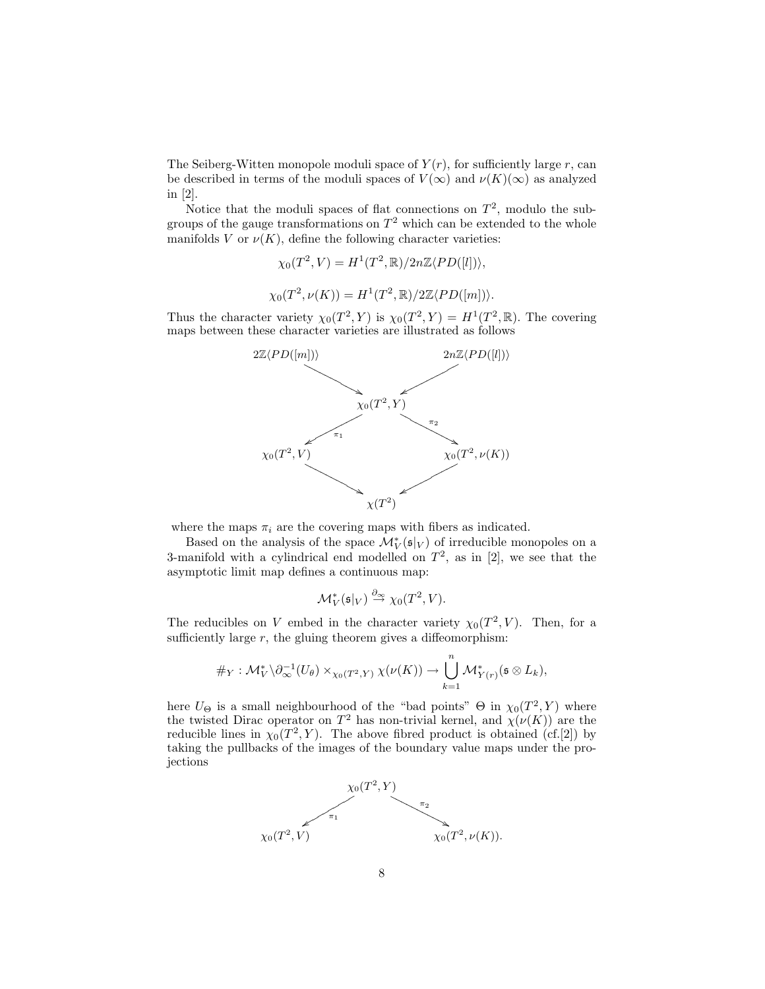The Seiberg-Witten monopole moduli space of  $Y(r)$ , for sufficiently large r, can be described in terms of the moduli spaces of  $V(\infty)$  and  $\nu(K)(\infty)$  as analyzed in [2].

Notice that the moduli spaces of flat connections on  $T^2$ , modulo the subgroups of the gauge transformations on  $T^2$  which can be extended to the whole manifolds V or  $\nu(K)$ , define the following character varieties:

$$
\chi_0(T^2, V) = H^1(T^2, \mathbb{R})/2n\mathbb{Z}\langle PD([l])\rangle,
$$
  

$$
\chi_0(T^2, \nu(K)) = H^1(T^2, \mathbb{R})/2\mathbb{Z}\langle PD([m])\rangle.
$$

Thus the character variety  $\chi_0(T^2, Y)$  is  $\chi_0(T^2, Y) = H^1(T^2, \mathbb{R})$ . The covering maps between these character varieties are illustrated as follows



where the maps  $\pi_i$  are the covering maps with fibers as indicated.

Based on the analysis of the space  $\mathcal{M}_V^*(\mathfrak{s}|_V)$  of irreducible monopoles on a 3-manifold with a cylindrical end modelled on  $T^2$ , as in [2], we see that the asymptotic limit map defines a continuous map:

$$
\mathcal{M}_V^*(\mathfrak{s}|_V) \stackrel{\partial_{\infty}}{\to} \chi_0(T^2, V).
$$

The reducibles on V embed in the character variety  $\chi_0(T^2, V)$ . Then, for a sufficiently large  $r$ , the gluing theorem gives a diffeomorphism:

$$
\#_{Y}: \mathcal{M}_{V}^{*} \backslash \partial_{\infty}^{-1}(U_{\theta}) \times_{\chi_{0}(T^{2}, Y)} \chi(\nu(K)) \to \bigcup_{k=1} \mathcal{M}_{Y(r)}^{*}(\mathfrak{s} \otimes L_{k}),
$$

 $\overline{n}$ 

here  $U_{\Theta}$  is a small neighbourhood of the "bad points"  $\Theta$  in  $\chi_0(T^2, Y)$  where the twisted Dirac operator on  $T^2$  has non-trivial kernel, and  $\chi(\nu(K))$  are the reducible lines in  $\chi_0(T^2, Y)$ . The above fibred product is obtained (cf.[2]) by taking the pullbacks of the images of the boundary value maps under the projections

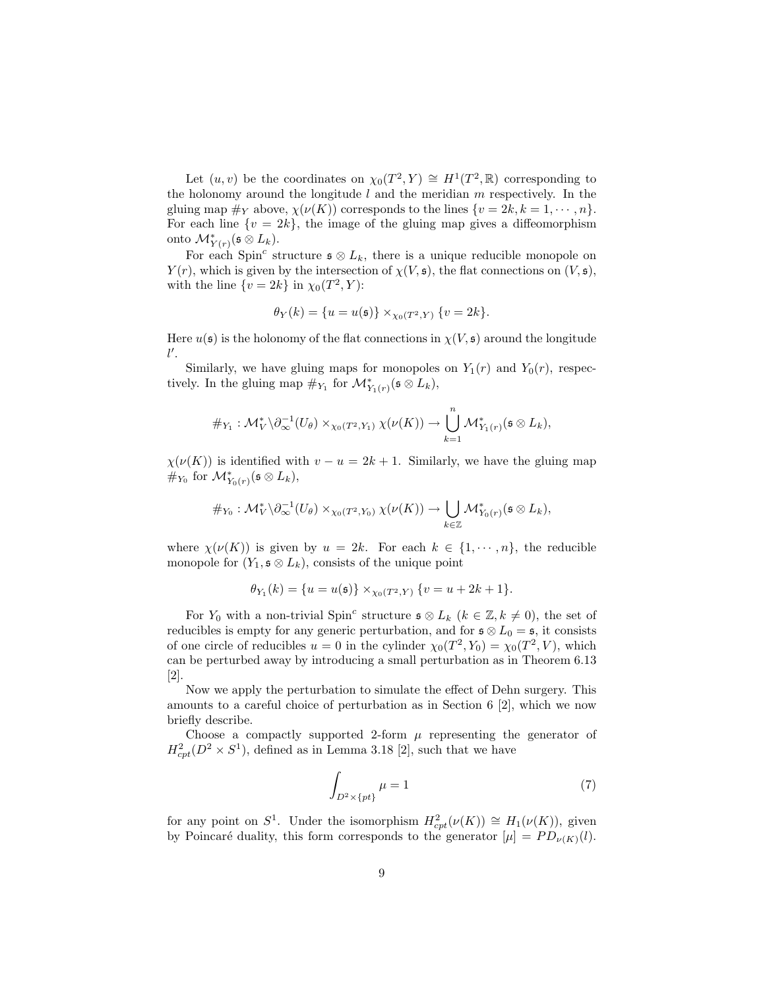Let  $(u, v)$  be the coordinates on  $\chi_0(T^2, Y) \cong H^1(T^2, \mathbb{R})$  corresponding to the holonomy around the longitude  $l$  and the meridian  $m$  respectively. In the gluing map  $\#_Y$  above,  $\chi(\nu(K))$  corresponds to the lines  $\{v = 2k, k = 1, \dots, n\}.$ For each line  $\{v = 2k\}$ , the image of the gluing map gives a diffeomorphism onto  $\mathcal{M}_{Y(r)}^*(\mathfrak{s} \otimes L_k)$ .

For each Spin<sup>c</sup> structure  $\mathfrak{s} \otimes L_k$ , there is a unique reducible monopole on  $Y(r)$ , which is given by the intersection of  $\chi(V, \mathfrak{s})$ , the flat connections on  $(V, \mathfrak{s})$ , with the line  $\{v = 2k\}$  in  $\chi_0(T^2, Y)$ :

$$
\theta_Y(k) = \{u = u(\mathfrak{s})\} \times_{\chi_0(T^2, Y)} \{v = 2k\}.
$$

Here  $u(\mathfrak{s})$  is the holonomy of the flat connections in  $\chi(V, \mathfrak{s})$  around the longitude  $l'.$ 

Similarly, we have gluing maps for monopoles on  $Y_1(r)$  and  $Y_0(r)$ , respectively. In the gluing map  $\#_{Y_1}$  for  $\mathcal{M}^*_{Y_1(r)}(\mathfrak{s} \otimes L_k)$ ,

$$
\#_{Y_1}: \mathcal{M}_V^* \backslash \partial_{\infty}^{-1}(U_\theta) \times_{\chi_0(T^2, Y_1)} \chi(\nu(K)) \to \bigcup_{k=1}^n \mathcal{M}_{Y_1(r)}^*(\mathfrak{s} \otimes L_k),
$$

 $\chi(\nu(K))$  is identified with  $v - u = 2k + 1$ . Similarly, we have the gluing map  $\#_{Y_0}$  for  $\mathcal{M}_{Y_0(r)}^*$  ( $\mathfrak{s} \otimes L_k$ ),

$$
\#_{Y_0}: \mathcal{M}_V^* \backslash \partial_{\infty}^{-1}(U_\theta) \times_{\chi_0(T^2, Y_0)} \chi(\nu(K)) \to \bigcup_{k \in \mathbb{Z}} \mathcal{M}_{Y_0(r)}^*(\mathfrak{s} \otimes L_k),
$$

where  $\chi(\nu(K))$  is given by  $u = 2k$ . For each  $k \in \{1, \dots, n\}$ , the reducible monopole for  $(Y_1, \mathfrak{s} \otimes L_k)$ , consists of the unique point

$$
\theta_{Y_1}(k) = \{u = u(\mathfrak{s})\} \times_{\chi_0(T^2, Y)} \{v = u + 2k + 1\}.
$$

For  $Y_0$  with a non-trivial Spin<sup>c</sup> structure  $\mathfrak{s} \otimes L_k$  ( $k \in \mathbb{Z}, k \neq 0$ ), the set of reducibles is empty for any generic perturbation, and for  $\mathfrak{s} \otimes L_0 = \mathfrak{s}$ , it consists of one circle of reducibles  $u = 0$  in the cylinder  $\chi_0(T^2, Y_0) = \chi_0(T^2, V)$ , which can be perturbed away by introducing a small perturbation as in Theorem 6.13 [2].

Now we apply the perturbation to simulate the effect of Dehn surgery. This amounts to a careful choice of perturbation as in Section 6 [2], which we now briefly describe.

Choose a compactly supported 2-form  $\mu$  representing the generator of  $H_{cpt}^2(D^2 \times S^1)$ , defined as in Lemma 3.18 [2], such that we have

$$
\int_{D^2 \times \{pt\}} \mu = 1 \tag{7}
$$

for any point on  $S^1$ . Under the isomorphism  $H^2_{cpt}(\nu(K)) \cong H_1(\nu(K))$ , given by Poincaré duality, this form corresponds to the generator  $[\mu] = PD_{\nu(K)}(l)$ .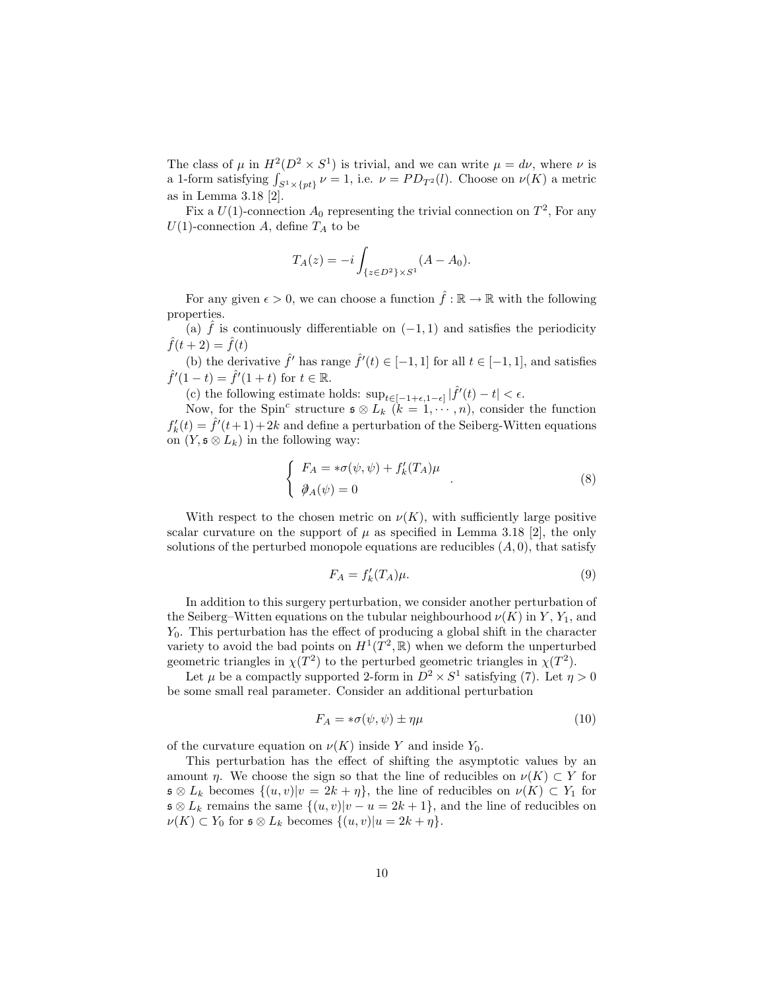The class of  $\mu$  in  $H^2(D^2 \times S^1)$  is trivial, and we can write  $\mu = d\nu$ , where  $\nu$  is a 1-form satisfying  $\int_{S^1 \times \{pt\}} \nu = 1$ , i.e.  $\nu = PD_{T^2}(l)$ . Choose on  $\nu(K)$  a metric as in Lemma 3.18 [2].

Fix a  $U(1)$ -connection  $A_0$  representing the trivial connection on  $T^2$ , For any  $U(1)$ -connection A, define  $T_A$  to be

$$
T_A(z) = -i \int_{\{z \in D^2\} \times S^1} (A - A_0).
$$

For any given  $\epsilon > 0$ , we can choose a function  $\hat{f} : \mathbb{R} \to \mathbb{R}$  with the following properties.

(a) f is continuously differentiable on  $(-1, 1)$  and satisfies the periodicity  $\hat{f}(t+2) = \hat{f}(t)$ 

(b) the derivative  $\hat{f}'$  has range  $\hat{f}'(t) \in [-1, 1]$  for all  $t \in [-1, 1]$ , and satisfies  $\hat{f}'(1-t) = \hat{f}'(1+t)$  for  $t \in \mathbb{R}$ .

(c) the following estimate holds:  $\sup_{t \in [-1+\epsilon, 1-\epsilon]} |\hat{f}'(t) - t| < \epsilon$ .

Now, for the Spin<sup>c</sup> structure  $\mathfrak{s} \otimes L_k$   $(k = 1, \dots, n)$ , consider the function  $f'_{k}(t) = \hat{f}'(t+1) + 2k$  and define a perturbation of the Seiberg-Witten equations on  $(Y, \mathfrak{s} \otimes L_k)$  in the following way:

$$
\begin{cases}\nF_A = * \sigma(\psi, \psi) + f'_k(T_A)\mu \\
\partial_A(\psi) = 0\n\end{cases} \tag{8}
$$

With respect to the chosen metric on  $\nu(K)$ , with sufficiently large positive scalar curvature on the support of  $\mu$  as specified in Lemma 3.18 [2], the only solutions of the perturbed monopole equations are reducibles  $(A, 0)$ , that satisfy

$$
F_A = f'_k(T_A)\mu.
$$
\n<sup>(9)</sup>

In addition to this surgery perturbation, we consider another perturbation of the Seiberg–Witten equations on the tubular neighbourhood  $\nu(K)$  in Y, Y<sub>1</sub>, and  $Y_0$ . This perturbation has the effect of producing a global shift in the character variety to avoid the bad points on  $H^1(T^2, \mathbb{R})$  when we deform the unperturbed geometric triangles in  $\chi(T^2)$  to the perturbed geometric triangles in  $\chi(T^2)$ .

Let  $\mu$  be a compactly supported 2-form in  $D^2 \times S^1$  satisfying (7). Let  $\eta > 0$ be some small real parameter. Consider an additional perturbation

$$
F_A = * \sigma(\psi, \psi) \pm \eta \mu \tag{10}
$$

of the curvature equation on  $\nu(K)$  inside Y and inside Y<sub>0</sub>.

This perturbation has the effect of shifting the asymptotic values by an amount  $\eta$ . We choose the sign so that the line of reducibles on  $\nu(K) \subset Y$  for  $\mathfrak{s} \otimes L_k$  becomes  $\{(u, v)|v = 2k + \eta\}$ , the line of reducibles on  $\nu(K) \subset Y_1$  for  $\mathfrak{s} \otimes L_k$  remains the same  $\{(u, v)|v - u = 2k + 1\}$ , and the line of reducibles on  $\nu(K) \subset Y_0$  for  $\mathfrak{s} \otimes L_k$  becomes  $\{(u, v)|u = 2k + \eta\}.$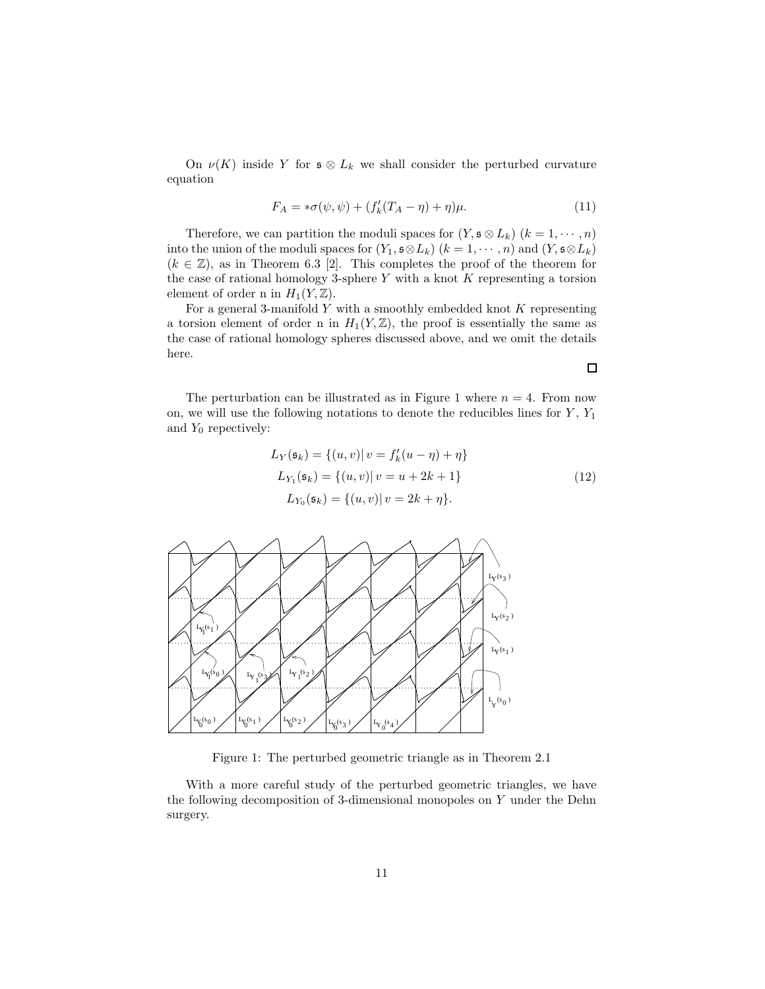On  $\nu(K)$  inside Y for  $\mathfrak{s} \otimes L_k$  we shall consider the perturbed curvature equation

$$
F_A = * \sigma(\psi, \psi) + (f'_k(T_A - \eta) + \eta)\mu.
$$
 (11)

Therefore, we can partition the moduli spaces for  $(Y, \mathfrak{s} \otimes L_k)$   $(k = 1, \dots, n)$ into the union of the moduli spaces for  $(Y_1, \mathfrak{s} \otimes L_k)$   $(k = 1, \dots, n)$  and  $(Y, \mathfrak{s} \otimes L_k)$  $(k \in \mathbb{Z})$ , as in Theorem 6.3 [2]. This completes the proof of the theorem for the case of rational homology 3-sphere  $Y$  with a knot  $K$  representing a torsion element of order n in  $H_1(Y, \mathbb{Z})$ .

For a general 3-manifold  $Y$  with a smoothly embedded knot  $K$  representing a torsion element of order n in  $H_1(Y,\mathbb{Z})$ , the proof is essentially the same as the case of rational homology spheres discussed above, and we omit the details here.

The perturbation can be illustrated as in Figure 1 where  $n = 4$ . From now on, we will use the following notations to denote the reducibles lines for  $Y$ ,  $Y_1$ and  $Y_0$  repectively:

$$
L_Y(\mathfrak{s}_k) = \{(u, v) | v = f'_k(u - \eta) + \eta\}
$$
  
\n
$$
L_{Y_1}(\mathfrak{s}_k) = \{(u, v) | v = u + 2k + 1\}
$$
  
\n
$$
L_{Y_0}(\mathfrak{s}_k) = \{(u, v) | v = 2k + \eta\}.
$$
\n(12)



Figure 1: The perturbed geometric triangle as in Theorem 2.1

With a more careful study of the perturbed geometric triangles, we have the following decomposition of 3-dimensional monopoles on Y under the Dehn surgery.

 $\Box$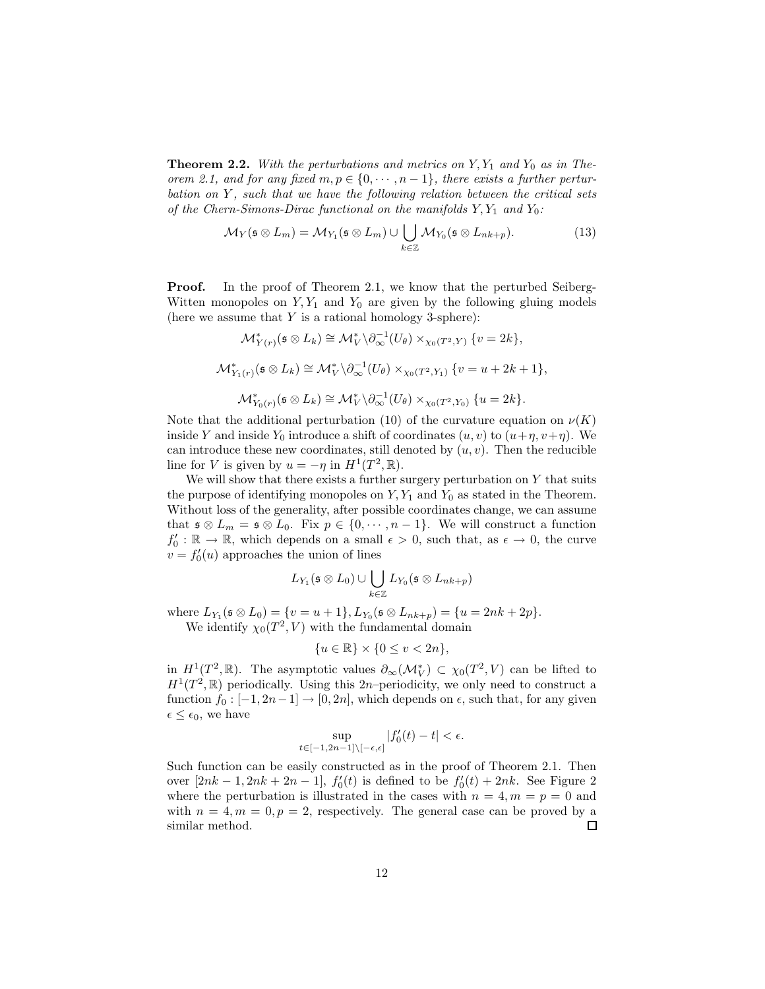**Theorem 2.2.** With the perturbations and metrics on  $Y, Y_1$  and  $Y_0$  as in The*orem 2.1, and for any fixed*  $m, p \in \{0, \dots, n-1\}$ , there exists a further pertur*bation on* Y *, such that we have the following relation between the critical sets of the Chern-Simons-Dirac functional on the manifolds*  $Y, Y_1$  *and*  $Y_0$ *:* 

$$
\mathcal{M}_Y(\mathfrak{s} \otimes L_m) = \mathcal{M}_{Y_1}(\mathfrak{s} \otimes L_m) \cup \bigcup_{k \in \mathbb{Z}} \mathcal{M}_{Y_0}(\mathfrak{s} \otimes L_{nk+p}). \tag{13}
$$

**Proof.** In the proof of Theorem 2.1, we know that the perturbed Seiberg-Witten monopoles on  $Y, Y_1$  and  $Y_0$  are given by the following gluing models (here we assume that  $Y$  is a rational homology 3-sphere):

$$
\mathcal{M}_{Y(r)}^*(\mathfrak{s} \otimes L_k) \cong \mathcal{M}_V^* \backslash \partial_{\infty}^{-1}(U_{\theta}) \times_{\chi_0(T^2,Y)} \{v = 2k\},
$$
  

$$
\mathcal{M}_{Y_1(r)}^*(\mathfrak{s} \otimes L_k) \cong \mathcal{M}_V^* \backslash \partial_{\infty}^{-1}(U_{\theta}) \times_{\chi_0(T^2,Y_1)} \{v = u + 2k + 1\},
$$
  

$$
\mathcal{M}_{Y_0(r)}^*(\mathfrak{s} \otimes L_k) \cong \mathcal{M}_V^* \backslash \partial_{\infty}^{-1}(U_{\theta}) \times_{\chi_0(T^2,Y_0)} \{u = 2k\}.
$$

Note that the additional perturbation (10) of the curvature equation on  $\nu(K)$ inside Y and inside Y<sub>0</sub> introduce a shift of coordinates  $(u, v)$  to  $(u + \eta, v + \eta)$ . We can introduce these new coordinates, still denoted by  $(u, v)$ . Then the reducible line for V is given by  $u = -\eta$  in  $H^1(T^2, \mathbb{R})$ .

We will show that there exists a further surgery perturbation on  $Y$  that suits the purpose of identifying monopoles on  $Y, Y_1$  and  $Y_0$  as stated in the Theorem. Without loss of the generality, after possible coordinates change, we can assume that  $\mathfrak{s} \otimes L_m = \mathfrak{s} \otimes L_0$ . Fix  $p \in \{0, \dots, n-1\}$ . We will construct a function  $f'_0: \mathbb{R} \to \mathbb{R}$ , which depends on a small  $\epsilon > 0$ , such that, as  $\epsilon \to 0$ , the curve  $v = f_0'(u)$  approaches the union of lines

$$
L_{Y_1}(\mathfrak{s} \otimes L_0) \cup \bigcup_{k \in \mathbb{Z}} L_{Y_0}(\mathfrak{s} \otimes L_{nk+p})
$$

where  $L_{Y_1}(\mathfrak{s} \otimes L_0) = \{v = u + 1\}, L_{Y_0}(\mathfrak{s} \otimes L_{nk+p}) = \{u = 2nk + 2p\}.$ We identify  $\chi_0(T^2, V)$  with the fundamental domain

$$
\{u \in \mathbb{R}\} \times \{0 \le v < 2n\},\
$$

in  $H^1(T^2, \mathbb{R})$ . The asymptotic values  $\partial_{\infty}(\mathcal{M}_V^*) \subset \chi_0(T^2, V)$  can be lifted to  $H^1(T^2,\mathbb{R})$  periodically. Using this 2n-periodicity, we only need to construct a function  $f_0 : [-1, 2n-1] \rightarrow [0, 2n]$ , which depends on  $\epsilon$ , such that, for any given  $\epsilon \leq \epsilon_0$ , we have

$$
\sup_{t\in [-1,2n-1]\backslash [-\epsilon,\epsilon]}|f'_0(t)-t|<\epsilon.
$$

Such function can be easily constructed as in the proof of Theorem 2.1. Then over  $[2nk - 1, 2nk + 2n - 1]$ ,  $f'_0(t)$  is defined to be  $f'_0(t) + 2nk$ . See Figure 2 where the perturbation is illustrated in the cases with  $n = 4, m = p = 0$  and with  $n = 4, m = 0, p = 2$ , respectively. The general case can be proved by a similar method.  $\Box$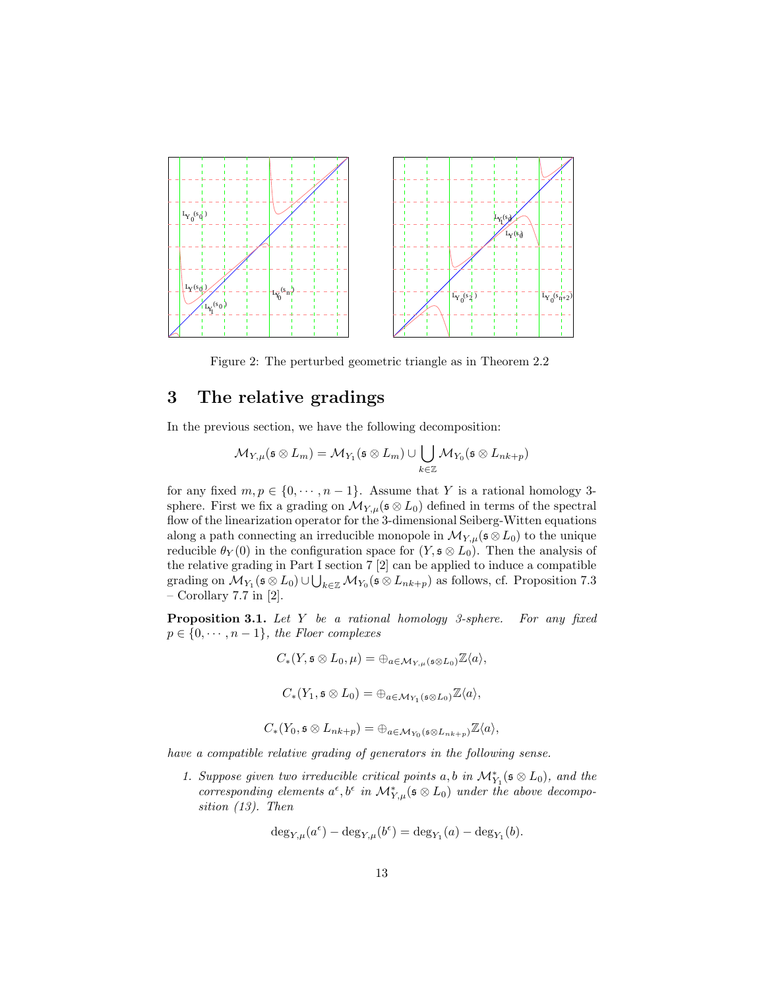

Figure 2: The perturbed geometric triangle as in Theorem 2.2

# 3 The relative gradings

In the previous section, we have the following decomposition:

$$
\mathcal{M}_{Y,\mu}(\mathfrak{s} \otimes L_m) = \mathcal{M}_{Y_1}(\mathfrak{s} \otimes L_m) \cup \bigcup_{k \in \mathbb{Z}} \mathcal{M}_{Y_0}(\mathfrak{s} \otimes L_{nk+p})
$$

for any fixed  $m, p \in \{0, \dots, n-1\}$ . Assume that Y is a rational homology 3sphere. First we fix a grading on  $\mathcal{M}_{Y,\mu}(\mathfrak{s} \otimes L_0)$  defined in terms of the spectral flow of the linearization operator for the 3-dimensional Seiberg-Witten equations along a path connecting an irreducible monopole in  $\mathcal{M}_{Y,\mu}(\mathfrak{s} \otimes L_0)$  to the unique reducible  $\theta_Y(0)$  in the configuration space for  $(Y, \mathfrak{s} \otimes L_0)$ . Then the analysis of the relative grading in Part I section 7 [2] can be applied to induce a compatible grading on  $\mathcal{M}_{Y_1}(\mathfrak{s} \otimes L_0) \cup \bigcup_{k \in \mathbb{Z}} \mathcal{M}_{Y_0}(\mathfrak{s} \otimes L_{nk+p})$  as follows, cf. Proposition 7.3 – Corollary 7.7 in [2].

Proposition 3.1. *Let* Y *be a rational homology 3-sphere. For any fixed*  $p \in \{0, \cdots, n-1\}$ , the Floer complexes

$$
C_*(Y, \mathfrak{s} \otimes L_0, \mu) = \bigoplus_{a \in \mathcal{M}_{Y, \mu}(\mathfrak{s} \otimes L_0)} \mathbb{Z}\langle a \rangle,
$$
  

$$
C_*(Y_1, \mathfrak{s} \otimes L_0) = \bigoplus_{a \in \mathcal{M}_{Y_1}(\mathfrak{s} \otimes L_0)} \mathbb{Z}\langle a \rangle,
$$
  

$$
C_*(Y_0, \mathfrak{s} \otimes L_{nk+p}) = \bigoplus_{a \in \mathcal{M}_{Y_0}(\mathfrak{s} \otimes L_{nk+p})} \mathbb{Z}\langle a \rangle,
$$

*have a compatible relative grading of generators in the following sense.*

*1. Suppose given two irreducible critical points*  $a, b$  *in*  $\mathcal{M}_{Y_1}^*(\mathfrak{s} \otimes L_0)$ *, and the* corresponding elements  $a^{\epsilon}, b^{\epsilon}$  in  $\mathcal{M}_{Y,\mu}^{*}(\mathfrak{s} \otimes L_0)$  under the above decompo*sition (13). Then*

$$
\deg_{Y,\mu}(a^{\epsilon}) - \deg_{Y,\mu}(b^{\epsilon}) = \deg_{Y_1}(a) - \deg_{Y_1}(b).
$$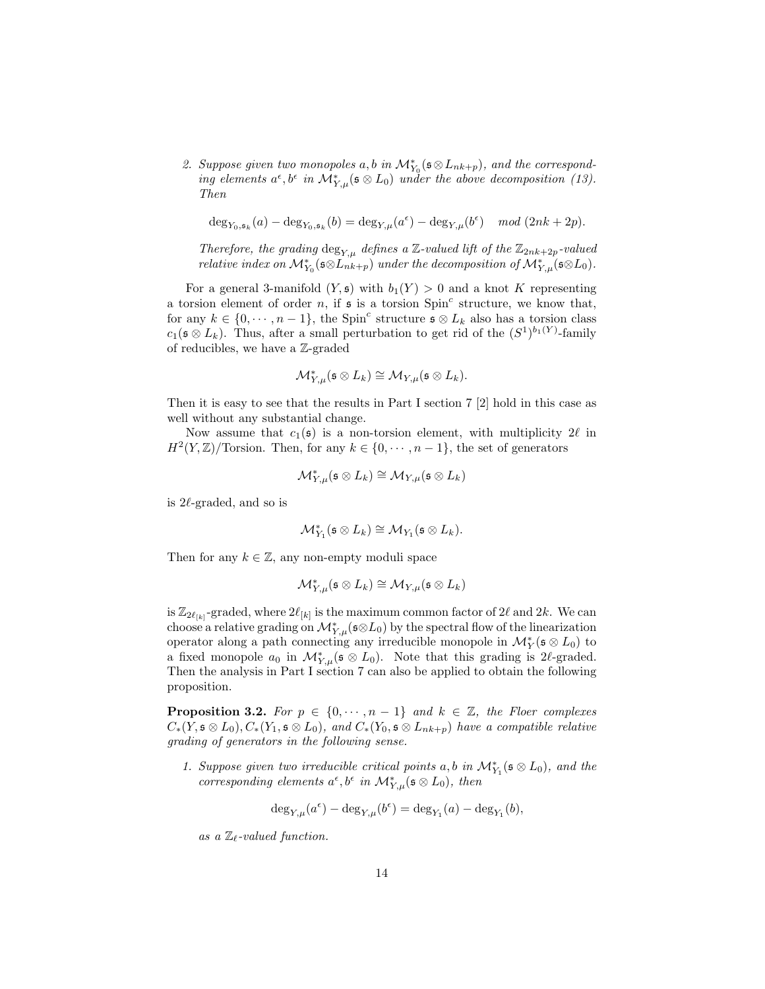2. Suppose given two monopoles  $a, b$  in  $\mathcal{M}_{Y_0}^*(\mathfrak{s} \otimes L_{nk+p})$ , and the correspond*ing elements*  $a^{\epsilon}, b^{\epsilon}$  *in*  $\mathcal{M}_{Y,\mu}^{*}(\mathfrak{s} \otimes L_0)$  *under the above decomposition (13). Then*

$$
\deg_{Y_0, \mathfrak{s}_k}(a) - \deg_{Y_0, \mathfrak{s}_k}(b) = \deg_{Y, \mu}(a^{\epsilon}) - \deg_{Y, \mu}(b^{\epsilon}) \mod (2nk + 2p).
$$

*Therefore, the grading*  $\deg_{Y,\mu}$  *defines a* Z-valued lift of the  $\mathbb{Z}_{2nk+2p}$ -valued *relative index on*  $\mathcal{M}_{Y_0}^*(\mathfrak{s} \otimes L_{nk+p}^*)$  *under the decomposition of*  $\mathcal{M}_{Y,\mu}^*(\mathfrak{s} \otimes L_0)$ *.* 

For a general 3-manifold  $(Y, \mathfrak{s})$  with  $b_1(Y) > 0$  and a knot K representing a torsion element of order n, if  $\mathfrak s$  is a torsion  $Spin^c$  structure, we know that, for any  $k \in \{0, \dots, n-1\}$ , the Spin<sup>c</sup> structure  $\mathfrak{s} \otimes L_k$  also has a torsion class  $c_1(\mathfrak{s} \otimes L_k)$ . Thus, after a small perturbation to get rid of the  $(S^1)^{b_1(Y)}$ -family of reducibles, we have a Z-graded

$$
\mathcal M^*_{Y,\mu}(\mathfrak s\otimes L_k)\cong \mathcal M_{Y,\mu}(\mathfrak s\otimes L_k).
$$

Then it is easy to see that the results in Part I section 7 [2] hold in this case as well without any substantial change.

Now assume that  $c_1(s)$  is a non-torsion element, with multiplicity  $2\ell$  in  $H^2(Y,\mathbb{Z})$ /Torsion. Then, for any  $k \in \{0, \cdots, n-1\}$ , the set of generators

$$
\mathcal M^*_{Y,\mu}(\mathfrak s\otimes L_k)\cong \mathcal M_{Y,\mu}(\mathfrak s\otimes L_k)
$$

is  $2\ell$ -graded, and so is

$$
\mathcal{M}_{Y_1}^*(\mathfrak{s} \otimes L_k) \cong \mathcal{M}_{Y_1}(\mathfrak{s} \otimes L_k).
$$

Then for any  $k \in \mathbb{Z}$ , any non-empty moduli space

$$
\mathcal{M}_{Y,\mu}^*(\mathfrak{s} \otimes L_k) \cong \mathcal{M}_{Y,\mu}(\mathfrak{s} \otimes L_k)
$$

is  $\mathbb{Z}_{2\ell_{[k]}}$ -graded, where  $2\ell_{[k]}$  is the maximum common factor of  $2\ell$  and  $2k$ . We can choose a relative grading on  $\mathcal{M}_{Y,\mu}^*(\mathfrak{s} \otimes L_0)$  by the spectral flow of the linearization operator along a path connecting any irreducible monopole in  $\mathcal{M}_Y^*(\mathfrak{s} \otimes L_0)$  to a fixed monopole  $a_0$  in  $\mathcal{M}_{Y,\mu}^*(\mathfrak{s} \otimes L_0)$ . Note that this grading is 2l-graded. Then the analysis in Part I section 7 can also be applied to obtain the following proposition.

**Proposition 3.2.** *For*  $p \in \{0, \dots, n-1\}$  *and*  $k \in \mathbb{Z}$ *, the Floer complexes*  $C_*(Y, \mathfrak{s} \otimes L_0), C_*(Y_1, \mathfrak{s} \otimes L_0),$  and  $C_*(Y_0, \mathfrak{s} \otimes L_{nk+p})$  have a compatible relative *grading of generators in the following sense.*

*1. Suppose given two irreducible critical points*  $a, b$  *in*  $\mathcal{M}_{Y_1}^*(\mathfrak{s} \otimes L_0)$ *, and the corresponding elements*  $a^{\epsilon}, b^{\epsilon}$  *in*  $\mathcal{M}_{Y,\mu}^{*}(\mathfrak{s} \otimes L_0)$ *, then* 

$$
\deg_{Y,\mu}(a^{\epsilon}) - \deg_{Y,\mu}(b^{\epsilon}) = \deg_{Y_1}(a) - \deg_{Y_1}(b),
$$

*as a* Zℓ*-valued function.*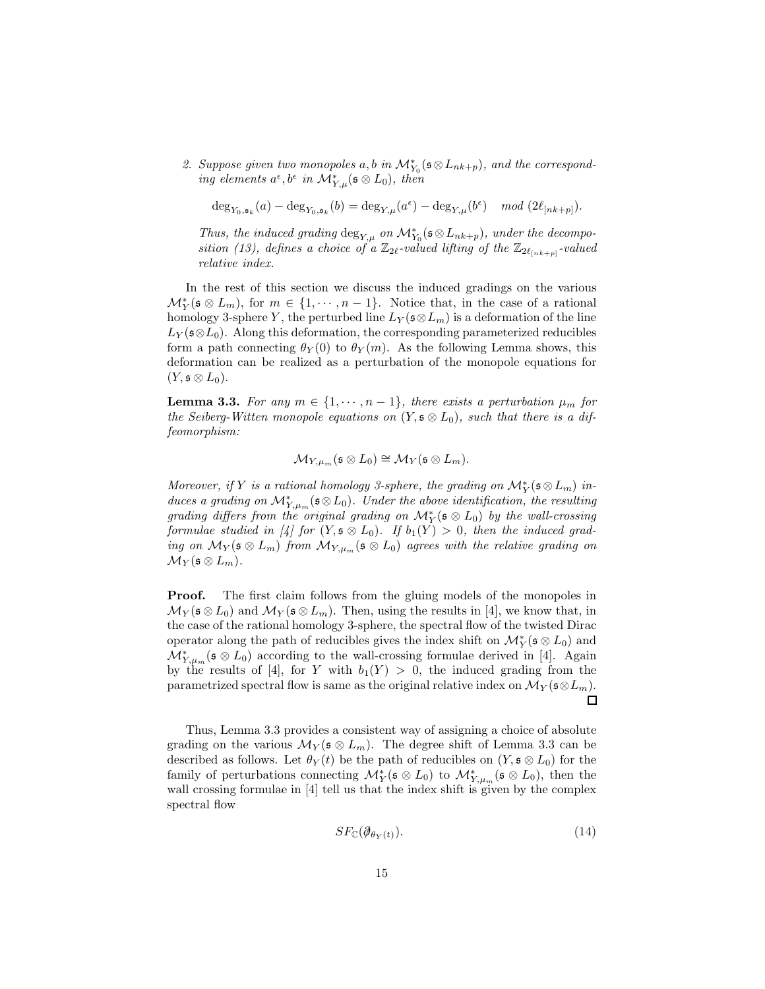2. Suppose given two monopoles  $a, b$  in  $\mathcal{M}_{Y_0}^*(\mathfrak{s} \otimes L_{nk+p})$ , and the correspond- $\hat{u}$  *in*  $\mathcal{M}_{Y,\mu}^*$  ( $\mathfrak{s} \otimes L_0$ ), then

$$
\deg_{Y_0,\mathfrak{s}_k}(a) - \deg_{Y_0,\mathfrak{s}_k}(b) = \deg_{Y,\mu}(a^{\epsilon}) - \deg_{Y,\mu}(b^{\epsilon}) \mod (2\ell_{[nk+p]}).
$$

*Thus, the induced grading*  $\deg_{Y,\mu}$  *on*  $\mathcal{M}_{Y_0}^*(\mathfrak{s} \otimes L_{nk+p})$ *, under the decomposition (13), defines a choice of a*  $\mathbb{Z}_{2\ell}$ -valued lifting of the  $\mathbb{Z}_{2\ell_{[nk+p]}}$ -valued *relative index.*

In the rest of this section we discuss the induced gradings on the various  $\mathcal{M}_Y^*$  ( $\mathfrak{s} \otimes L_m$ ), for  $m \in \{1, \cdots, n-1\}$ . Notice that, in the case of a rational homology 3-sphere Y, the perturbed line  $L_Y(\mathfrak{s} \otimes L_m)$  is a deformation of the line  $L_Y(\mathfrak{s}\otimes L_0)$ . Along this deformation, the corresponding parameterized reducibles form a path connecting  $\theta_Y(0)$  to  $\theta_Y(m)$ . As the following Lemma shows, this deformation can be realized as a perturbation of the monopole equations for  $(Y, \mathfrak{s} \otimes L_0).$ 

**Lemma 3.3.** For any  $m \in \{1, \dots, n-1\}$ , there exists a perturbation  $\mu_m$  for *the Seiberg-Witten monopole equations on*  $(Y, \mathfrak{s} \otimes L_0)$ *, such that there is a diffeomorphism:*

$$
\mathcal{M}_{Y,\mu_m}(\mathfrak{s} \otimes L_0) \cong \mathcal{M}_Y(\mathfrak{s} \otimes L_m).
$$

*Moreover, if* Y *is a rational homology 3-sphere, the grading on*  $\mathcal{M}_Y^*(\mathfrak{s} \otimes L_m)$  *induces a grading on*  $\mathcal{M}_{Y,\mu_m}^*(\mathfrak{s} \otimes L_0)$ *. Under the above identification, the resulting*  $\emph{grading differs from the original grading on $\mathcal{M}^*_Y(\mathfrak{s} \otimes L_0)$ by the wall-crossing.}$ *formulae studied in* [4] for  $(Y, \mathfrak{s} \otimes L_0)$ . If  $b_1(Y) > 0$ , then the induced grad*ing on*  $\mathcal{M}_Y(\mathfrak{s} \otimes L_m)$  *from*  $\mathcal{M}_{Y,\mu_m}(\mathfrak{s} \otimes L_0)$  *agrees with the relative grading on*  $\mathcal{M}_Y(\mathfrak{s} \otimes L_m).$ 

**Proof.** The first claim follows from the gluing models of the monopoles in  $\mathcal{M}_Y(\mathfrak{s} \otimes L_0)$  and  $\mathcal{M}_Y(\mathfrak{s} \otimes L_m)$ . Then, using the results in [4], we know that, in the case of the rational homology 3-sphere, the spectral flow of the twisted Dirac operator along the path of reducibles gives the index shift on  $\mathcal{M}_Y^*(\mathfrak{s} \otimes L_0)$  and  $\mathcal{M}_{Y,\mu_m}^*$  (s  $\otimes L_0$ ) according to the wall-crossing formulae derived in [4]. Again by the results of [4], for Y with  $b_1(Y) > 0$ , the induced grading from the parametrized spectral flow is same as the original relative index on  $\mathcal{M}_Y(\mathfrak{s}\otimes L_m)$ . П

Thus, Lemma 3.3 provides a consistent way of assigning a choice of absolute grading on the various  $\mathcal{M}_{Y}(\mathfrak{s} \otimes L_m)$ . The degree shift of Lemma 3.3 can be described as follows. Let  $\theta_Y(t)$  be the path of reducibles on  $(Y, \mathfrak{s} \otimes L_0)$  for the family of perturbations connecting  $\mathcal{M}_Y^*(\mathfrak{s} \otimes L_0)$  to  $\mathcal{M}_{Y,\mu_m}^*(\mathfrak{s} \otimes L_0)$ , then the wall crossing formulae in [4] tell us that the index shift is given by the complex spectral flow

$$
SF_{\mathbb{C}}(\partial_{\theta_Y(t)}).
$$
\n(14)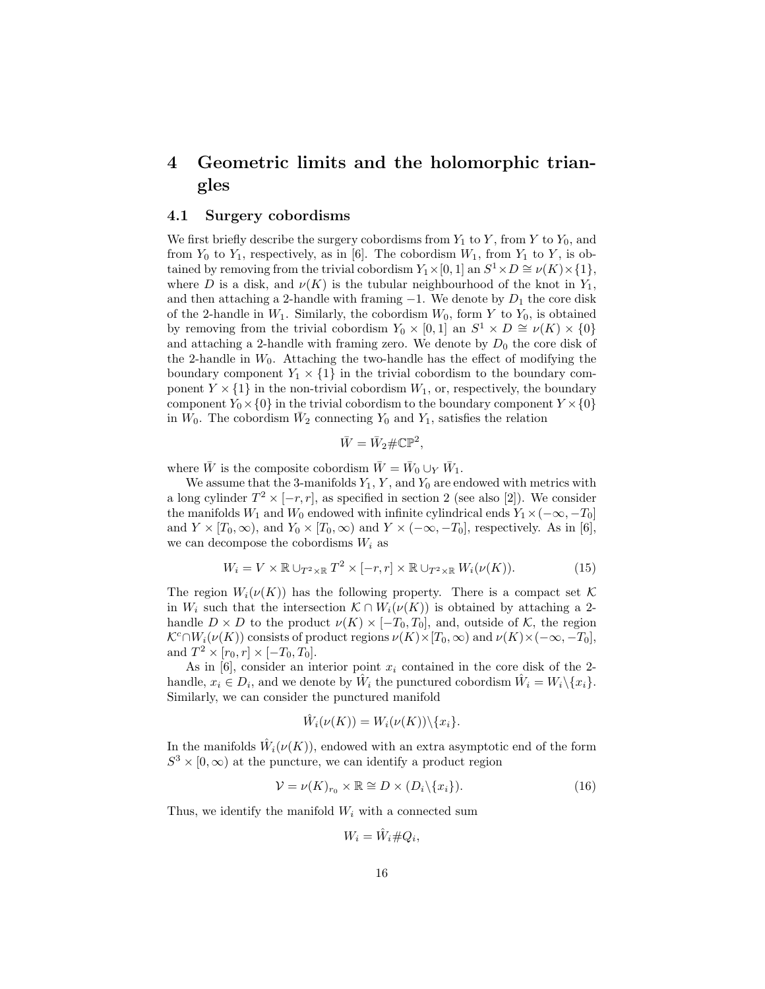# 4 Geometric limits and the holomorphic triangles

#### 4.1 Surgery cobordisms

We first briefly describe the surgery cobordisms from  $Y_1$  to  $Y$ , from  $Y$  to  $Y_0$ , and from  $Y_0$  to  $Y_1$ , respectively, as in [6]. The cobordism  $W_1$ , from  $Y_1$  to Y, is obtained by removing from the trivial cobordism  $Y_1 \times [0, 1]$  an  $S^1 \times D \cong \nu(K) \times \{1\}$ , where D is a disk, and  $\nu(K)$  is the tubular neighbourhood of the knot in  $Y_1$ , and then attaching a 2-handle with framing  $-1$ . We denote by  $D_1$  the core disk of the 2-handle in  $W_1$ . Similarly, the cobordism  $W_0$ , form Y to  $Y_0$ , is obtained by removing from the trivial cobordism  $Y_0 \times [0,1]$  an  $S^1 \times D \cong \nu(K) \times \{0\}$ and attaching a 2-handle with framing zero. We denote by  $D_0$  the core disk of the 2-handle in  $W_0$ . Attaching the two-handle has the effect of modifying the boundary component  $Y_1 \times \{1\}$  in the trivial cobordism to the boundary component  $Y \times \{1\}$  in the non-trivial cobordism  $W_1$ , or, respectively, the boundary component  $Y_0 \times \{0\}$  in the trivial cobordism to the boundary component  $Y \times \{0\}$ in  $W_0$ . The cobordism  $\bar{W}_2$  connecting  $Y_0$  and  $Y_1$ , satisfies the relation

$$
\bar{W} = \bar{W}_2 \# \mathbb{CP}^2,
$$

where  $\bar{W}$  is the composite cobordism  $\bar{W} = \bar{W}_0 \cup_Y \bar{W}_1$ .

We assume that the 3-manifolds  $Y_1, Y$ , and  $Y_0$  are endowed with metrics with a long cylinder  $T^2 \times [-r, r]$ , as specified in section 2 (see also [2]). We consider the manifolds  $W_1$  and  $W_0$  endowed with infinite cylindrical ends  $Y_1 \times (-\infty, -T_0]$ and  $Y \times [T_0, \infty)$ , and  $Y_0 \times [T_0, \infty)$  and  $Y \times (-\infty, -T_0]$ , respectively. As in [6], we can decompose the cobordisms  $W_i$  as

$$
W_i = V \times \mathbb{R} \cup_{T^2 \times \mathbb{R}} T^2 \times [-r, r] \times \mathbb{R} \cup_{T^2 \times \mathbb{R}} W_i(\nu(K)).
$$
 (15)

The region  $W_i(\nu(K))$  has the following property. There is a compact set K in  $W_i$  such that the intersection  $\mathcal{K} \cap W_i(\nu(K))$  is obtained by attaching a 2handle  $D \times D$  to the product  $\nu(K) \times [-T_0, T_0]$ , and, outside of K, the region  $\mathcal{K}^c \cap W_i(\nu(K))$  consists of product regions  $\nu(K) \times [T_0, \infty)$  and  $\nu(K) \times (-\infty, -T_0],$ and  $T^2 \times [r_0, r] \times [-T_0, T_0].$ 

As in  $[6]$ , consider an interior point  $x_i$  contained in the core disk of the 2handle,  $x_i \in D_i$ , and we denote by  $\hat{W}_i$  the punctured cobordism  $\hat{W}_i = W_i \setminus \{x_i\}$ . Similarly, we can consider the punctured manifold

$$
\hat{W}_i(\nu(K)) = W_i(\nu(K)) \setminus \{x_i\}.
$$

In the manifolds  $\hat{W}_i(\nu(K))$ , endowed with an extra asymptotic end of the form  $S^3 \times [0, \infty)$  at the puncture, we can identify a product region

$$
\mathcal{V} = \nu(K)_{r_0} \times \mathbb{R} \cong D \times (D_i \backslash \{x_i\}).\tag{16}
$$

Thus, we identify the manifold  $W_i$  with a connected sum

$$
W_i = \hat{W}_i \# Q_i,
$$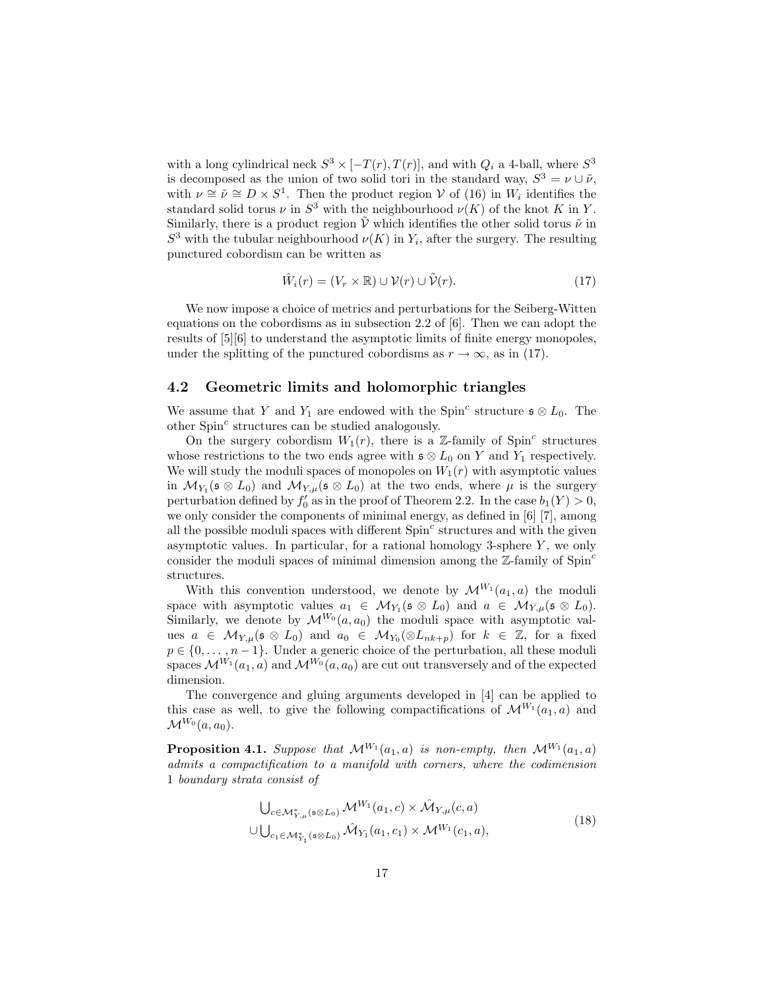with a long cylindrical neck  $S^3 \times [-T(r), T(r)]$ , and with  $Q_i$  a 4-ball, where  $S^3$ is decomposed as the union of two solid tori in the standard way,  $S^3 = \nu \cup \tilde{\nu}$ , with  $\nu \cong \tilde{\nu} \cong D \times S^1$ . Then the product region  $\mathcal V$  of (16) in  $W_i$  identifies the standard solid torus  $\nu$  in  $S^3$  with the neighbourhood  $\nu(K)$  of the knot K in Y. Similarly, there is a product region  $\tilde{V}$  which identifies the other solid torus  $\tilde{\nu}$  in  $S^3$  with the tubular neighbourhood  $\nu(K)$  in  $Y_i$ , after the surgery. The resulting punctured cobordism can be written as

$$
\hat{W}_i(r) = (V_r \times \mathbb{R}) \cup \mathcal{V}(r) \cup \tilde{\mathcal{V}}(r). \tag{17}
$$

We now impose a choice of metrics and perturbations for the Seiberg-Witten equations on the cobordisms as in subsection 2.2 of [6]. Then we can adopt the results of [5][6] to understand the asymptotic limits of finite energy monopoles, under the splitting of the punctured cobordisms as  $r \to \infty$ , as in (17).

#### 4.2 Geometric limits and holomorphic triangles

We assume that Y and  $Y_1$  are endowed with the Spin<sup>c</sup> structure  $\mathfrak{s} \otimes L_0$ . The other  $Spin<sup>c</sup>$  structures can be studied analogously.

On the surgery cobordism  $W_1(r)$ , there is a Z-family of Spin<sup>c</sup> structures whose restrictions to the two ends agree with  $\mathfrak{s} \otimes L_0$  on Y and Y<sub>1</sub> respectively. We will study the moduli spaces of monopoles on  $W_1(r)$  with asymptotic values in  $\mathcal{M}_{Y_1}(\mathfrak{s} \otimes L_0)$  and  $\mathcal{M}_{Y,\mu}(\mathfrak{s} \otimes L_0)$  at the two ends, where  $\mu$  is the surgery perturbation defined by  $f'_0$  as in the proof of Theorem 2.2. In the case  $b_1(Y) > 0$ , we only consider the components of minimal energy, as defined in [6] [7], among all the possible moduli spaces with different  $Spin<sup>c</sup>$  structures and with the given asymptotic values. In particular, for a rational homology 3-sphere  $Y$ , we only consider the moduli spaces of minimal dimension among the  $\mathbb{Z}$ -family of Spin<sup>c</sup> structures.

With this convention understood, we denote by  $\mathcal{M}^{W_1}(a_1, a)$  the moduli space with asymptotic values  $a_1 \in M_{Y_1}(\mathfrak{s} \otimes L_0)$  and  $a \in M_{Y,\mu}(\mathfrak{s} \otimes L_0)$ . Similarly, we denote by  $\mathcal{M}^{W_0}(a, a_0)$  the moduli space with asymptotic values  $a \in \mathcal{M}_{Y,\mu}(\mathfrak{s} \otimes L_0)$  and  $a_0 \in \mathcal{M}_{Y_0}(\otimes L_{nk+p})$  for  $k \in \mathbb{Z}$ , for a fixed  $p \in \{0, \ldots, n-1\}$ . Under a generic choice of the perturbation, all these moduli spaces  $\mathcal{M}^{W_1}(a_1, a)$  and  $\mathcal{M}^{W_0}(a, a_0)$  are cut out transversely and of the expected dimension.

The convergence and gluing arguments developed in [4] can be applied to this case as well, to give the following compactifications of  $\mathcal{M}^{W_1}(a_1, a)$  and  $\mathcal{M}^{W_0}(a, a_0)$ .

**Proposition 4.1.** *Suppose that*  $\mathcal{M}^{W_1}(a_1, a)$  *is non-empty, then*  $\mathcal{M}^{W_1}(a_1, a)$ *admits a compactification to a manifold with corners, where the codimension* 1 *boundary strata consist of*

$$
\bigcup_{c \in \mathcal{M}_{Y,\mu}^*(\mathfrak{s} \otimes L_0)} \mathcal{M}^{W_1}(a_1, c) \times \hat{\mathcal{M}}_{Y,\mu}(c, a)
$$
  

$$
\cup \bigcup_{c_1 \in \mathcal{M}_{Y_1}^*(\mathfrak{s} \otimes L_0)} \hat{\mathcal{M}}_{Y_1}(a_1, c_1) \times \mathcal{M}^{W_1}(c_1, a),
$$
 (18)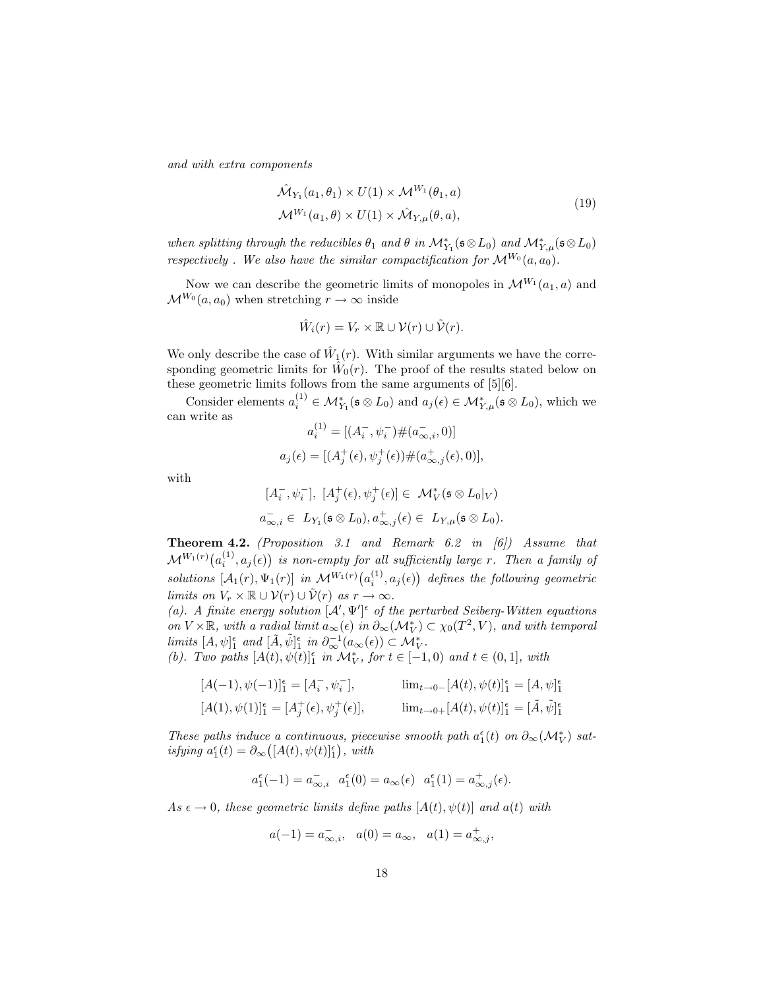*and with extra components*

$$
\hat{\mathcal{M}}_{Y_1}(a_1, \theta_1) \times U(1) \times \mathcal{M}^{W_1}(\theta_1, a)
$$
\n
$$
\mathcal{M}^{W_1}(a_1, \theta) \times U(1) \times \hat{\mathcal{M}}_{Y, \mu}(\theta, a),
$$
\n(19)

*when splitting through the reducibles*  $\theta_1$  *and*  $\theta$  *in*  $\mathcal{M}_{Y_1}^*(\mathfrak{s} \otimes L_0)$  *and*  $\mathcal{M}_{Y,\mu}^*(\mathfrak{s} \otimes L_0)$ *respectively . We also have the similar compactification for*  $\mathcal{M}^{W_0}(a, a_0)$ .

Now we can describe the geometric limits of monopoles in  $\mathcal{M}^{W_1}(a_1, a)$  and  $\mathcal{M}^{W_0}(a, a_0)$  when stretching  $r \to \infty$  inside

$$
\hat{W}_i(r) = V_r \times \mathbb{R} \cup \mathcal{V}(r) \cup \tilde{\mathcal{V}}(r).
$$

We only describe the case of  $\hat{W}_1(r)$ . With similar arguments we have the corresponding geometric limits for  $\hat{W}_0(r)$ . The proof of the results stated below on these geometric limits follows from the same arguments of [5][6].

Consider elements  $a_i^{(1)} \in \mathcal{M}_{Y_1}^*(\mathfrak{s} \otimes L_0)$  and  $a_j(\epsilon) \in \mathcal{M}_{Y,\mu}^*(\mathfrak{s} \otimes L_0)$ , which we can write as

$$
a_i^{(1)} = [(A_i^-, \psi_i^-) \# (a_{\infty, i}^-, 0)]
$$
  

$$
a_j(\epsilon) = [(A_j^+(\epsilon), \psi_j^+(\epsilon)) \# (a_{\infty, j}^+(\epsilon), 0)],
$$

with

$$
[A_i^-, \psi_i^-], [A_j^+(\epsilon), \psi_j^+(\epsilon)] \in \mathcal{M}_V^*(\mathfrak{s} \otimes L_0|_V)
$$
  

$$
a_{\infty, i}^- \in L_{Y_1}(\mathfrak{s} \otimes L_0), a_{\infty, j}^+(\epsilon) \in L_{Y, \mu}(\mathfrak{s} \otimes L_0).
$$

Theorem 4.2. *(Proposition 3.1 and Remark 6.2 in [6]) Assume that*  $\mathcal{M}^{W_1(r)}\big(a^{(1)}_i,a_j(\epsilon)\big)$  is non-empty for all sufficiently large  $r.$  Then a family of  $solutions \; [\mathcal{A}_1(r), \Psi_1(r)] \;$  *in*  $\mathcal{M}^{W_1(r)}(a_i^{(1)}, a_j(\epsilon))$  defines the following geometric *limits on*  $V_r \times \mathbb{R} \cup \mathcal{V}(r) \cup \tilde{\mathcal{V}}(r)$  *as*  $r \to \infty$ *.* 

(a). A finite energy solution  $[\mathcal{A}', \Psi']^{\epsilon}$  of the perturbed Seiberg-Witten equations *on*  $V \times \mathbb{R}$ *, with a radial limit*  $a_{\infty}(\epsilon)$  *in*  $\partial_{\infty}(\mathcal{M}_V^*) \subset \chi_0(T^2, V)$ *, and with temporal limits*  $[A, \psi]_1^{\epsilon}$  *and*  $[\tilde{A}, \tilde{\psi}]_1^{\epsilon}$  *in*  $\partial_{\infty}^{-1}(a_{\infty}(\epsilon)) \subset \mathcal{M}_{V}^{*}$ .

*(b). Two paths*  $[A(t), \psi(t)]_1^{\epsilon}$  *in*  $\mathcal{M}_V^*$ *, for*  $t \in [-1, 0)$  *and*  $t \in (0, 1]$ *, with* 

$$
[A(-1), \psi(-1)]_1^{\epsilon} = [A_i^-, \psi_i^-], \qquad \lim_{t \to 0^-} [A(t), \psi(t)]_1^{\epsilon} = [A, \psi]_1^{\epsilon}
$$
  

$$
[A(1), \psi(1)]_1^{\epsilon} = [A_j^+(\epsilon), \psi_j^+(\epsilon)], \qquad \lim_{t \to 0^+} [A(t), \psi(t)]_1^{\epsilon} = [\tilde{A}, \tilde{\psi}]_1^{\epsilon}
$$

*These paths induce a continuous, piecewise smooth path*  $a_1^{\epsilon}(t)$  *on*  $\partial_{\infty}(\mathcal{M}_V^*)$  *satisfying*  $a_1^{\epsilon}(t) = \partial_{\infty}([A(t), \psi(t)]_1^{\epsilon}), \text{ with}$ 

$$
a_1^\epsilon(-1)=a_{\infty,i}^-\ \ a_1^\epsilon(0)=a_\infty(\epsilon)\ \ a_1^\epsilon(1)=a_{\infty,j}^+(\epsilon).
$$

 $As \epsilon \to 0$ , these geometric limits define paths  $[A(t), \psi(t)]$  and  $a(t)$  with

$$
a(-1) = a_{\infty,i}^{-}
$$
,  $a(0) = a_{\infty}$ ,  $a(1) = a_{\infty,j}^{+}$ ,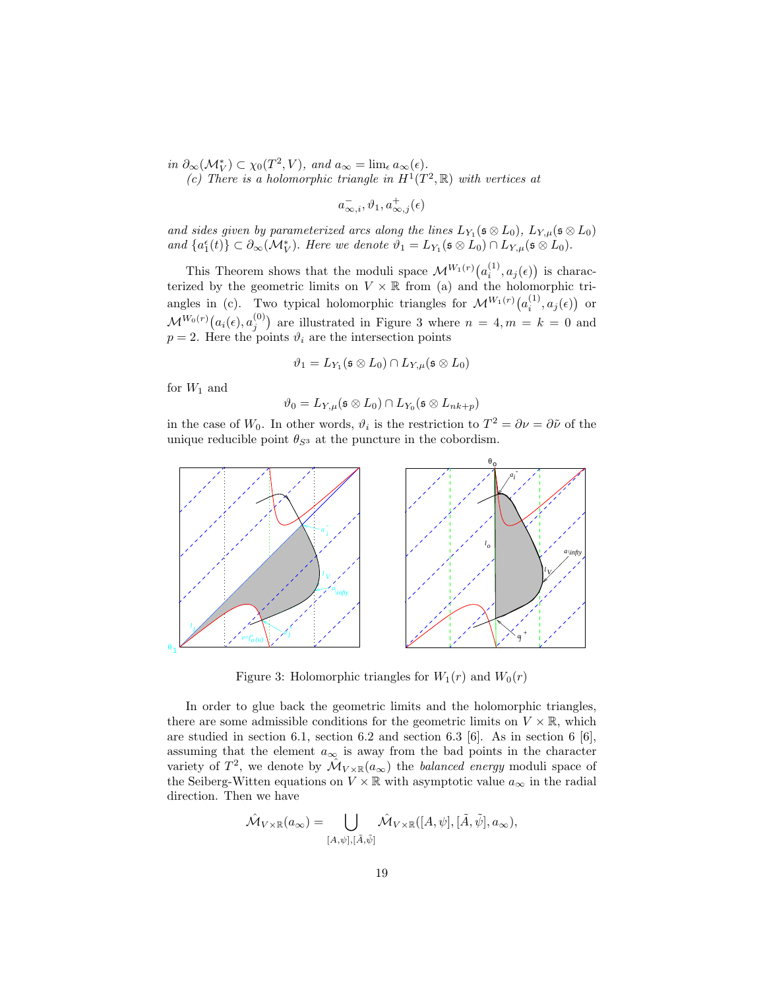$in \partial_{\infty}(\mathcal{M}_V^*) \subset \chi_0(T^2, V)$ *, and*  $a_{\infty} = \lim_{\epsilon} a_{\infty}(\epsilon)$ *.* 

(c) There is a holomorphic triangle in  $H^1(T^2, \mathbb{R})$  with vertices at

 $a^-_{\infty,i}, \vartheta_1, a^+_{\infty,j}(\epsilon)$ 

and sides given by parameterized arcs along the lines  $L_{Y_1}(\mathfrak{s} \otimes L_0)$ ,  $L_{Y,\mu}(\mathfrak{s} \otimes L_0)$ and  $\{a_1^{\epsilon}(t)\}\subset \partial_{\infty}(\mathcal{M}_{V}^*)$ . *Here we denote*  $\vartheta_1=L_{Y_1}(\mathfrak{s}\otimes L_0)\cap L_{Y,\mu}(\mathfrak{s}\otimes L_0)$ .

This Theorem shows that the moduli space  $\mathcal{M}^{W_1(r)}\big(a_i^{(1)}, a_j(\epsilon)\big)$  is characterized by the geometric limits on  $V \times \mathbb{R}$  from (a) and the holomorphic triangles in (c). Two typical holomorphic triangles for  $\mathcal{M}^{W_1(r)}(a_i^{(1)})$  $\binom{11}{i}, a_j(\epsilon)$  or  $\mathcal{M}^{W_0(r)}\big(a_i(\epsilon), a_i^{(0)}\big)$  $j^{(0)}$  are illustrated in Figure 3 where  $n = 4, m = k = 0$  and  $p = 2$ . Here the points  $\vartheta_i$  are the intersection points

$$
\vartheta_1 = L_{Y_1}(\mathfrak{s} \otimes L_0) \cap L_{Y,\mu}(\mathfrak{s} \otimes L_0)
$$

for  $W_1$  and

$$
\vartheta_0 = L_{Y,\mu}(\mathfrak{s} \otimes L_0) \cap L_{Y_0}(\mathfrak{s} \otimes L_{nk+p})
$$

in the case of  $W_0$ . In other words,  $\vartheta_i$  is the restriction to  $T^2 = \partial \nu = \partial \tilde{\nu}$  of the unique reducible point  $\theta_{S^3}$  at the puncture in the cobordism.



Figure 3: Holomorphic triangles for  $W_1(r)$  and  $W_0(r)$ 

In order to glue back the geometric limits and the holomorphic triangles, there are some admissible conditions for the geometric limits on  $V \times \mathbb{R}$ , which are studied in section 6.1, section 6.2 and section 6.3 [6]. As in section 6 [6], assuming that the element  $a_{\infty}$  is away from the bad points in the character variety of  $T^2$ , we denote by  $\mathcal{M}_{V \times \mathbb{R}}(a_{\infty})$  the *balanced energy* moduli space of the Seiberg-Witten equations on  $V \times \mathbb{R}$  with asymptotic value  $a_{\infty}$  in the radial direction. Then we have

$$
\hat{\mathcal{M}}_{V \times \mathbb{R}}(a_{\infty}) = \bigcup_{[A,\psi],[\tilde{A},\tilde{\psi}]} \hat{\mathcal{M}}_{V \times \mathbb{R}}([A,\psi],[\tilde{A},\tilde{\psi}],a_{\infty}),
$$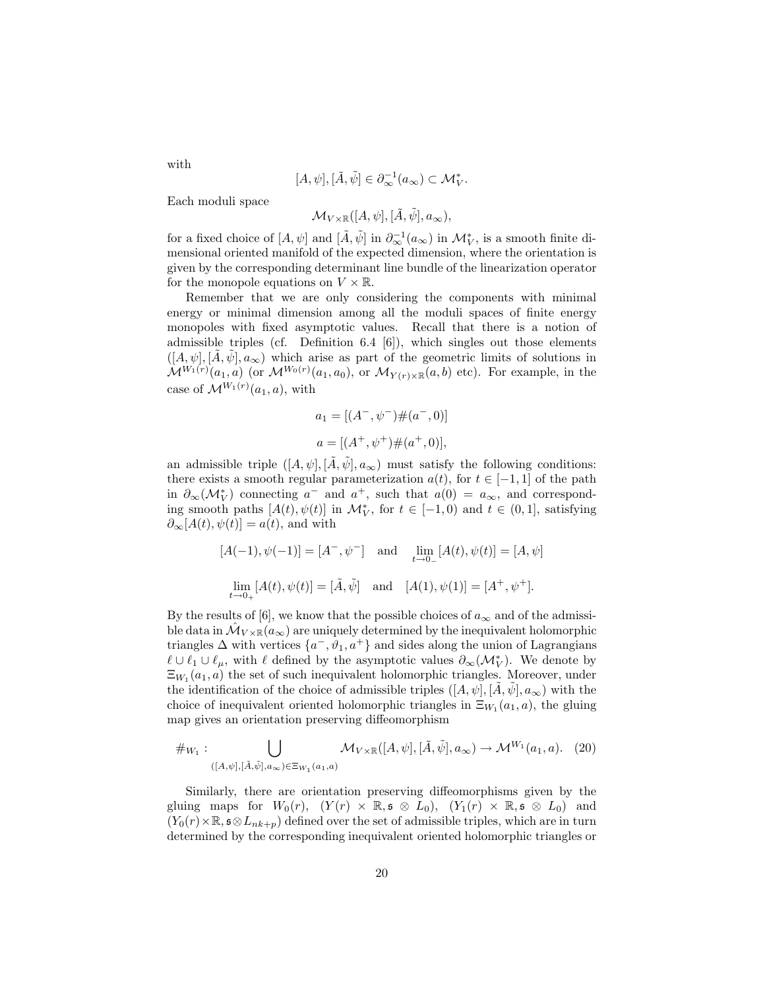$$
[A,\psi],[\tilde A,\tilde \psi]\in \partial^{-1}_{\infty}(a_{\infty})\subset \mathcal{M}_V^*.
$$

Each moduli space

$$
\mathcal{M}_{V\times\mathbb{R}}([A,\psi],[\tilde{A},\tilde{\psi}],a_{\infty}),
$$

for a fixed choice of  $[A, \psi]$  and  $[\tilde{A}, \tilde{\psi}]$  in  $\partial_{\infty}^{-1}(a_{\infty})$  in  $\mathcal{M}_{V}^{*}$ , is a smooth finite dimensional oriented manifold of the expected dimension, where the orientation is given by the corresponding determinant line bundle of the linearization operator for the monopole equations on  $V \times \mathbb{R}$ .

Remember that we are only considering the components with minimal energy or minimal dimension among all the moduli spaces of finite energy monopoles with fixed asymptotic values. Recall that there is a notion of admissible triples (cf. Definition 6.4 [6]), which singles out those elements  $([A, \psi], [A, \psi], a_{\infty})$  which arise as part of the geometric limits of solutions in  $\mathcal{M}^{W_1(r)}(a_1,a)$  (or  $\mathcal{M}^{W_0(r)}(a_1,a_0)$ , or  $\mathcal{M}_{Y(r)\times\mathbb{R}}(a,b)$  etc). For example, in the case of  $\mathcal{M}^{W_1(r)}(a_1,a)$ , with

$$
a_1 = [(A^-, \psi^-) \# (a^-, 0)]
$$
  

$$
a = [(A^+, \psi^+) \# (a^+, 0)],
$$

an admissible triple  $([A, \psi], [\tilde{A}, \tilde{\psi}], a_{\infty})$  must satisfy the following conditions: there exists a smooth regular parameterization  $a(t)$ , for  $t \in [-1,1]$  of the path in  $\partial_{\infty}(\mathcal{M}_V^*)$  connecting  $a^-$  and  $a^+$ , such that  $a(0) = a_{\infty}$ , and corresponding smooth paths  $[A(t), \psi(t)]$  in  $\mathcal{M}_V^*$ , for  $t \in [-1, 0)$  and  $t \in (0, 1]$ , satisfying  $\partial_{\infty}[A(t), \psi(t)] = a(t)$ , and with

$$
[A(-1), \psi(-1)] = [A^-, \psi^-] \text{ and } \lim_{t \to 0^-} [A(t), \psi(t)] = [A, \psi]
$$
  

$$
\lim_{t \to 0_+} [A(t), \psi(t)] = [\tilde{A}, \tilde{\psi}] \text{ and } [A(1), \psi(1)] = [A^+, \psi^+].
$$

By the results of [6], we know that the possible choices of  $a_{\infty}$  and of the admissible data in  $\mathcal{M}_{V \times \mathbb{R}}(a_{\infty})$  are uniquely determined by the inequivalent holomorphic triangles  $\Delta$  with vertices  $\{a^-, \vartheta_1, a^+\}$  and sides along the union of Lagrangians  $\ell \cup \ell_1 \cup \ell_\mu$ , with  $\ell$  defined by the asymptotic values  $\partial_\infty(\mathcal{M}_V^*)$ . We denote by  $\Xi_{W_1}(a_1, a)$  the set of such inequivalent holomorphic triangles. Moreover, under the identification of the choice of admissible triples  $([A, \psi], [A, \psi], a_{\infty})$  with the choice of inequivalent oriented holomorphic triangles in  $\Xi_{W_1}(a_1, a)$ , the gluing map gives an orientation preserving diffeomorphism

$$
\#_{W_1}: \bigcup_{([A,\psi],[\tilde{A},\tilde{\psi}],a_{\infty})\in\Xi_{W_1}(a_1,a)} \mathcal{M}_{V\times\mathbb{R}}([A,\psi],[\tilde{A},\tilde{\psi}],a_{\infty})\to \mathcal{M}^{W_1}(a_1,a). \tag{20}
$$

Similarly, there are orientation preserving diffeomorphisms given by the gluing maps for  $W_0(r)$ ,  $(Y(r) \times \mathbb{R}, \mathfrak{s} \otimes L_0)$ ,  $(Y_1(r) \times \mathbb{R}, \mathfrak{s} \otimes L_0)$  and  $(Y_0(r) \times \mathbb{R}, \mathfrak{s} \otimes L_{nk+p})$  defined over the set of admissible triples, which are in turn determined by the corresponding inequivalent oriented holomorphic triangles or

with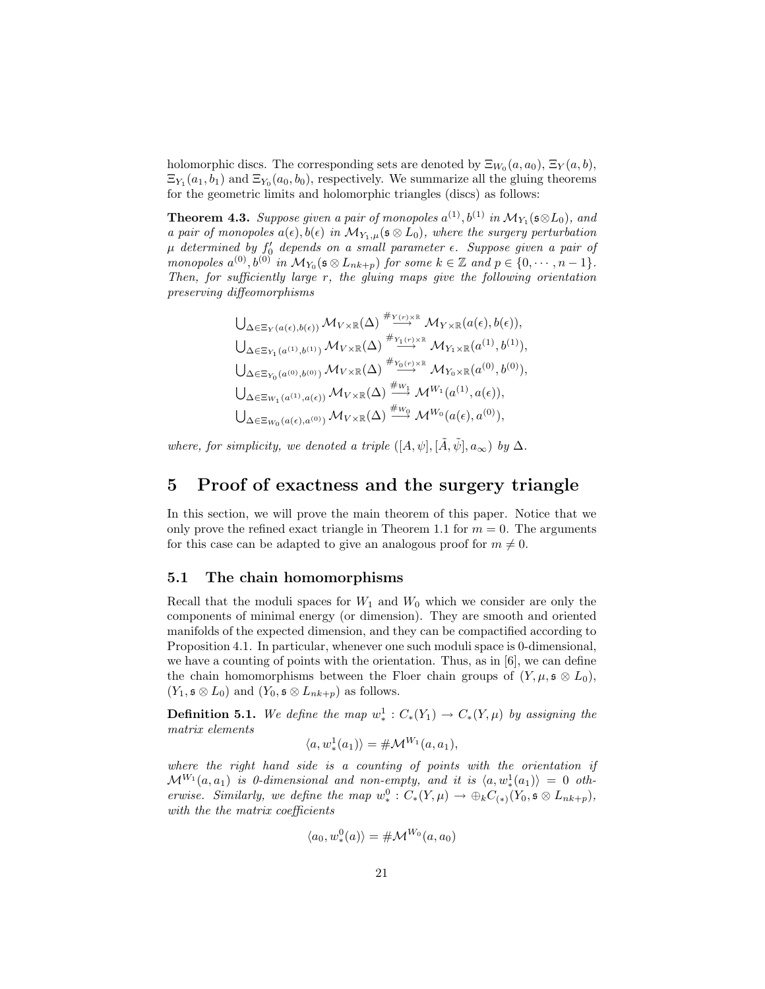holomorphic discs. The corresponding sets are denoted by  $\Xi_{W_0}(a, a_0)$ ,  $\Xi_Y(a, b)$ ,  $\Xi_{Y_1}(a_1, b_1)$  and  $\Xi_{Y_0}(a_0, b_0)$ , respectively. We summarize all the gluing theorems for the geometric limits and holomorphic triangles (discs) as follows:

**Theorem 4.3.** Suppose given a pair of monopoles  $a^{(1)}$ ,  $b^{(1)}$  in  $\mathcal{M}_{Y_1}(\mathfrak{s} \otimes L_0)$ , and *a pair of monopoles*  $a(\epsilon)$ ,  $b(\epsilon)$  *in*  $\mathcal{M}_{Y_1,\mu}(\epsilon \otimes L_0)$ *, where the surgery perturbation*  $\mu$  determined by  $f_0'$  depends on a small parameter  $\epsilon$ *. Suppose given a pair of monopoles*  $a^{(0)}, b^{(0)}$  *in*  $\mathcal{M}_{Y_0}(\mathfrak{s} \otimes L_{nk+p})$  *for some*  $k \in \mathbb{Z}$  *and*  $p \in \{0, \dots, n-1\}.$ *Then, for sufficiently large* r*, the gluing maps give the following orientation preserving diffeomorphisms*

$$
\bigcup_{\Delta \in \Xi_Y(a(\epsilon), b(\epsilon))} \mathcal{M}_{V \times \mathbb{R}}(\Delta) \stackrel{\#_{Y(r) \times \mathbb{R}}}{\longrightarrow} \mathcal{M}_{Y \times \mathbb{R}}(a(\epsilon), b(\epsilon)),
$$
  

$$
\bigcup_{\Delta \in \Xi_{Y_1}(a^{(1)}, b^{(1)})} \mathcal{M}_{V \times \mathbb{R}}(\Delta) \stackrel{\#_{Y_1(r) \times \mathbb{R}}}{\longrightarrow} \mathcal{M}_{Y_1 \times \mathbb{R}}(a^{(1)}, b^{(1)}),
$$
  

$$
\bigcup_{\Delta \in \Xi_{Y_0}(a^{(0)}, b^{(0)})} \mathcal{M}_{V \times \mathbb{R}}(\Delta) \stackrel{\#_{Y_0(r) \times \mathbb{R}}}{\longrightarrow} \mathcal{M}_{Y_0 \times \mathbb{R}}(a^{(0)}, b^{(0)}),
$$
  

$$
\bigcup_{\Delta \in \Xi_{W_1}(a^{(1)}, a(\epsilon))} \mathcal{M}_{V \times \mathbb{R}}(\Delta) \stackrel{\#_{W_1}}{\longrightarrow} \mathcal{M}^{W_1}(a^{(1)}, a(\epsilon)),
$$
  

$$
\bigcup_{\Delta \in \Xi_{W_0}(a(\epsilon), a^{(0)})} \mathcal{M}_{V \times \mathbb{R}}(\Delta) \stackrel{\#_{W_0}}{\longrightarrow} \mathcal{M}^{W_0}(a(\epsilon), a^{(0)}),
$$

*where, for simplicity, we denoted a triple*  $([A, \psi], [\tilde{A}, \tilde{\psi}], a_{\infty})$  *by*  $\Delta$ *.* 

## 5 Proof of exactness and the surgery triangle

In this section, we will prove the main theorem of this paper. Notice that we only prove the refined exact triangle in Theorem 1.1 for  $m = 0$ . The arguments for this case can be adapted to give an analogous proof for  $m \neq 0$ .

#### 5.1 The chain homomorphisms

Recall that the moduli spaces for  $W_1$  and  $W_0$  which we consider are only the components of minimal energy (or dimension). They are smooth and oriented manifolds of the expected dimension, and they can be compactified according to Proposition 4.1. In particular, whenever one such moduli space is 0-dimensional, we have a counting of points with the orientation. Thus, as in [6], we can define the chain homomorphisms between the Floer chain groups of  $(Y, \mu, \mathfrak{s} \otimes L_0)$ ,  $(Y_1, \mathfrak{s} \otimes L_0)$  and  $(Y_0, \mathfrak{s} \otimes L_{nk+p})$  as follows.

**Definition 5.1.** We define the map  $w^1_*: C_*(Y_1) \to C_*(Y, \mu)$  by assigning the *matrix elements*

$$
\langle a, w_*^1(a_1) \rangle = \# \mathcal{M}^{W_1}(a, a_1),
$$

*where the right hand side is a counting of points with the orientation if*  $\mathcal{M}^{W_{1}}(a,a_{1})$  *is 0-dimensional and non-empty, and it is*  $\langle a, w^{1}_{*}(a_{1}) \rangle = 0$  *otherwise. Similarly, we define the map*  $w^0_* : C_*(Y, \mu) \to \bigoplus_k C_{(*)}(Y_0, \mathfrak{s} \otimes L_{nk+p}),$ *with the the matrix coefficients*

$$
\langle a_0, w_*^0(a) \rangle = \# \mathcal{M}^{W_0}(a, a_0)
$$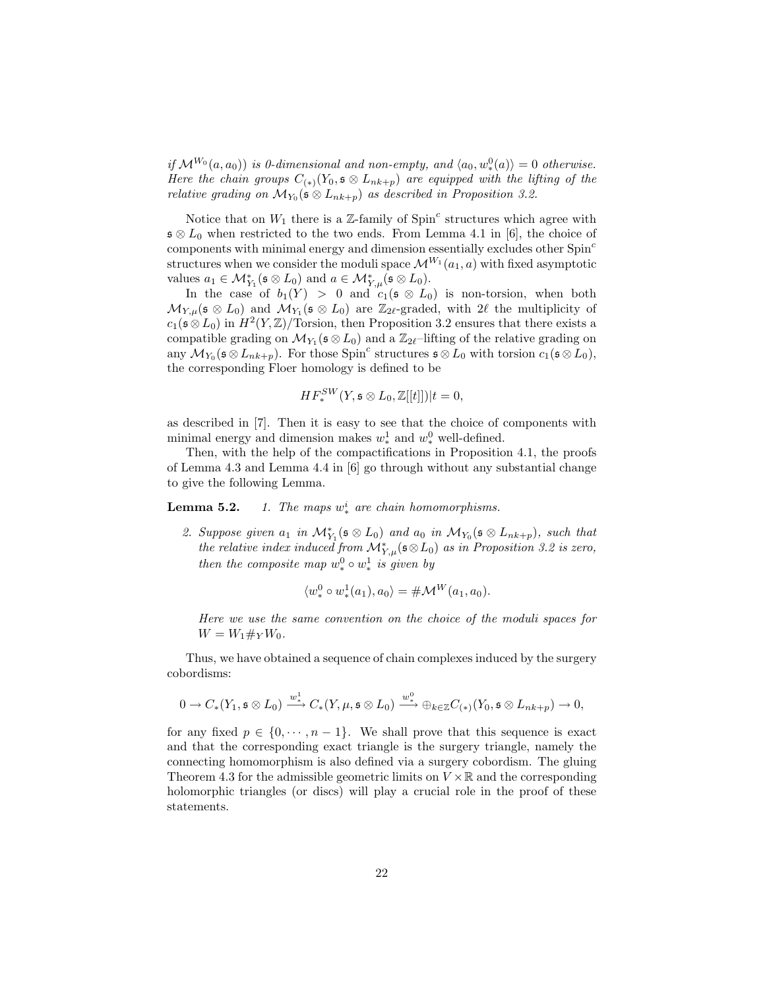*if*  $\mathcal{M}^{W_0}(a, a_0)$  *is 0-dimensional and non-empty, and*  $\langle a_0, w_*^0(a) \rangle = 0$  *otherwise. Here the chain groups*  $C_{(*)}(Y_0, \mathfrak{s} \otimes L_{nk+p})$  *are equipped with the lifting of the relative grading on*  $\mathcal{M}_{Y_0}(\mathfrak{s} \otimes L_{nk+p})$  *as described in Proposition 3.2.* 

Notice that on  $W_1$  there is a Z-family of  $Spin<sup>c</sup>$  structures which agree with  $\mathfrak{s} \otimes L_0$  when restricted to the two ends. From Lemma 4.1 in [6], the choice of components with minimal energy and dimension essentially excludes other Spin<sup>c</sup> structures when we consider the moduli space  $\mathcal{M}^{W_1}(a_1, a)$  with fixed asymptotic values  $a_1 \in \mathcal{M}_{Y_1}^*(\mathfrak{s} \otimes L_0)$  and  $a \in \mathcal{M}_{Y,\mu}^*(\mathfrak{s} \otimes L_0)$ .

In the case of  $b_1(Y) > 0$  and  $c_1(\mathfrak{s} \otimes L_0)$  is non-torsion, when both  $\mathcal{M}_{Y,\mu}(\mathfrak{s} \otimes L_0)$  and  $\mathcal{M}_{Y_1}(\mathfrak{s} \otimes L_0)$  are  $\mathbb{Z}_{2\ell}$ -graded, with  $2\ell$  the multiplicity of  $c_1(\mathfrak{s}\otimes L_0)$  in  $H^2(Y,\mathbb{Z})/\text{Torsion}$ , then Proposition 3.2 ensures that there exists a compatible grading on  $\mathcal{M}_{Y_1}(\mathfrak{s} \otimes L_0)$  and a  $\mathbb{Z}_{2\ell}$ -lifting of the relative grading on any  $\mathcal{M}_{Y_0}(\mathfrak{s} \otimes L_{nk+p})$ . For those Spin<sup>c</sup> structures  $\mathfrak{s} \otimes L_0$  with torsion  $c_1(\mathfrak{s} \otimes L_0)$ , the corresponding Floer homology is defined to be

$$
HF_*^{SW}(Y, \mathfrak{s} \otimes L_0, \mathbb{Z}[[t]])|t = 0,
$$

as described in [7]. Then it is easy to see that the choice of components with minimal energy and dimension makes  $w_*^1$  and  $w_*^0$  well-defined.

Then, with the help of the compactifications in Proposition 4.1, the proofs of Lemma 4.3 and Lemma 4.4 in [6] go through without any substantial change to give the following Lemma.

**Lemma 5.2.** *1. The maps*  $w_*^i$  *are chain homomorphisms.* 

2. Suppose given  $a_1$  in  $\mathcal{M}_{Y_1}^*(\mathfrak{s} \otimes L_0)$  and  $a_0$  in  $\mathcal{M}_{Y_0}(\mathfrak{s} \otimes L_{nk+p})$ , such that *the relative index induced from*  $\mathcal{M}_{Y,\mu}^*(\mathfrak{s} \otimes L_0)$  *as in Proposition 3.2 is zero, then the composite map*  $w_*^0 \circ w_*^1$  *is given by* 

$$
\langle w_*^0 \circ w_*^1(a_1), a_0 \rangle = \# \mathcal{M}^W(a_1, a_0).
$$

*Here we use the same convention on the choice of the moduli spaces for*  $W = W_1 \#_Y W_0$ .

Thus, we have obtained a sequence of chain complexes induced by the surgery cobordisms:

$$
0\to C_*(Y_1, \mathfrak{s}\otimes L_0)\xrightarrow{w^1_*} C_*(Y, \mu, \mathfrak{s}\otimes L_0)\xrightarrow{w^0_*} \oplus_{k\in\mathbb{Z}} C_{(*)}(Y_0, \mathfrak{s}\otimes L_{nk+p})\to 0,
$$

for any fixed  $p \in \{0, \dots, n-1\}$ . We shall prove that this sequence is exact and that the corresponding exact triangle is the surgery triangle, namely the connecting homomorphism is also defined via a surgery cobordism. The gluing Theorem 4.3 for the admissible geometric limits on  $V \times \mathbb{R}$  and the corresponding holomorphic triangles (or discs) will play a crucial role in the proof of these statements.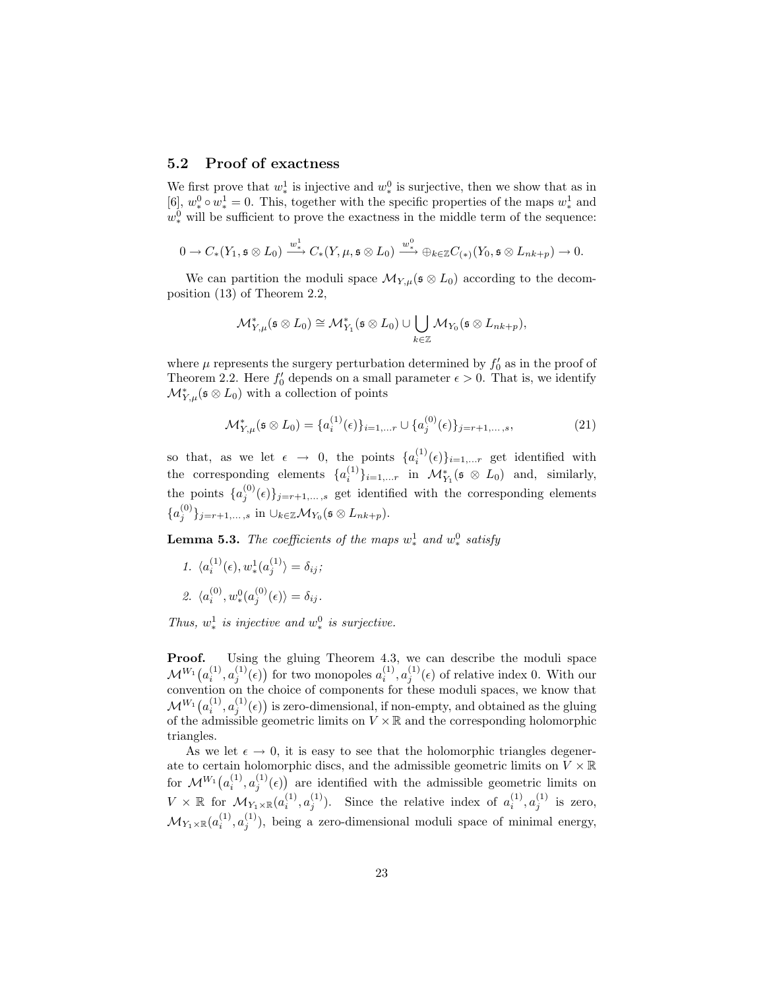#### 5.2 Proof of exactness

We first prove that  $w_*^1$  is injective and  $w_*^0$  is surjective, then we show that as in [6],  $w_*^0 \circ w_*^1 = 0$ . This, together with the specific properties of the maps  $w_*^1$  and  $w_*^0$  will be sufficient to prove the exactness in the middle term of the sequence:

$$
0\to C_*(Y_1, \mathfrak{s}\otimes L_0)\xrightarrow{w^1_*} C_*(Y, \mu, \mathfrak{s}\otimes L_0)\xrightarrow{w^0_*} \oplus_{k\in\mathbb{Z}} C_{(*)}(Y_0, \mathfrak{s}\otimes L_{nk+p})\to 0.
$$

We can partition the moduli space  $\mathcal{M}_{Y,\mu}(\mathfrak{s} \otimes L_0)$  according to the decomposition (13) of Theorem 2.2,

$$
\mathcal{M}_{Y,\mu}^*(\mathfrak{s} \otimes L_0) \cong \mathcal{M}_{Y_1}^*(\mathfrak{s} \otimes L_0) \cup \bigcup_{k \in \mathbb{Z}} \mathcal{M}_{Y_0}(\mathfrak{s} \otimes L_{nk+p}),
$$

where  $\mu$  represents the surgery perturbation determined by  $f'_0$  as in the proof of Theorem 2.2. Here  $f_0'$  depends on a small parameter  $\epsilon > 0$ . That is, we identify  $\mathcal{M}_{Y,\mu}^*(\mathfrak{s} \otimes L_0)$  with a collection of points

$$
\mathcal{M}_{Y,\mu}^*(\mathfrak{s} \otimes L_0) = \{a_i^{(1)}(\epsilon)\}_{i=1,\dots,r} \cup \{a_j^{(0)}(\epsilon)\}_{j=r+1,\dots,s},\tag{21}
$$

so that, as we let  $\epsilon \rightarrow 0$ , the points  $\{a_i^{(1)}\}$  $\{e^{(1)}(\epsilon)\}_{i=1,...r}$  get identified with the corresponding elements  $\{a_i^{(1)}\}_{i=1,...r}$  in  $\mathcal{M}_{Y_1}^*(\mathfrak{s} \otimes L_0)$  and, similarly, the points  $\{a_i^{(0)}\}$  $\{S_j^{(0)}(\epsilon)\}_{j=r+1,\ldots,s}$  get identified with the corresponding elements  ${a_j^{(0)}}_{j=r+1,\ldots,s}$  in  $\cup_{k\in\mathbb{Z}}\mathcal{M}_{Y_0}(\mathfrak{s}\otimes L_{nk+p}).$ 

**Lemma 5.3.** *The coefficients of the maps*  $w^1_*$  *and*  $w^0_*$  *satisfy* 

1.  $\langle a_i^{(1)}(\epsilon), w_*^1(a_j^{(1)}) = \delta_{ij};$ 2.  $\langle a_i^{(0)} \rangle$  $\hat{u}^{(0)}, w_*^0(a_j^{(0)})$  $j^{(0)}(\epsilon)\rangle = \delta_{ij}.$ 

*Thus,*  $w^1_*$  *is injective and*  $w^0_*$  *is surjective.* 

Proof. Using the gluing Theorem 4.3, we can describe the moduli space  $\mathcal{M}^{W_1}(a_i^{(1)},a_j^{(1)}(\epsilon))$  for two monopoles  $a_i^{(1)},a_j^{(1)}(\epsilon)$  of relative index 0. With our convention on the choice of components for these moduli spaces, we know that  $\mathcal{M}^{W_1}\big(a_i^{(1)},a_j^{(1)}(\epsilon)\big)$  is zero-dimensional, if non-empty, and obtained as the gluing of the admissible geometric limits on  $V \times \mathbb{R}$  and the corresponding holomorphic triangles.

As we let  $\epsilon \to 0$ , it is easy to see that the holomorphic triangles degenerate to certain holomorphic discs, and the admissible geometric limits on  $V \times \mathbb{R}$ for  $\mathcal{M}^{W_1}(a_i^{(1)})$  $\binom{11}{i}, a^{(1)}_j$  $j^{(1)}(\epsilon)$  are identified with the admissible geometric limits on  $V \times \mathbb{R}$  for  $\mathcal{M}_{Y_1 \times \mathbb{R}}(a_i^{(1)}, a_j^{(1)})$ . Since the relative index of  $a_i^{(1)}, a_j^{(1)}$  is zero,  $\mathcal{M}_{Y_1 \times \mathbb{R}}(a_i^{(1)}, a_j^{(1)})$ , being a zero-dimensional moduli space of minimal energy,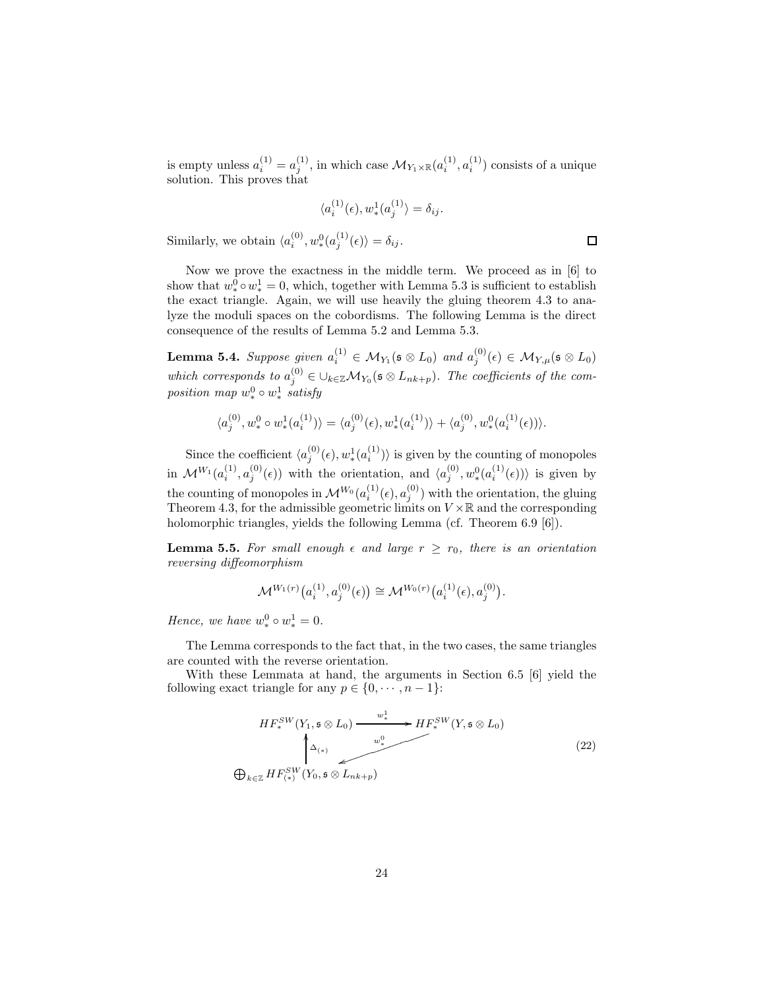is empty unless  $a_i^{(1)} = a_j^{(1)}$ , in which case  $\mathcal{M}_{Y_1 \times \mathbb{R}}(a_i^{(1)}, a_i^{(1)})$  consists of a unique solution. This proves that

$$
\langle a_i^{(1)}(\epsilon), w_*^1(a_j^{(1)}) = \delta_{ij}.
$$

Similarly, we obtain  $\langle a_i^{(0)}, w_*^0(a_j^{(1)}(\epsilon)) = \delta_{ij}$ .

Now we prove the exactness in the middle term. We proceed as in [6] to show that  $w_*^0 \circ w_*^1 = 0$ , which, together with Lemma 5.3 is sufficient to establish the exact triangle. Again, we will use heavily the gluing theorem 4.3 to analyze the moduli spaces on the cobordisms. The following Lemma is the direct consequence of the results of Lemma 5.2 and Lemma 5.3.

Lemma 5.4. *Suppose given*  $a_i^{(1)} \in M_{Y_1}(\mathfrak{s} \otimes L_0)$  and  $a_j^{(0)}(\epsilon) \in M_{Y,\mu}(\mathfrak{s} \otimes L_0)$ which corresponds to  $a_j^{(0)} \in \bigcup_{k \in \mathbb{Z}} \mathcal{M}_{Y_0}(\mathfrak{s} \otimes L_{nk+p})$ . The coefficients of the com $position \ map \ w_*^0 \circ w_*^1 \ satisfy$ 

$$
\langle a_j^{(0)}, w_*^0 \circ w_*^1(a_i^{(1)}) \rangle = \langle a_j^{(0)}(\epsilon), w_*^1(a_i^{(1)}) \rangle + \langle a_j^{(0)}, w_*^0(a_i^{(1)}(\epsilon)) \rangle.
$$

Since the coefficient  $\langle a_j^{(0)}(\epsilon), w_*^1(a_i^{(1)})\rangle$  is given by the counting of monopoles in  $\mathcal{M}^{W_1}(a_i^{(1)})$  $\binom{10}{i}, a^{(0)}_j$  $j^{(0)}(\epsilon)$  with the orientation, and  $\langle a_j^{(0)} \rangle$  $\overset{(0)}{j}, \overset{0}{w^0_*}(a_i^{(1)})$  $\binom{1}{i}(\epsilon)$ ) is given by the counting of monopoles in  $\mathcal{M}^{W_0}(a_i^{(1)}(\epsilon), a_j^{(0)})$  with the orientation, the gluing Theorem 4.3, for the admissible geometric limits on  $V \times \mathbb{R}$  and the corresponding holomorphic triangles, yields the following Lemma (cf. Theorem 6.9 [6]).

**Lemma 5.5.** For small enough  $\epsilon$  and large  $r \geq r_0$ , there is an orientation *reversing diffeomorphism*

$$
\mathcal{M}^{W_1(r)}\big(a_i^{(1)}, a_j^{(0)}(\epsilon)\big) \cong \mathcal{M}^{W_0(r)}\big(a_i^{(1)}(\epsilon), a_j^{(0)}\big).
$$

*Hence, we have*  $w_*^0 \circ w_*^1 = 0$ .

The Lemma corresponds to the fact that, in the two cases, the same triangles are counted with the reverse orientation.

With these Lemmata at hand, the arguments in Section 6.5 [6] yield the following exact triangle for any  $p \in \{0, \dots, n-1\}$ :

$$
HF_*^{SW}(Y_1, \mathfrak{s} \otimes L_0) \xrightarrow{w_*^1} HF_*^{SW}(Y, \mathfrak{s} \otimes L_0)
$$
\n
$$
\downarrow^{\Delta_{(*)}} \qquad \qquad \downarrow^{\omega_*} \qquad (22)
$$
\n
$$
\bigoplus_{k \in \mathbb{Z}} HF_{(*)}^{SW}(Y_0, \mathfrak{s} \otimes L_{nk+p})
$$

 $\Box$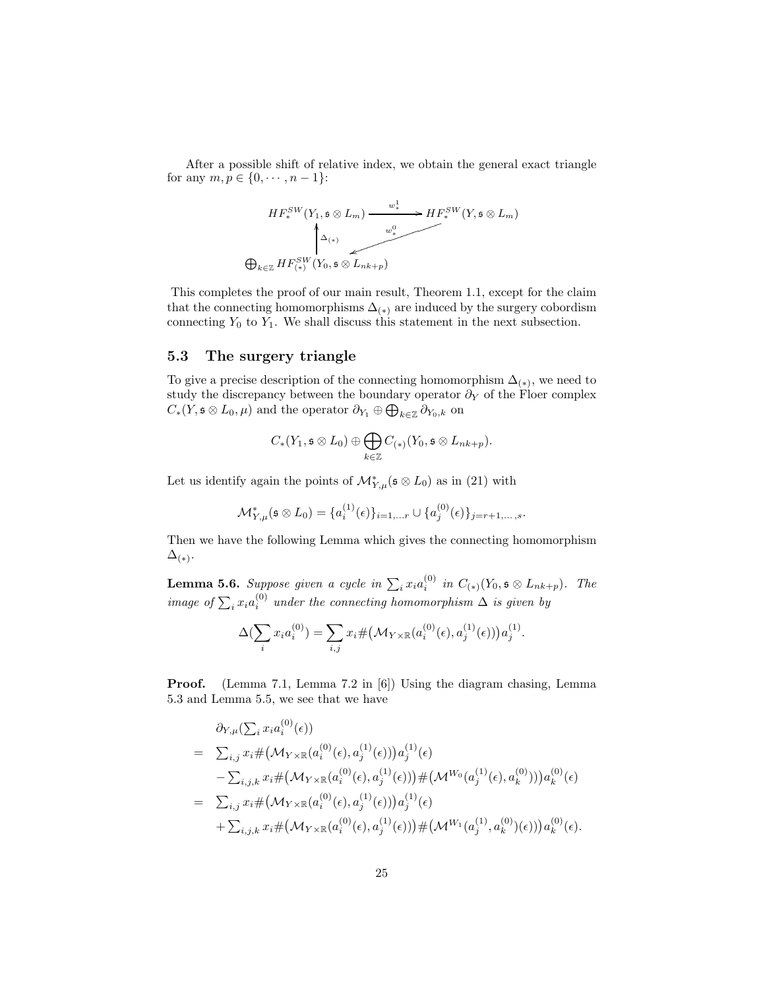After a possible shift of relative index, we obtain the general exact triangle for any  $m, p \in \{0, \dots, n-1\}$ :

$$
HF_*^{SW}(Y_1, \mathfrak{s} \otimes L_m) \xrightarrow{w_*^1} HF_*^{SW}(Y, \mathfrak{s} \otimes L_m)
$$
\n
$$
\bigoplus_{k \in \mathbb{Z}} HF_{(*)}^{SW}(Y_0, \mathfrak{s} \otimes L_{nk+p})
$$

This completes the proof of our main result, Theorem 1.1, except for the claim that the connecting homomorphisms  $\Delta_{(*)}$  are induced by the surgery cobordism connecting  $Y_0$  to  $Y_1$ . We shall discuss this statement in the next subsection.

#### 5.3 The surgery triangle

To give a precise description of the connecting homomorphism  $\Delta_{(*)}$ , we need to study the discrepancy between the boundary operator  $\partial_Y$  of the Floer complex  $C_*(Y, \mathfrak{s} \otimes L_0, \mu)$  and the operator  $\partial_{Y_1} \oplus \bigoplus_{k \in \mathbb{Z}} \partial_{Y_0,k}$  on

$$
C_*(Y_1, \mathfrak{s} \otimes L_0) \oplus \bigoplus_{k \in \mathbb{Z}} C_{(*)}(Y_0, \mathfrak{s} \otimes L_{nk+p}).
$$

Let us identify again the points of  $\mathcal{M}_{Y,\mu}^*(\mathfrak{s} \otimes L_0)$  as in (21) with

$$
\mathcal{M}_{Y,\mu}^*(\mathfrak{s} \otimes L_0) = \{a_i^{(1)}(\epsilon)\}_{i=1,...r} \cup \{a_j^{(0)}(\epsilon)\}_{j=r+1,...,s}.
$$

Then we have the following Lemma which gives the connecting homomorphism  $\Delta_{(*)}$ .

**Lemma 5.6.** Suppose given a cycle in  $\sum_i x_i a_i^{(0)}$  in  $C_{(*)}(Y_0, \mathfrak{s} \otimes L_{nk+p})$ . The *image of*  $\sum_i x_i a_i^{(0)}$  *under the connecting homomorphism*  $\Delta$  *is given by* 

$$
\Delta(\sum_{i} x_i a_i^{(0)}) = \sum_{i,j} x_i \# \big(\mathcal{M}_{Y \times \mathbb{R}}(a_i^{(0)}(\epsilon), a_j^{(1)}(\epsilon))\big) a_j^{(1)}.
$$

Proof. (Lemma 7.1, Lemma 7.2 in [6]) Using the diagram chasing, Lemma 5.3 and Lemma 5.5, we see that we have

$$
\partial_{Y,\mu} (\sum_{i} x_{i} a_{i}^{(0)}(\epsilon))
$$
\n
$$
= \sum_{i,j} x_{i} \# \big( \mathcal{M}_{Y \times \mathbb{R}}(a_{i}^{(0)}(\epsilon), a_{j}^{(1)}(\epsilon)) \big) a_{j}^{(1)}(\epsilon)
$$
\n
$$
- \sum_{i,j,k} x_{i} \# \big( \mathcal{M}_{Y \times \mathbb{R}}(a_{i}^{(0)}(\epsilon), a_{j}^{(1)}(\epsilon)) \big) \# \big( \mathcal{M}^{W_{0}}(a_{j}^{(1)}(\epsilon), a_{k}^{(0)})) \big) a_{k}^{(0)}(\epsilon)
$$
\n
$$
= \sum_{i,j} x_{i} \# \big( \mathcal{M}_{Y \times \mathbb{R}}(a_{i}^{(0)}(\epsilon), a_{j}^{(1)}(\epsilon)) \big) a_{j}^{(1)}(\epsilon)
$$
\n
$$
+ \sum_{i,j,k} x_{i} \# \big( \mathcal{M}_{Y \times \mathbb{R}}(a_{i}^{(0)}(\epsilon), a_{j}^{(1)}(\epsilon)) \big) \# \big( \mathcal{M}^{W_{1}}(a_{j}^{(1)}, a_{k}^{(0)})(\epsilon)) \big) a_{k}^{(0)}(\epsilon).
$$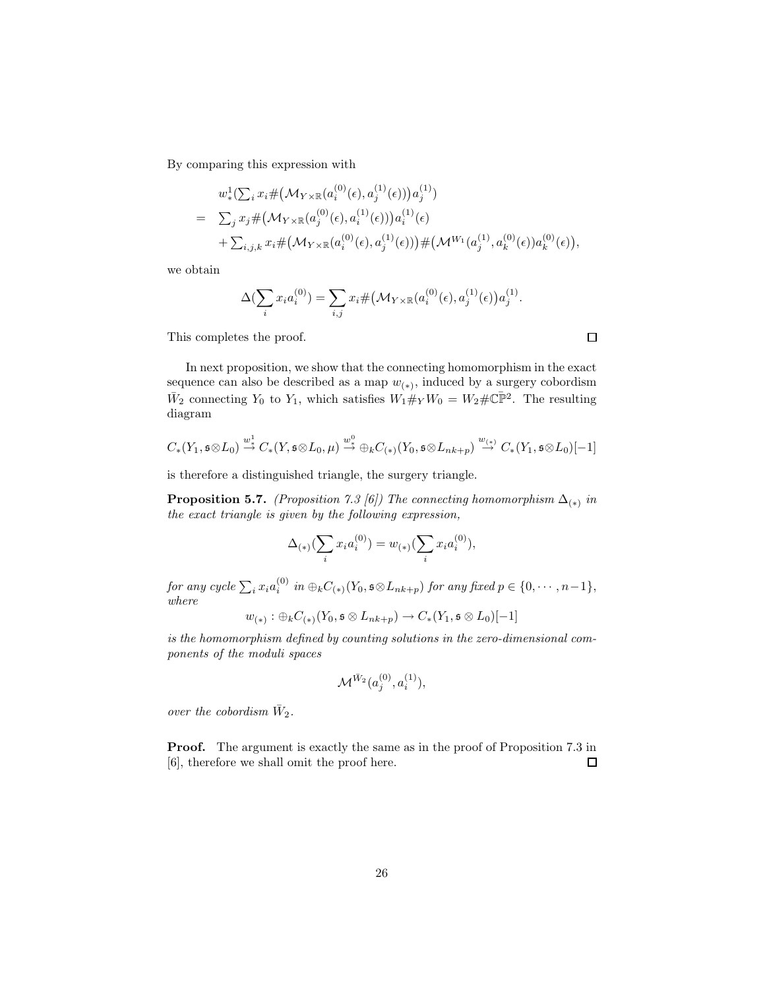By comparing this expression with

$$
w_{*}^{1}(\sum_{i} x_{i} \# \left(\mathcal{M}_{Y \times \mathbb{R}}(a_{i}^{(0)}(\epsilon), a_{j}^{(1)}(\epsilon))\right) a_{j}^{(1)})
$$
\n
$$
= \sum_{j} x_{j} \# \left(\mathcal{M}_{Y \times \mathbb{R}}(a_{j}^{(0)}(\epsilon), a_{i}^{(1)}(\epsilon))\right) a_{i}^{(1)}(\epsilon)
$$
\n
$$
+ \sum_{i,j,k} x_{i} \# \left(\mathcal{M}_{Y \times \mathbb{R}}(a_{i}^{(0)}(\epsilon), a_{j}^{(1)}(\epsilon))\right) \# \left(\mathcal{M}^{W_{1}}(a_{j}^{(1)}, a_{k}^{(0)}(\epsilon))a_{k}^{(0)}(\epsilon)\right),
$$

we obtain

$$
\Delta(\sum_{i} x_i a_i^{(0)}) = \sum_{i,j} x_i \# \big(\mathcal{M}_{Y \times \mathbb{R}}(a_i^{(0)}(\epsilon), a_j^{(1)}(\epsilon)) a_j^{(1)}.
$$

This completes the proof.

In next proposition, we show that the connecting homomorphism in the exact sequence can also be described as a map  $w_{(*)}$ , induced by a surgery cobordism  $\bar{W}_2$  connecting  $Y_0$  to  $Y_1$ , which satisfies  $W_1 \#_Y W_0 = W_2 \# \mathbb{C} \bar{\mathbb{P}}^2$ . The resulting diagram

$$
C_*(Y_1,\mathfrak{s} \otimes L_0) \stackrel{w^1_*}{\to} C_*(Y,\mathfrak{s} \otimes L_0,\mu) \stackrel{w^0_*}{\to} \oplus_k C_{(*)}(Y_0,\mathfrak{s} \otimes L_{nk+p}) \stackrel{w_{(*)}}{\to} C_*(Y_1,\mathfrak{s} \otimes L_0)[-1]
$$

is therefore a distinguished triangle, the surgery triangle.

**Proposition 5.7.** *(Proposition 7.3 [6])* The connecting homomorphism  $\Delta_{(*)}$  in *the exact triangle is given by the following expression,*

$$
\Delta_{(*)}\left(\sum_i x_i a_i^{(0)}\right) = w_{(*)}\left(\sum_i x_i a_i^{(0)}\right),\,
$$

*for any cycle*  $\sum_i x_i a_i^{(0)}$  $i^{(0)}$  *in* ⊕<sub>k</sub>C<sub>(\*)</sub>(Y<sub>0</sub>,  $\infty L_{nk+p}$ ) *for any fixed*  $p \in \{0, \dots, n-1\}$ , *where*

$$
w_{(*)}:\oplus_k C_{(*)}(Y_0,\mathfrak{s}\otimes L_{nk+p})\to C_*(Y_1,\mathfrak{s}\otimes L_0)[-1]
$$

*is the homomorphism defined by counting solutions in the zero-dimensional components of the moduli spaces*

$$
{\cal M}^{\bar W_2}(a^{(0)}_j,a^{(1)}_i),
$$

*over the cobordism*  $\bar{W}_2$ *.* 

**Proof.** The argument is exactly the same as in the proof of Proposition 7.3 in [6], therefore we shall omit the proof here.  $\Box$ 

 $\Box$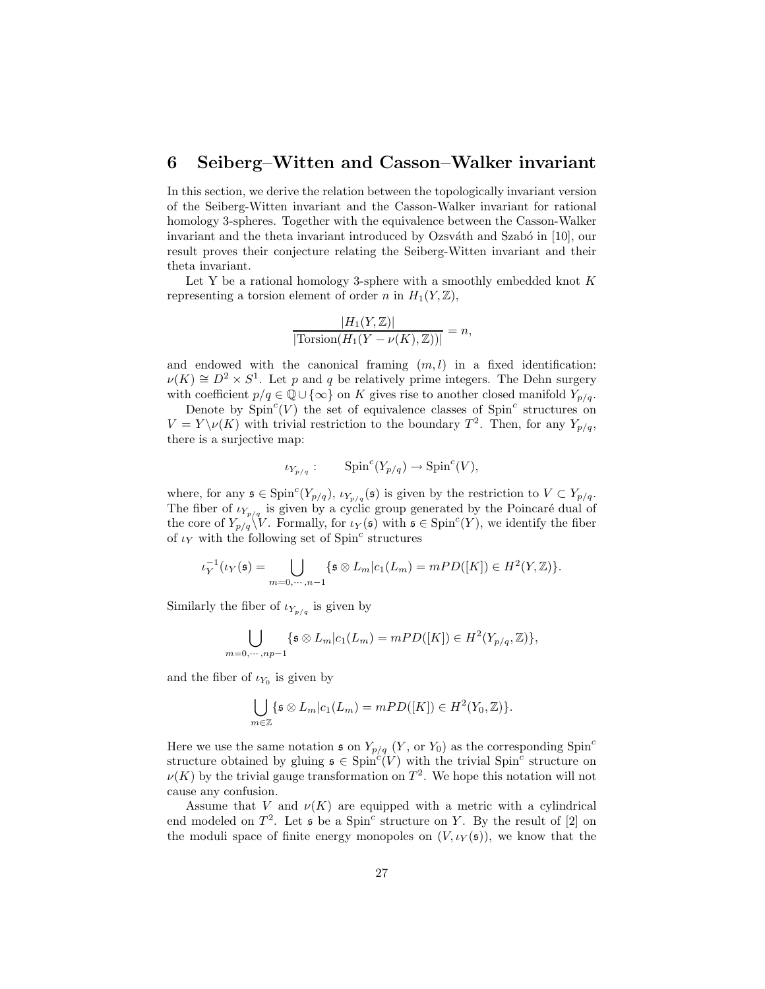# 6 Seiberg–Witten and Casson–Walker invariant

In this section, we derive the relation between the topologically invariant version of the Seiberg-Witten invariant and the Casson-Walker invariant for rational homology 3-spheres. Together with the equivalence between the Casson-Walker invariant and the theta invariant introduced by Ozsváth and Szabó in  $[10]$ , our result proves their conjecture relating the Seiberg-Witten invariant and their theta invariant.

Let Y be a rational homology 3-sphere with a smoothly embedded knot  $K$ representing a torsion element of order n in  $H_1(Y, \mathbb{Z})$ ,

$$
\frac{|H_1(Y,\mathbb{Z})|}{|\text{Torsion}(H_1(Y-\nu(K),\mathbb{Z}))|}=n,
$$

and endowed with the canonical framing  $(m, l)$  in a fixed identification:  $\nu(K) \cong D^2 \times S^1$ . Let p and q be relatively prime integers. The Dehn surgery with coefficient  $p/q \in \mathbb{Q} \cup \{\infty\}$  on K gives rise to another closed manifold  $Y_{p/q}$ .

Denote by  $Spin<sup>c</sup>(V)$  the set of equivalence classes of  $Spin<sup>c</sup>$  structures on  $V = Y \setminus \nu(K)$  with trivial restriction to the boundary  $T^2$ . Then, for any  $Y_{p/q}$ , there is a surjective map:

$$
\iota_{Y_{p/q}}: \qquad \text{Spin}^c(Y_{p/q}) \to \text{Spin}^c(V),
$$

where, for any  $\mathfrak{s} \in \text{Spin}^c(Y_{p/q}), \iota_{Y_{p/q}}(\mathfrak{s})$  is given by the restriction to  $V \subset Y_{p/q}$ . The fiber of  $\iota_{Y_{p/q}}$  is given by a cyclic group generated by the Poincaré dual of the core of  $Y_{p/q} \V V$ . Formally, for  $\iota_Y(\mathfrak{s})$  with  $\mathfrak{s} \in \text{Spin}^c(Y)$ , we identify the fiber of  $\iota_Y$  with the following set of Spin<sup>c</sup> structures

$$
\iota_Y^{-1}(\iota_Y(\mathfrak{s})=\bigcup_{m=0,\cdots,n-1}\{\mathfrak{s}\otimes L_m|c_1(L_m)=mPD([K])\in H^2(Y,\mathbb{Z})\}.
$$

Similarly the fiber of  $\iota_{Y_{p/q}}$  is given by

$$
\bigcup_{=0,\cdots, np-1} \{ \mathfrak{s} \otimes L_m | c_1(L_m) = mPD([K]) \in H^2(Y_{p/q}, \mathbb{Z}) \},
$$

and the fiber of  $\iota_{Y_0}$  is given by

 $m$ 

$$
\bigcup_{m\in\mathbb{Z}} \{ \mathfrak{s} \otimes L_m | c_1(L_m) = mPD([K]) \in H^2(Y_0, \mathbb{Z}) \}.
$$

Here we use the same notation  $\mathfrak{s}$  on  $Y_{p/q}$  (Y, or Y<sub>0</sub>) as the corresponding Spin<sup>c</sup> structure obtained by gluing  $\mathfrak{s} \in \text{Spin}^c(V)$  with the trivial  $\text{Spin}^c$  structure on  $\nu(K)$  by the trivial gauge transformation on  $T^2$ . We hope this notation will not cause any confusion.

Assume that V and  $\nu(K)$  are equipped with a metric with a cylindrical end modeled on  $T^2$ . Let  $\mathfrak s$  be a Spin<sup>c</sup> structure on Y. By the result of [2] on the moduli space of finite energy monopoles on  $(V, \iota_Y(\mathfrak{s}))$ , we know that the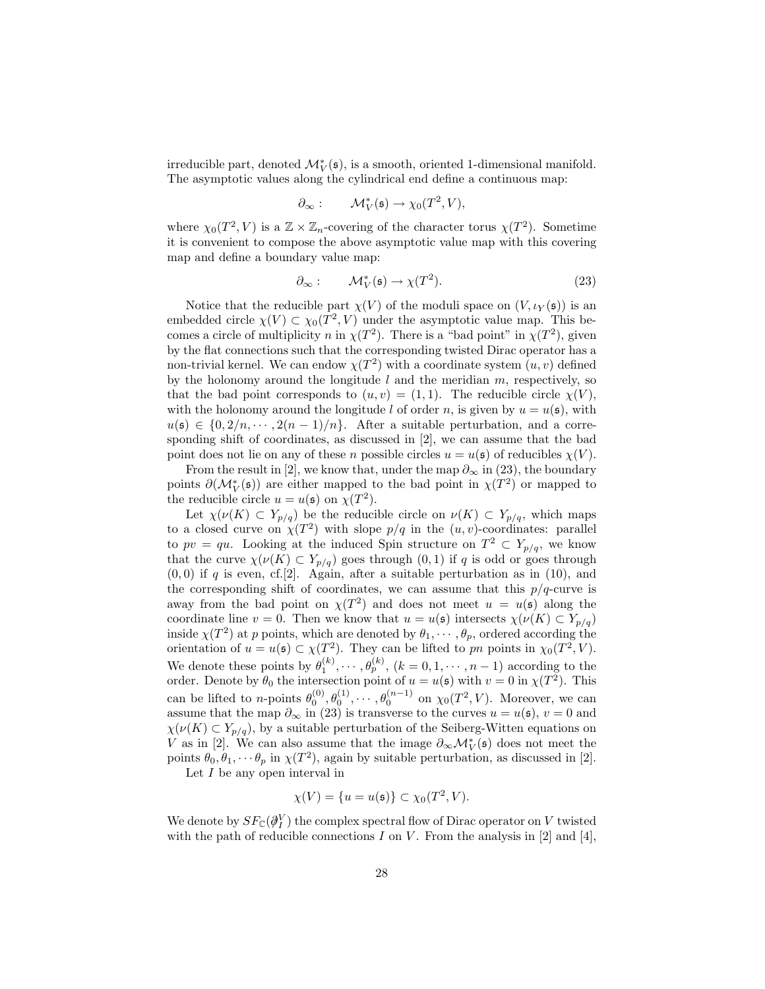irreducible part, denoted  $\mathcal{M}^{\ast}_{V}(\mathfrak{s})$ , is a smooth, oriented 1-dimensional manifold. The asymptotic values along the cylindrical end define a continuous map:

$$
\partial_{\infty}:\qquad \mathcal{M}_V^*(\mathfrak{s})\to \chi_0(T^2,V),
$$

where  $\chi_0(T^2, V)$  is a  $\mathbb{Z} \times \mathbb{Z}_n$ -covering of the character torus  $\chi(T^2)$ . Sometime it is convenient to compose the above asymptotic value map with this covering map and define a boundary value map:

$$
\partial_{\infty} : \qquad \mathcal{M}_V^*(\mathfrak{s}) \to \chi(T^2). \tag{23}
$$

Notice that the reducible part  $\chi(V)$  of the moduli space on  $(V, \iota_Y(\mathfrak{s}))$  is an embedded circle  $\chi(V) \subset \chi_0(T^2, V)$  under the asymptotic value map. This becomes a circle of multiplicity n in  $\chi(T^2)$ . There is a "bad point" in  $\chi(T^2)$ , given by the flat connections such that the corresponding twisted Dirac operator has a non-trivial kernel. We can endow  $\chi(T^2)$  with a coordinate system  $(u, v)$  defined by the holonomy around the longitude  $l$  and the meridian  $m$ , respectively, so that the bad point corresponds to  $(u, v) = (1, 1)$ . The reducible circle  $\chi(V)$ , with the holonomy around the longitude l of order n, is given by  $u = u(\mathfrak{s})$ , with  $u(\mathfrak{s}) \in \{0, 2/n, \cdots, 2(n-1)/n\}.$  After a suitable perturbation, and a corresponding shift of coordinates, as discussed in [2], we can assume that the bad point does not lie on any of these n possible circles  $u = u(\mathfrak{s})$  of reducibles  $\chi(V)$ .

From the result in [2], we know that, under the map  $\partial_{\infty}$  in (23), the boundary points  $\partial(\mathcal{M}_V^*(\mathfrak{s}))$  are either mapped to the bad point in  $\chi(T^2)$  or mapped to the reducible circle  $u = u(\mathfrak{s})$  on  $\chi(T^2)$ .

Let  $\chi(\nu(K) \subset Y_{p/q})$  be the reducible circle on  $\nu(K) \subset Y_{p/q}$ , which maps to a closed curve on  $\chi(T^2)$  with slope  $p/q$  in the  $(u, v)$ -coordinates: parallel to  $pv = qu$ . Looking at the induced Spin structure on  $T^2 \subset Y_{p/q}$ , we know that the curve  $\chi(\nu(K) \subset Y_{p/q})$  goes through  $(0, 1)$  if q is odd or goes through  $(0, 0)$  if q is even, cf.[2]. Again, after a suitable perturbation as in (10), and the corresponding shift of coordinates, we can assume that this  $p/q$ -curve is away from the bad point on  $\chi(T^2)$  and does not meet  $u = u(\mathfrak{s})$  along the coordinate line  $v = 0$ . Then we know that  $u = u(\mathfrak{s})$  intersects  $\chi(\nu(K) \subset Y_{p/q})$ inside  $\chi(T^2)$  at p points, which are denoted by  $\theta_1, \cdots, \theta_p$ , ordered according the orientation of  $u = u(\mathfrak{s}) \subset \chi(T^2)$ . They can be lifted to pn points in  $\chi_0(T^2, V)$ . We denote these points by  $\theta_1^{(k)}, \cdots, \theta_p^{(k)}$ ,  $(k = 0, 1, \cdots, n-1)$  according to the order. Denote by  $\theta_0$  the intersection point of  $u = u(\mathfrak{s})$  with  $v = 0$  in  $\chi(T^2)$ . This can be lifted to *n*-points  $\theta_0^{(0)}, \theta_0^{(1)}, \cdots, \theta_0^{(n-1)}$  on  $\chi_0(T^2, V)$ . Moreover, we can assume that the map  $\partial_{\infty}$  in (23) is transverse to the curves  $u = u(\mathfrak{s})$ ,  $v = 0$  and  $\chi(\nu(K) \subset Y_{p/q})$ , by a suitable perturbation of the Seiberg-Witten equations on V as in [2]. We can also assume that the image  $\partial_{\infty} \mathcal{M}_{V}^{*}(\mathfrak{s})$  does not meet the points  $\theta_0, \theta_1, \dots, \theta_p$  in  $\chi(T^2)$ , again by suitable perturbation, as discussed in [2].

Let  $I$  be any open interval in

$$
\chi(V) = \{u = u(\mathfrak{s})\} \subset \chi_0(T^2, V).
$$

We denote by  $SF_{\mathbb{C}}(\partial_l^V)$  the complex spectral flow of Dirac operator on V twisted with the path of reducible connections  $I$  on  $V$ . From the analysis in [2] and [4],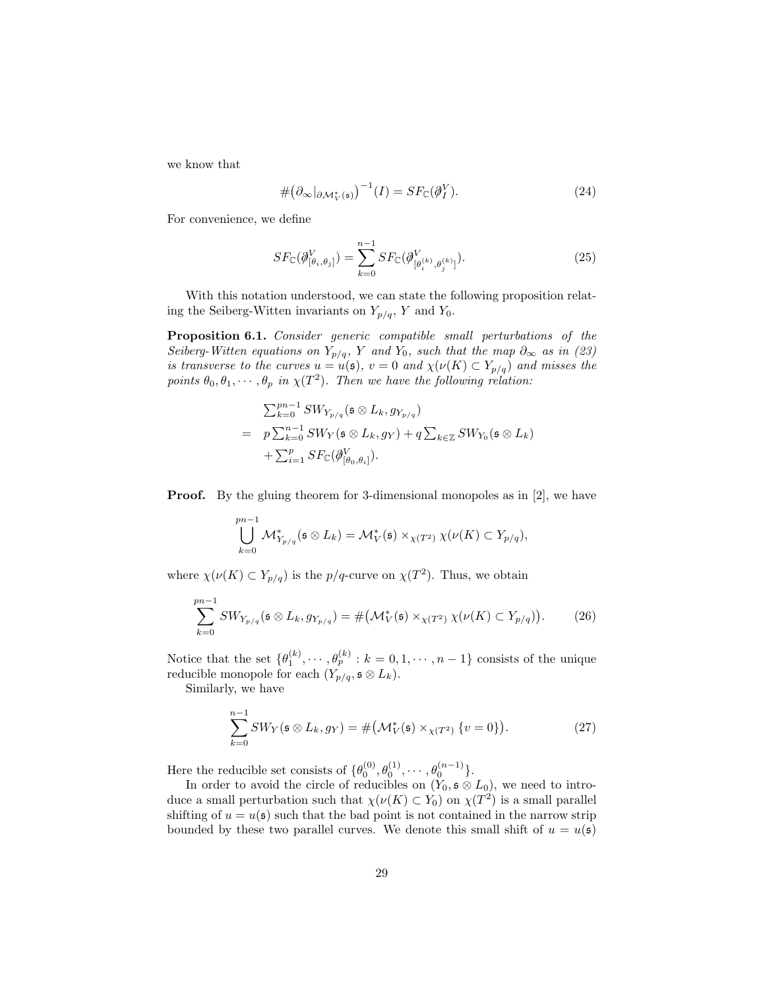we know that

$$
\#(\partial_{\infty}|_{\partial \mathcal{M}_{V}^{*}(\mathfrak{s})})^{-1}(I) = SF_{\mathbb{C}}(\partial_{I}^{V}).
$$
\n(24)

For convenience, we define

$$
SF_{\mathbb{C}}(\partial_{[\theta_i,\theta_j]}^V) = \sum_{k=0}^{n-1} SF_{\mathbb{C}}(\partial_{[\theta_i^{(k)},\theta_j^{(k)}]}^V).
$$
\n(25)

With this notation understood, we can state the following proposition relating the Seiberg-Witten invariants on  $Y_{p/q}$ , Y and Y<sub>0</sub>.

Proposition 6.1. *Consider generic compatible small perturbations of the Seiberg-Witten equations on*  $Y_{p/q}$ , Y and  $Y_0$ , such that the map  $\partial_{\infty}$  as in (23) *is transverse to the curves*  $u = u(\mathfrak{s})$ ,  $v = 0$  *and*  $\chi(\nu(K) \subset Y_{p/q})$  *and misses the* points  $\theta_0, \theta_1, \cdots, \theta_p$  in  $\chi(T^2)$ . Then we have the following relation:

$$
\sum_{k=0}^{pn-1} SW_{Y_{p/q}}(\mathfrak{s} \otimes L_k, g_{Y_{p/q}})
$$
\n
$$
= p \sum_{k=0}^{n-1} SW_Y(\mathfrak{s} \otimes L_k, g_Y) + q \sum_{k \in \mathbb{Z}} SW_{Y_0}(\mathfrak{s} \otimes L_k)
$$
\n
$$
+ \sum_{i=1}^p SF_{\mathbb{C}}(\phi_{[\theta_0, \theta_i]}^V).
$$

**Proof.** By the gluing theorem for 3-dimensional monopoles as in [2], we have

$$
\bigcup_{k=0}^{pn-1} \mathcal{M}_{Y_{p/q}}^*(\mathfrak{s} \otimes L_k) = \mathcal{M}_V^*(\mathfrak{s}) \times_{\chi(T^2)} \chi(\nu(K) \subset Y_{p/q}),
$$

where  $\chi(\nu(K) \subset Y_{p/q})$  is the  $p/q$ -curve on  $\chi(T^2)$ . Thus, we obtain

$$
\sum_{k=0}^{pn-1} SW_{Y_{p/q}}(\mathfrak{s} \otimes L_k, g_{Y_{p/q}}) = \# \big(\mathcal{M}_V^*(\mathfrak{s}) \times_{\chi(T^2)} \chi(\nu(K) \subset Y_{p/q})\big). \tag{26}
$$

Notice that the set  $\{\theta_1^{(k)}, \cdots, \theta_p^{(k)} : k = 0, 1, \cdots, n-1\}$  consists of the unique reducible monopole for each  $(Y_{p/q}, \mathfrak{s} \otimes L_k)$ .

Similarly, we have

$$
\sum_{k=0}^{n-1} SW_Y(\mathfrak{s} \otimes L_k, g_Y) = \# \big( \mathcal{M}_V^*(\mathfrak{s}) \times_{\chi(T^2)} \{v = 0\} \big).
$$
 (27)

Here the reducible set consists of  $\{\theta_0^{(0)}, \theta_0^{(1)}, \cdots, \theta_0^{(n-1)}\}.$ 

In order to avoid the circle of reducibles on  $(Y_0, \mathfrak{s} \otimes L_0)$ , we need to introduce a small perturbation such that  $\chi(\nu(K) \subset Y_0)$  on  $\chi(T^2)$  is a small parallel shifting of  $u = u(s)$  such that the bad point is not contained in the narrow strip bounded by these two parallel curves. We denote this small shift of  $u = u(\mathfrak{s})$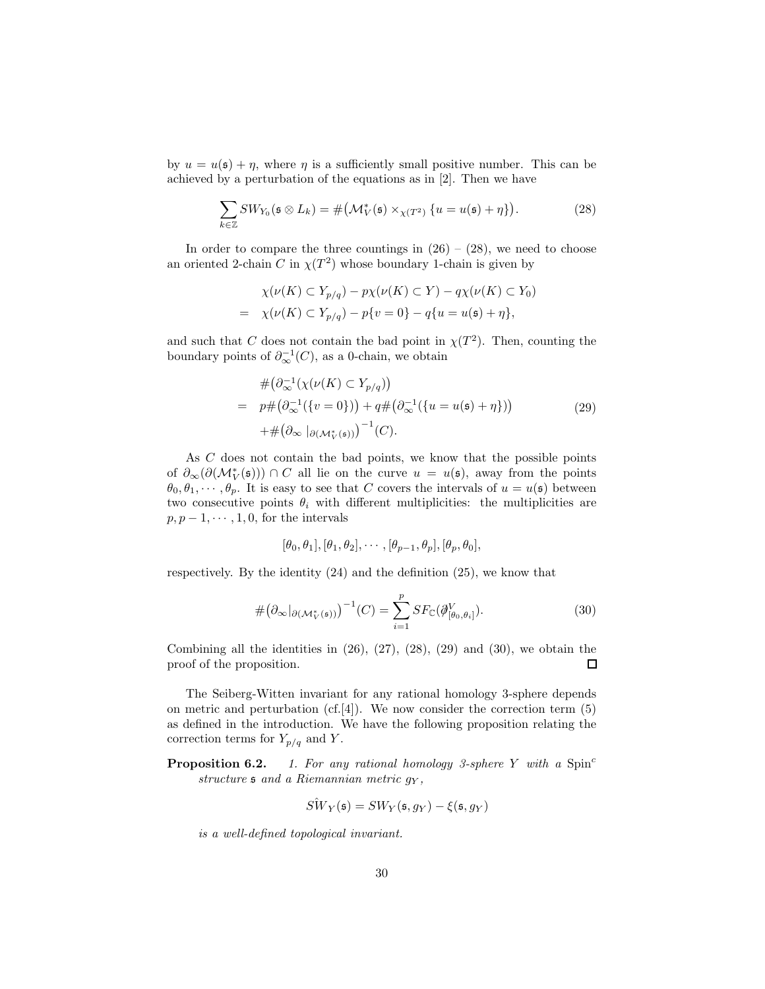by  $u = u(\mathfrak{s}) + \eta$ , where  $\eta$  is a sufficiently small positive number. This can be achieved by a perturbation of the equations as in [2]. Then we have

$$
\sum_{k \in \mathbb{Z}} SW_{Y_0}(\mathfrak{s} \otimes L_k) = \# \big( \mathcal{M}_V^*(\mathfrak{s}) \times_{\chi(T^2)} \{ u = u(\mathfrak{s}) + \eta \} \big).
$$
 (28)

In order to compare the three countings in  $(26) - (28)$ , we need to choose an oriented 2-chain C in  $\chi(T^2)$  whose boundary 1-chain is given by

$$
\chi(\nu(K) \subset Y_{p/q}) - p\chi(\nu(K) \subset Y) - q\chi(\nu(K) \subset Y_0)
$$
  
= 
$$
\chi(\nu(K) \subset Y_{p/q}) - p\{v = 0\} - q\{u = u(\mathfrak{s}) + \eta\},
$$

and such that C does not contain the bad point in  $\chi(T^2)$ . Then, counting the boundary points of  $\partial_{\infty}^{-1}(C)$ , as a 0-chain, we obtain

$$
\# \left( \partial_{\infty}^{-1} \left( \chi(\nu(K) \subset Y_{p/q}) \right) \right)
$$
\n
$$
= p \# \left( \partial_{\infty}^{-1} \left( \{ v = 0 \} \right) \right) + q \# \left( \partial_{\infty}^{-1} \left( \{ u = u(\mathfrak{s}) + \eta \} \right) \right)
$$
\n
$$
+ \# \left( \partial_{\infty} \left|_{\partial \left( \mathcal{M}_{V}^{*}(\mathfrak{s}) \right)} \right)^{-1}(C).
$$
\n(29)

As C does not contain the bad points, we know that the possible points of  $\partial_{\infty}(\partial(\mathcal{M}_V^*(\mathfrak{s}))) \cap C$  all lie on the curve  $u = u(\mathfrak{s})$ , away from the points  $\theta_0, \theta_1, \dots, \theta_p$ . It is easy to see that C covers the intervals of  $u = u(\mathfrak{s})$  between two consecutive points  $\theta_i$  with different multiplicities: the multiplicities are  $p, p-1, \cdots, 1, 0$ , for the intervals

$$
[\theta_0, \theta_1], [\theta_1, \theta_2], \cdots, [\theta_{p-1}, \theta_p], [\theta_p, \theta_0],
$$

respectively. By the identity (24) and the definition (25), we know that

$$
\# \big(\partial_{\infty}|_{\partial(\mathcal{M}_V^*(\mathfrak{s}))}\big)^{-1}(C) = \sum_{i=1}^p SF_{\mathbb{C}}(\mathcal{J}_{[\theta_0,\theta_i]}^V).
$$
\n(30)

Combining all the identities in  $(26)$ ,  $(27)$ ,  $(28)$ ,  $(29)$  and  $(30)$ , we obtain the proof of the proposition.  $\Box$ 

The Seiberg-Witten invariant for any rational homology 3-sphere depends on metric and perturbation (cf. [4]). We now consider the correction term  $(5)$ as defined in the introduction. We have the following proposition relating the correction terms for  $Y_{p/q}$  and Y.

**Proposition 6.2.** 1. For any rational homology 3-sphere Y with a Spin<sup>c</sup> *structure* s *and a Riemannian metric* g<sup>Y</sup> *,*

$$
\hat{SW}_Y(\mathfrak{s}) = SW_Y(\mathfrak{s}, g_Y) - \xi(\mathfrak{s}, g_Y)
$$

*is a well-defined topological invariant.*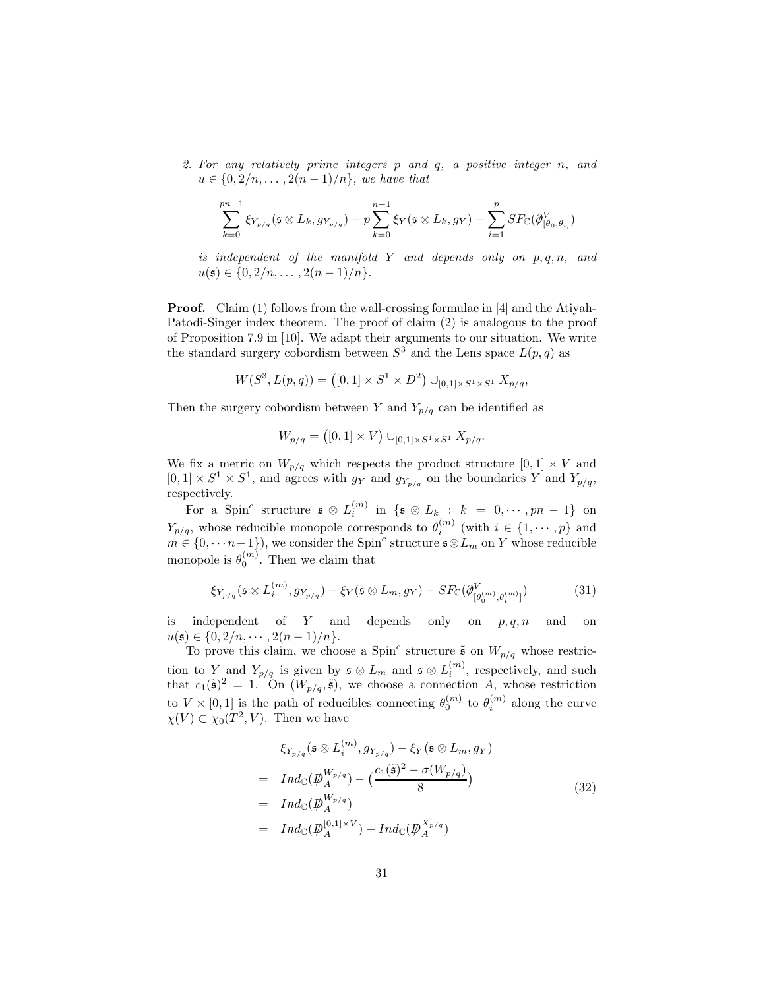*2. For any relatively prime integers* p *and* q*, a positive integer* n*, and*  $u \in \{0, 2/n, ..., 2(n-1)/n\}$ *, we have that* 

$$
\sum_{k=0}^{pn-1} \xi_{Y_{p/q}}(\mathfrak{s} \otimes L_k, g_{Y_{p/q}}) - p \sum_{k=0}^{n-1} \xi_Y(\mathfrak{s} \otimes L_k, g_Y) - \sum_{i=1}^p SF_{\mathbb{C}}(\phi_{[\theta_0, \theta_i]}^V)
$$

*is independent of the manifold* Y *and depends only on* p, q, n*, and*  $u(\mathfrak{s}) \in \{0, 2/n, \ldots, 2(n-1)/n\}.$ 

**Proof.** Claim (1) follows from the wall-crossing formulae in [4] and the Atiyah-Patodi-Singer index theorem. The proof of claim (2) is analogous to the proof of Proposition 7.9 in [10]. We adapt their arguments to our situation. We write the standard surgery cobordism between  $S^3$  and the Lens space  $L(p,q)$  as

$$
W(S^3, L(p,q)) = ([0,1] \times S^1 \times D^2) \cup_{[0,1] \times S^1 \times S^1} X_{p/q},
$$

Then the surgery cobordism between Y and  $Y_{p/q}$  can be identified as

$$
W_{p/q} = ([0,1] \times V) \cup_{[0,1] \times S^1 \times S^1} X_{p/q}.
$$

We fix a metric on  $W_{p/q}$  which respects the product structure  $[0,1] \times V$  and  $[0,1] \times S^1 \times S^1$ , and agrees with  $g_Y$  and  $g_{Y_{p/q}}$  on the boundaries Y and  $Y_{p/q}$ , respectively.

For a Spin<sup>c</sup> structure  $\mathfrak{s} \otimes L_i^{(m)}$  in  $\{\mathfrak{s} \otimes L_k : k = 0, \cdots, pn - 1\}$  on  $Y_{p/q}$ , whose reducible monopole corresponds to  $\theta_i^{(m)}$  (with  $i \in \{1, \dots, p\}$  and  $m \in \{0, \dots n-1\}$ , we consider the Spin<sup>c</sup> structure  $\mathfrak{s} \otimes L_m$  on Y whose reducible monopole is  $\theta_0^{(m)}$ . Then we claim that

$$
\xi_{Y_{p/q}}(\mathfrak{s} \otimes L_i^{(m)}, g_{Y_{p/q}}) - \xi_Y(\mathfrak{s} \otimes L_m, g_Y) - SF_{\mathbb{C}}(\partial_{[\theta_0^{(m)}, \theta_i^{(m)}]}^V) \tag{31}
$$

is independent of Y and depends only on  $p, q, n$  and on  $u(\mathfrak{s}) \in \{0, 2/n, \cdots, 2(n-1)/n\}.$ 

To prove this claim, we choose a Spin<sup>c</sup> structure  $\tilde{\mathfrak{s}}$  on  $W_{p/q}$  whose restriction to Y and  $Y_{p/q}$  is given by  $\mathfrak{s} \otimes L_m$  and  $\mathfrak{s} \otimes L_i^{(m)}$ , respectively, and such that  $c_1(\tilde{\mathfrak{s}})^2 = 1$ . On  $(W_{p/q}, \tilde{\mathfrak{s}})$ , we choose a connection A, whose restriction to  $V \times [0,1]$  is the path of reducibles connecting  $\theta_0^{(m)}$  to  $\theta_i^{(m)}$  along the curve  $\chi(V) \subset \chi_0(T^2, V)$ . Then we have

$$
\begin{aligned}\n\xi_{Y_{p/q}}(\mathfrak{s} \otimes L_i^{(m)}, g_{Y_{p/q}}) - \xi_Y(\mathfrak{s} \otimes L_m, g_Y) \\
= \operatorname{Ind}_{\mathbb{C}}(\mathcal{P}_A^{W_{p/q}}) - \left(\frac{c_1(\tilde{\mathfrak{s}})^2 - \sigma(W_{p/q})}{8}\right) \\
= \operatorname{Ind}_{\mathbb{C}}(\mathcal{P}_A^{W_{p/q}}) \\
= \operatorname{Ind}_{\mathbb{C}}(\mathcal{P}_A^{[0,1] \times V}) + \operatorname{Ind}_{\mathbb{C}}(\mathcal{P}_A^{X_{p/q}})\n\end{aligned} \tag{32}
$$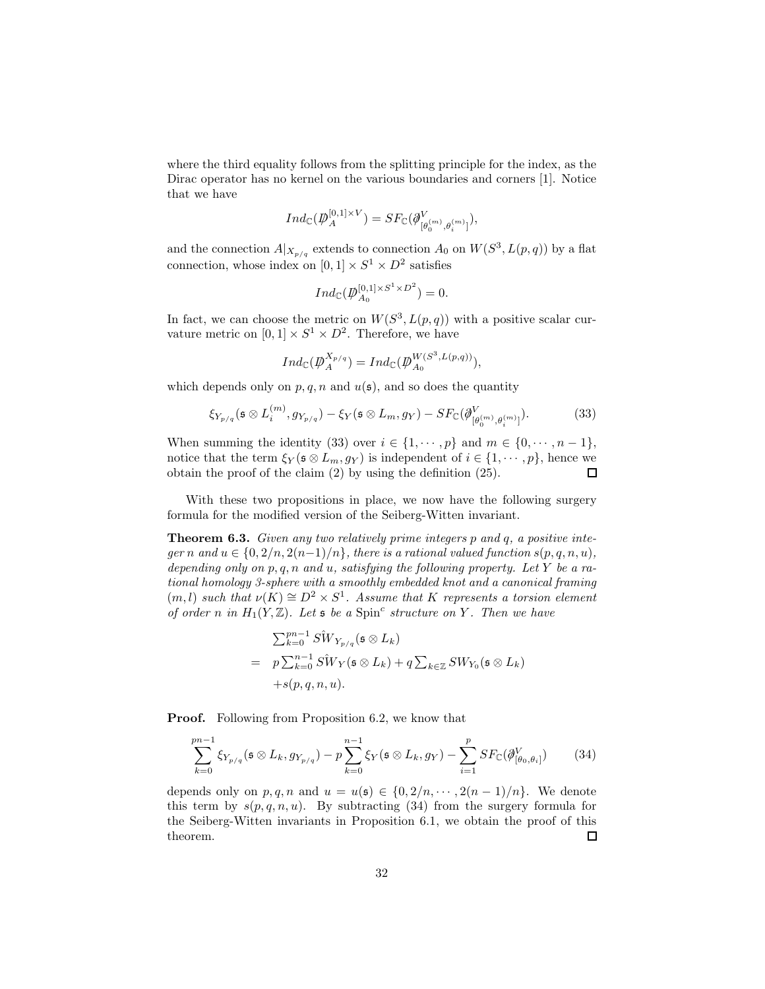where the third equality follows from the splitting principle for the index, as the Dirac operator has no kernel on the various boundaries and corners [1]. Notice that we have

$$
Ind_{\mathbb{C}}(\mathcal{P}_A^{[0,1]\times V})=SF_{\mathbb{C}}(\mathcal{J}_{[\theta_0^{(m)},\theta_i^{(m)}]}^V),
$$

and the connection  $A|_{X_{p/q}}$  extends to connection  $A_0$  on  $W(S^3, L(p,q))$  by a flat connection, whose index on  $[0,1] \times S^1 \times D^2$  satisfies

$$
Ind_{\mathbb{C}}(\mathcal{P}_{A_0}^{[0,1]\times S^1\times D^2})=0.
$$

In fact, we can choose the metric on  $W(S^3, L(p,q))$  with a positive scalar curvature metric on  $[0,1] \times S^1 \times D^2$ . Therefore, we have

$$
Ind_{\mathbb{C}}(\mathcal{p}_A^{X_{p/q}}) = Ind_{\mathbb{C}}(\mathcal{p}_{A_0}^{W(S^3, L(p,q))}),
$$

which depends only on  $p, q, n$  and  $u(\mathfrak{s})$ , and so does the quantity

$$
\xi_{Y_{p/q}}(\mathfrak{s} \otimes L_i^{(m)}, g_{Y_{p/q}}) - \xi_Y(\mathfrak{s} \otimes L_m, g_Y) - SF_{\mathbb{C}}(\partial_{[\theta_0^{(m)}, \theta_i^{(m)}]}^V). \tag{33}
$$

When summing the identity (33) over  $i \in \{1, \dots, p\}$  and  $m \in \{0, \dots, n-1\}$ , notice that the term  $\xi_Y(\mathfrak{s} \otimes L_m, g_Y)$  is independent of  $i \in \{1, \dots, p\}$ , hence we obtain the proof of the claim (2) by using the definition (25).  $\Box$ 

With these two propositions in place, we now have the following surgery formula for the modified version of the Seiberg-Witten invariant.

Theorem 6.3. *Given any two relatively prime integers* p *and* q*, a positive integer* n and  $u \in \{0, 2/n, 2(n-1)/n\}$ , there is a rational valued function  $s(p, q, n, u)$ , *depending only on* p, q, n *and* u*, satisfying the following property. Let* Y *be a rational homology 3-sphere with a smoothly embedded knot and a canonical framing*  $(m, l)$  such that  $\nu(K) \cong D^2 \times S^1$ . Assume that K represents a torsion element *of order n* in  $H_1(Y, \mathbb{Z})$ *. Let* **s** *be a* Spin<sup>c</sup> structure on Y. Then we have

$$
\sum_{k=0}^{pn-1} S\hat{W}_{Y_{p/q}}(\mathfrak{s} \otimes L_k)
$$
  
=  $p \sum_{k=0}^{n-1} S\hat{W}_Y(\mathfrak{s} \otimes L_k) + q \sum_{k \in \mathbb{Z}} SW_{Y_0}(\mathfrak{s} \otimes L_k)$   
+ $s(p,q,n,u)$ .

**Proof.** Following from Proposition 6.2, we know that

$$
\sum_{k=0}^{pn-1} \xi_{Y_{p/q}}(\mathfrak{s} \otimes L_k, g_{Y_{p/q}}) - p \sum_{k=0}^{n-1} \xi_Y(\mathfrak{s} \otimes L_k, g_Y) - \sum_{i=1}^p SF_{\mathbb{C}}(\partial_{[\theta_0, \theta_i]}^V) \tag{34}
$$

depends only on p, q, n and  $u = u(\mathfrak{s}) \in \{0, 2/n, \dots, 2(n-1)/n\}$ . We denote this term by  $s(p,q,n,u)$ . By subtracting (34) from the surgery formula for the Seiberg-Witten invariants in Proposition 6.1, we obtain the proof of this theorem.  $\Box$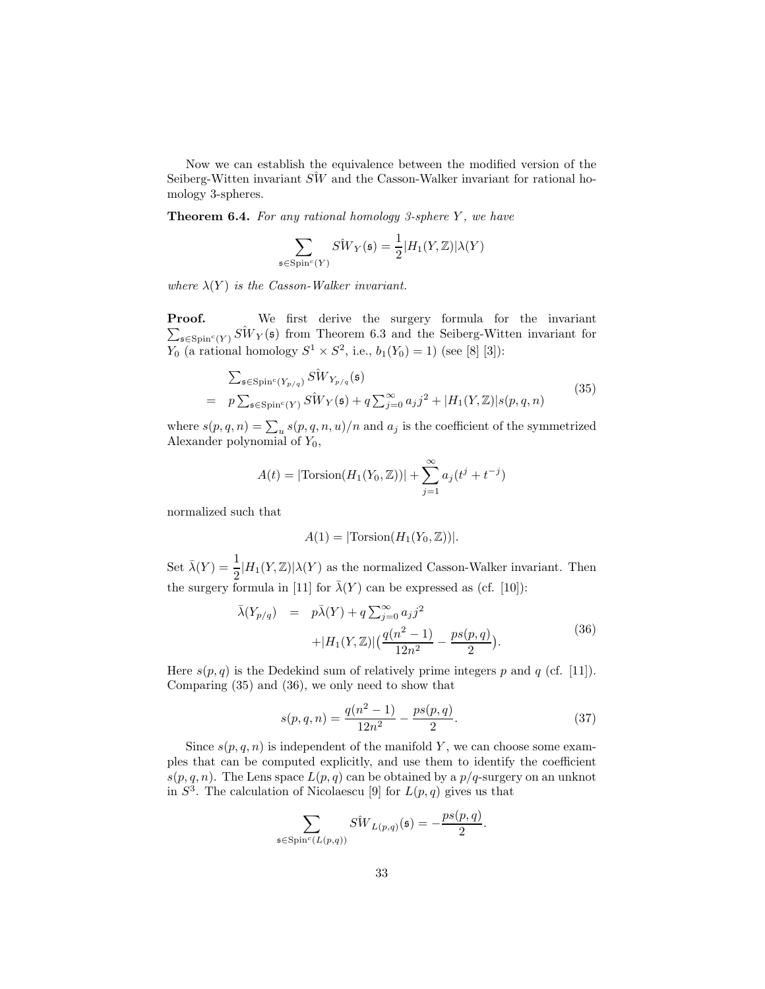Now we can establish the equivalence between the modified version of the Seiberg-Witten invariant  $S\hat{W}$  and the Casson-Walker invariant for rational homology 3-spheres.

**Theorem 6.4.** For any rational homology 3-sphere Y, we have

$$
\sum_{\mathfrak{s} \in \text{Spin}^c(Y)} S \hat{W}_Y(\mathfrak{s}) = \frac{1}{2} |H_1(Y, \mathbb{Z})| \lambda(Y)
$$

*where*  $\lambda(Y)$  *is the Casson-Walker invariant.* 

Proof.  $\sum_{\mathfrak{s} \in \text{Spin}^c(Y)} \hat{SW}_Y(\mathfrak{s})$  from Theorem 6.3 and the Seiberg-Witten invariant for We first derive the surgery formula for the invariant  $Y_0$  (a rational homology  $S^1 \times S^2$ , i.e.,  $b_1(Y_0) = 1$ ) (see [8] [3]):

$$
\sum_{\mathfrak{s} \in \text{Spin}^c(Y_{p/q})} \hat{SW}_{Y_{p/q}}(\mathfrak{s})
$$
\n
$$
= p \sum_{\mathfrak{s} \in \text{Spin}^c(Y)} \hat{SW}_Y(\mathfrak{s}) + q \sum_{j=0}^{\infty} a_j j^2 + |H_1(Y, \mathbb{Z})| s(p, q, n)
$$
\n
$$
(35)
$$

where  $s(p,q,n) = \sum_{u} s(p,q,n,u)/n$  and  $a_j$  is the coefficient of the symmetrized Alexander polynomial of  $Y_0$ ,

$$
A(t) = |\text{Torsion}(H_1(Y_0, \mathbb{Z}))| + \sum_{j=1}^{\infty} a_j (t^j + t^{-j})
$$

normalized such that

$$
A(1) = |\text{Torsion}(H_1(Y_0, \mathbb{Z}))|.
$$

Set  $\bar{\lambda}(Y) = \frac{1}{2} |H_1(Y, \mathbb{Z})| \lambda(Y)$  as the normalized Casson-Walker invariant. Then the surgery formula in [11] for  $\bar{\lambda}(Y)$  can be expressed as (cf. [10]):

$$
\bar{\lambda}(Y_{p/q}) = p\bar{\lambda}(Y) + q \sum_{j=0}^{\infty} a_j j^2 + |H_1(Y, \mathbb{Z})| \left( \frac{q(n^2 - 1)}{12n^2} - \frac{ps(p, q)}{2} \right).
$$
\n(36)

Here  $s(p, q)$  is the Dedekind sum of relatively prime integers p and q (cf. [11]). Comparing (35) and (36), we only need to show that

$$
s(p,q,n) = \frac{q(n^2-1)}{12n^2} - \frac{ps(p,q)}{2}.
$$
\n(37)

Since  $s(p, q, n)$  is independent of the manifold Y, we can choose some examples that can be computed explicitly, and use them to identify the coefficient  $s(p, q, n)$ . The Lens space  $L(p, q)$  can be obtained by a  $p/q$ -surgery on an unknot in  $S^3$ . The calculation of Nicolaescu [9] for  $L(p,q)$  gives us that

$$
\sum_{\mathfrak{s}\in \mathrm{Spin}^c(L(p,q))} S\hat{W}_{L(p,q)}(\mathfrak{s}) = -\frac{ps(p,q)}{2}.
$$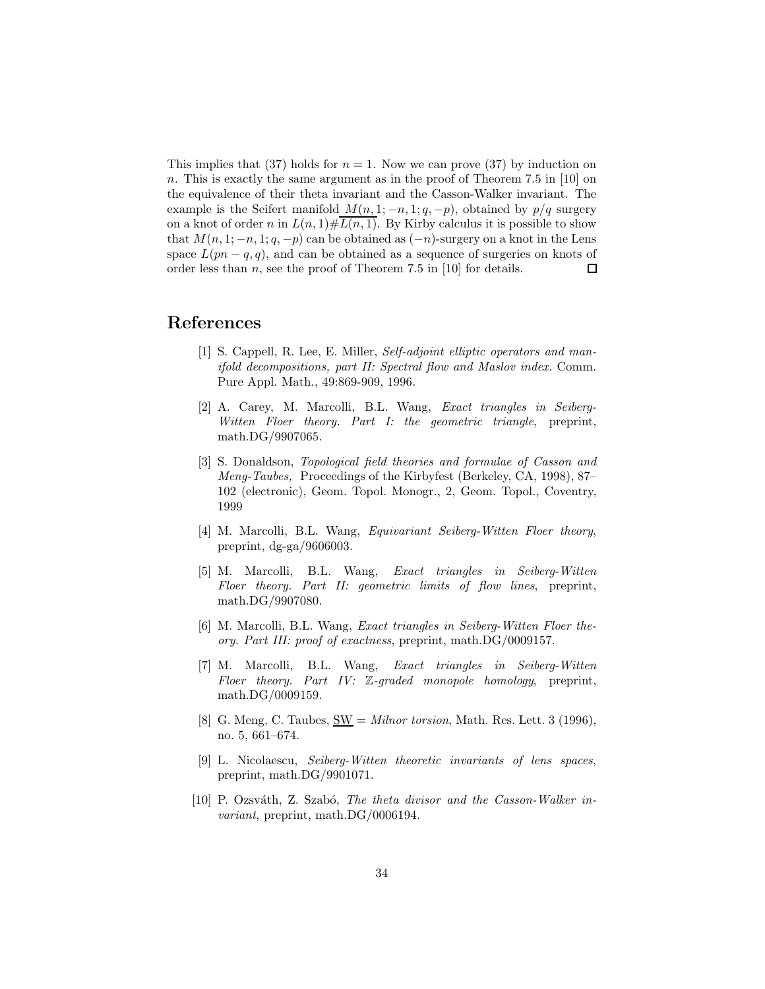This implies that (37) holds for  $n = 1$ . Now we can prove (37) by induction on n. This is exactly the same argument as in the proof of Theorem 7.5 in [10] on the equivalence of their theta invariant and the Casson-Walker invariant. The example is the Seifert manifold  $M(n, 1; -n, 1; q, -p)$ , obtained by  $p/q$  surgery on a knot of order n in  $L(n, 1) \# L(n, 1)$ . By Kirby calculus it is possible to show that  $M(n, 1; -n, 1; q, -p)$  can be obtained as  $(-n)$ -surgery on a knot in the Lens space  $L(pn-q, q)$ , and can be obtained as a sequence of surgeries on knots of order less than  $n$ , see the proof of Theorem 7.5 in [10] for details.  $\Box$ 

# References

- [1] S. Cappell, R. Lee, E. Miller, *Self-adjoint elliptic operators and manifold decompositions, part II: Spectral flow and Maslov index.* Comm. Pure Appl. Math., 49:869-909, 1996.
- [2] A. Carey, M. Marcolli, B.L. Wang, *Exact triangles in Seiberg-Witten Floer theory. Part I: the geometric triangle*, preprint, math.DG/9907065.
- [3] S. Donaldson, *Topological field theories and formulae of Casson and Meng-Taubes,* Proceedings of the Kirbyfest (Berkeley, CA, 1998), 87– 102 (electronic), Geom. Topol. Monogr., 2, Geom. Topol., Coventry, 1999
- [4] M. Marcolli, B.L. Wang, *Equivariant Seiberg-Witten Floer theory*, preprint, dg-ga/9606003.
- [5] M. Marcolli, B.L. Wang, *Exact triangles in Seiberg-Witten Floer theory. Part II: geometric limits of flow lines*, preprint, math.DG/9907080.
- [6] M. Marcolli, B.L. Wang, *Exact triangles in Seiberg-Witten Floer theory. Part III: proof of exactness*, preprint, math.DG/0009157.
- [7] M. Marcolli, B.L. Wang, *Exact triangles in Seiberg-Witten Floer theory. Part IV:* Z*-graded monopole homology*, preprint, math.DG/0009159.
- [8] G. Meng, C. Taubes, SW = *Milnor torsion*, Math. Res. Lett. 3 (1996), no. 5, 661–674.
- [9] L. Nicolaescu, *Seiberg-Witten theoretic invariants of lens spaces*, preprint, math.DG/9901071.
- [10] P. Ozsváth, Z. Szabó, *The theta divisor and the Casson-Walker invariant*, preprint, math.DG/0006194.